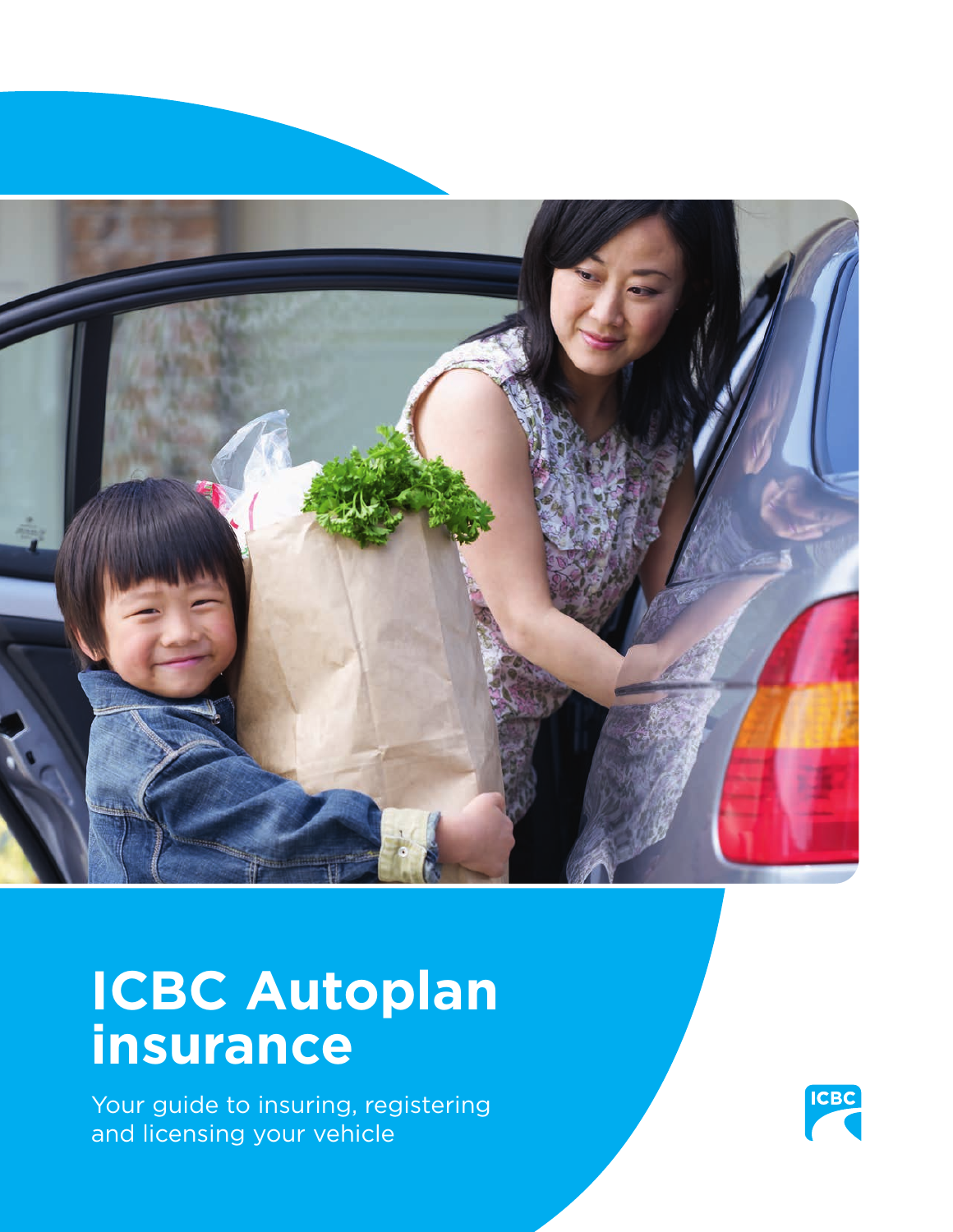

# **ICBC Autoplan insurance**

Your guide to insuring, registering and licensing your vehicle

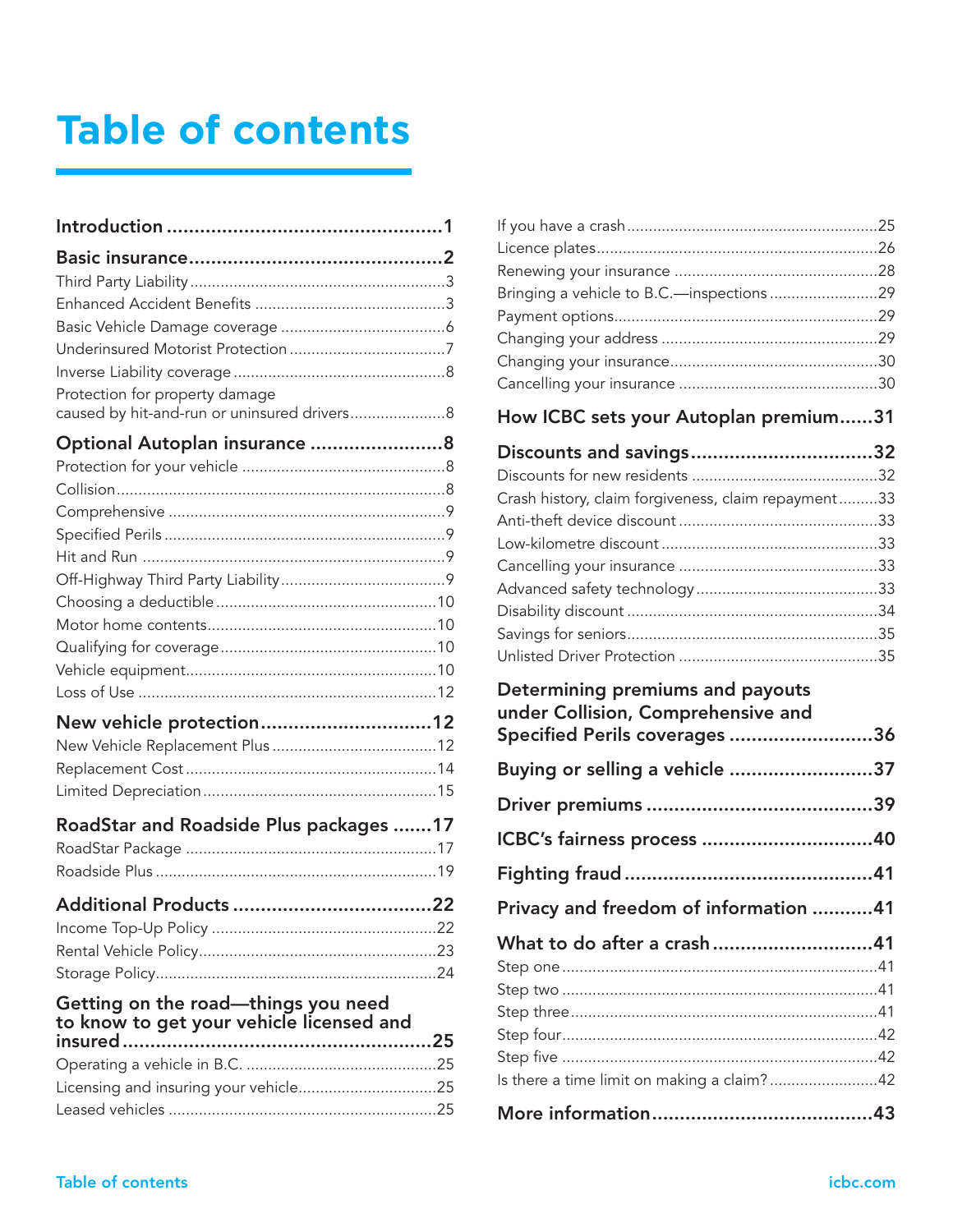# **Table of contents**

| Protection for property damage<br>caused by hit-and-run or uninsured drivers 8  |  |
|---------------------------------------------------------------------------------|--|
| Optional Autoplan insurance 8                                                   |  |
|                                                                                 |  |
|                                                                                 |  |
|                                                                                 |  |
|                                                                                 |  |
|                                                                                 |  |
|                                                                                 |  |
|                                                                                 |  |
|                                                                                 |  |
|                                                                                 |  |
|                                                                                 |  |
|                                                                                 |  |
| New vehicle protection12                                                        |  |
|                                                                                 |  |
|                                                                                 |  |
|                                                                                 |  |
| RoadStar and Roadside Plus packages 17                                          |  |
|                                                                                 |  |
|                                                                                 |  |
| <b>Additional Products</b>                                                      |  |
|                                                                                 |  |
|                                                                                 |  |
|                                                                                 |  |
| Getting on the road—things you need<br>to know to get your vehicle licensed and |  |
|                                                                                 |  |
|                                                                                 |  |
| Licensing and insuring your vehicle25                                           |  |
|                                                                                 |  |

| Bringing a vehicle to B.C.-inspections29                               |  |
|------------------------------------------------------------------------|--|
|                                                                        |  |
|                                                                        |  |
|                                                                        |  |
|                                                                        |  |
| How ICBC sets your Autoplan premium31                                  |  |
| Discounts and savings32                                                |  |
|                                                                        |  |
| Crash history, claim forgiveness, claim repayment33                    |  |
|                                                                        |  |
|                                                                        |  |
|                                                                        |  |
|                                                                        |  |
|                                                                        |  |
|                                                                        |  |
|                                                                        |  |
|                                                                        |  |
| Determining premiums and payouts<br>under Collision, Comprehensive and |  |
| Specified Perils coverages 36                                          |  |
| Buying or selling a vehicle 37                                         |  |
|                                                                        |  |
| ICBC's fairness process 40                                             |  |
|                                                                        |  |
| Privacy and freedom of information 41                                  |  |
|                                                                        |  |
| What to do after a crash41                                             |  |
|                                                                        |  |
|                                                                        |  |
|                                                                        |  |
|                                                                        |  |
| Is there a time limit on making a claim?42                             |  |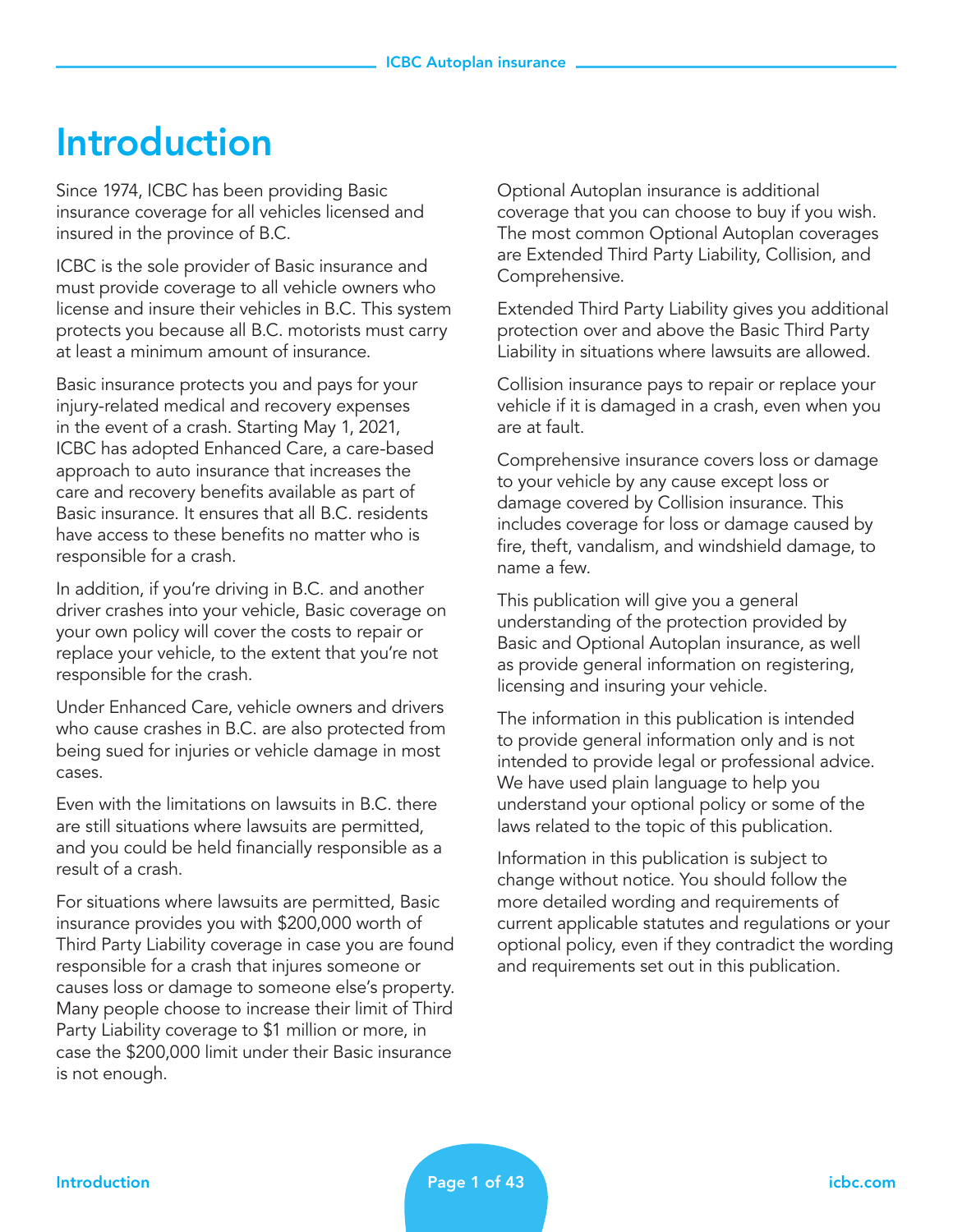## Introduction

Since 1974, ICBC has been providing Basic insurance coverage for all vehicles licensed and insured in the province of B.C.

ICBC is the sole provider of Basic insurance and must provide coverage to all vehicle owners who license and insure their vehicles in B.C. This system protects you because all B.C. motorists must carry at least a minimum amount of insurance.

Basic insurance protects you and pays for your injury-related medical and recovery expenses in the event of a crash. Starting May 1, 2021, ICBC has adopted Enhanced Care, a care-based approach to auto insurance that increases the care and recovery benefits available as part of Basic insurance. It ensures that all B.C. residents have access to these benefits no matter who is responsible for a crash.

In addition, if you're driving in B.C. and another driver crashes into your vehicle, Basic coverage on your own policy will cover the costs to repair or replace your vehicle, to the extent that you're not responsible for the crash.

Under Enhanced Care, vehicle owners and drivers who cause crashes in B.C. are also protected from being sued for injuries or vehicle damage in most cases.

Even with the limitations on lawsuits in B.C. there are still situations where lawsuits are permitted, and you could be held financially responsible as a result of a crash.

For situations where lawsuits are permitted, Basic insurance provides you with \$200,000 worth of Third Party Liability coverage in case you are found responsible for a crash that injures someone or causes loss or damage to someone else's property. Many people choose to increase their limit of Third Party Liability coverage to \$1 million or more, in case the \$200,000 limit under their Basic insurance is not enough.

Optional Autoplan insurance is additional coverage that you can choose to buy if you wish. The most common Optional Autoplan coverages are Extended Third Party Liability, Collision, and Comprehensive.

Extended Third Party Liability gives you additional protection over and above the Basic Third Party Liability in situations where lawsuits are allowed.

Collision insurance pays to repair or replace your vehicle if it is damaged in a crash, even when you are at fault.

Comprehensive insurance covers loss or damage to your vehicle by any cause except loss or damage covered by Collision insurance. This includes coverage for loss or damage caused by fire, theft, vandalism, and windshield damage, to name a few.

This publication will give you a general understanding of the protection provided by Basic and Optional Autoplan insurance, as well as provide general information on registering, licensing and insuring your vehicle.

The information in this publication is intended to provide general information only and is not intended to provide legal or professional advice. We have used plain language to help you understand your optional policy or some of the laws related to the topic of this publication.

Information in this publication is subject to change without notice. You should follow the more detailed wording and requirements of current applicable statutes and regulations or your optional policy, even if they contradict the wording and requirements set out in this publication.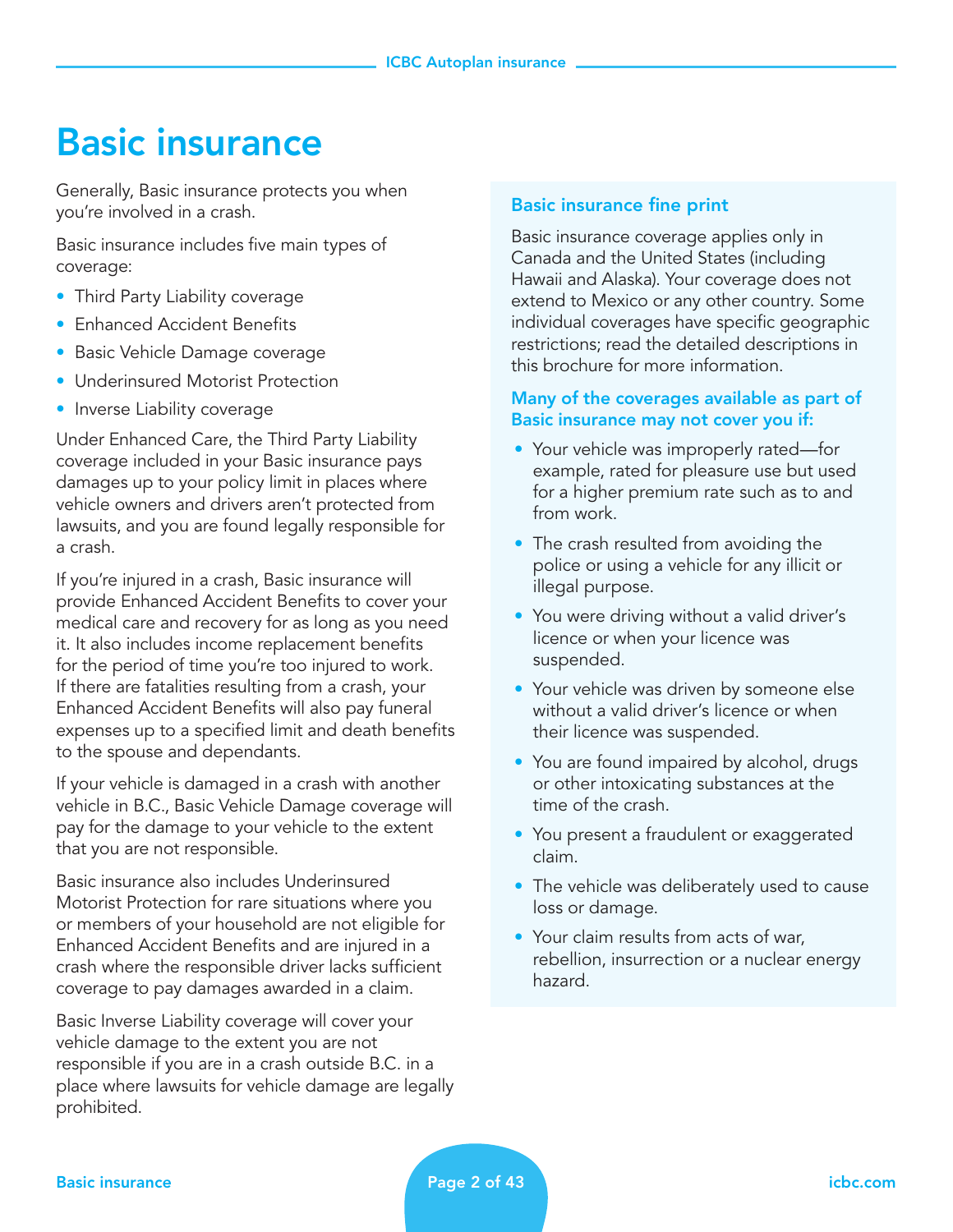## Basic insurance

Generally, Basic insurance protects you when you're involved in a crash.

Basic insurance includes five main types of coverage:

- Third Party Liability coverage
- Enhanced Accident Benefits
- Basic Vehicle Damage coverage
- Underinsured Motorist Protection
- Inverse Liability coverage

Under Enhanced Care, the Third Party Liability coverage included in your Basic insurance pays damages up to your policy limit in places where vehicle owners and drivers aren't protected from lawsuits, and you are found legally responsible for a crash.

If you're injured in a crash, Basic insurance will provide Enhanced Accident Benefits to cover your medical care and recovery for as long as you need it. It also includes income replacement benefits for the period of time you're too injured to work. If there are fatalities resulting from a crash, your Enhanced Accident Benefits will also pay funeral expenses up to a specified limit and death benefits to the spouse and dependants.

If your vehicle is damaged in a crash with another vehicle in B.C., Basic Vehicle Damage coverage will pay for the damage to your vehicle to the extent that you are not responsible.

Basic insurance also includes Underinsured Motorist Protection for rare situations where you or members of your household are not eligible for Enhanced Accident Benefits and are injured in a crash where the responsible driver lacks sufficient coverage to pay damages awarded in a claim.

Basic Inverse Liability coverage will cover your vehicle damage to the extent you are not responsible if you are in a crash outside B.C. in a place where lawsuits for vehicle damage are legally prohibited.

#### Basic insurance fine print

Basic insurance coverage applies only in Canada and the United States (including Hawaii and Alaska). Your coverage does not extend to Mexico or any other country. Some individual coverages have specific geographic restrictions; read the detailed descriptions in this brochure for more information.

#### Many of the coverages available as part of Basic insurance may not cover you if:

- Your vehicle was improperly rated—for example, rated for pleasure use but used for a higher premium rate such as to and from work.
- The crash resulted from avoiding the police or using a vehicle for any illicit or illegal purpose.
- You were driving without a valid driver's licence or when your licence was suspended.
- Your vehicle was driven by someone else without a valid driver's licence or when their licence was suspended.
- You are found impaired by alcohol, drugs or other intoxicating substances at the time of the crash.
- You present a fraudulent or exaggerated claim.
- The vehicle was deliberately used to cause loss or damage.
- Your claim results from acts of war, rebellion, insurrection or a nuclear energy hazard.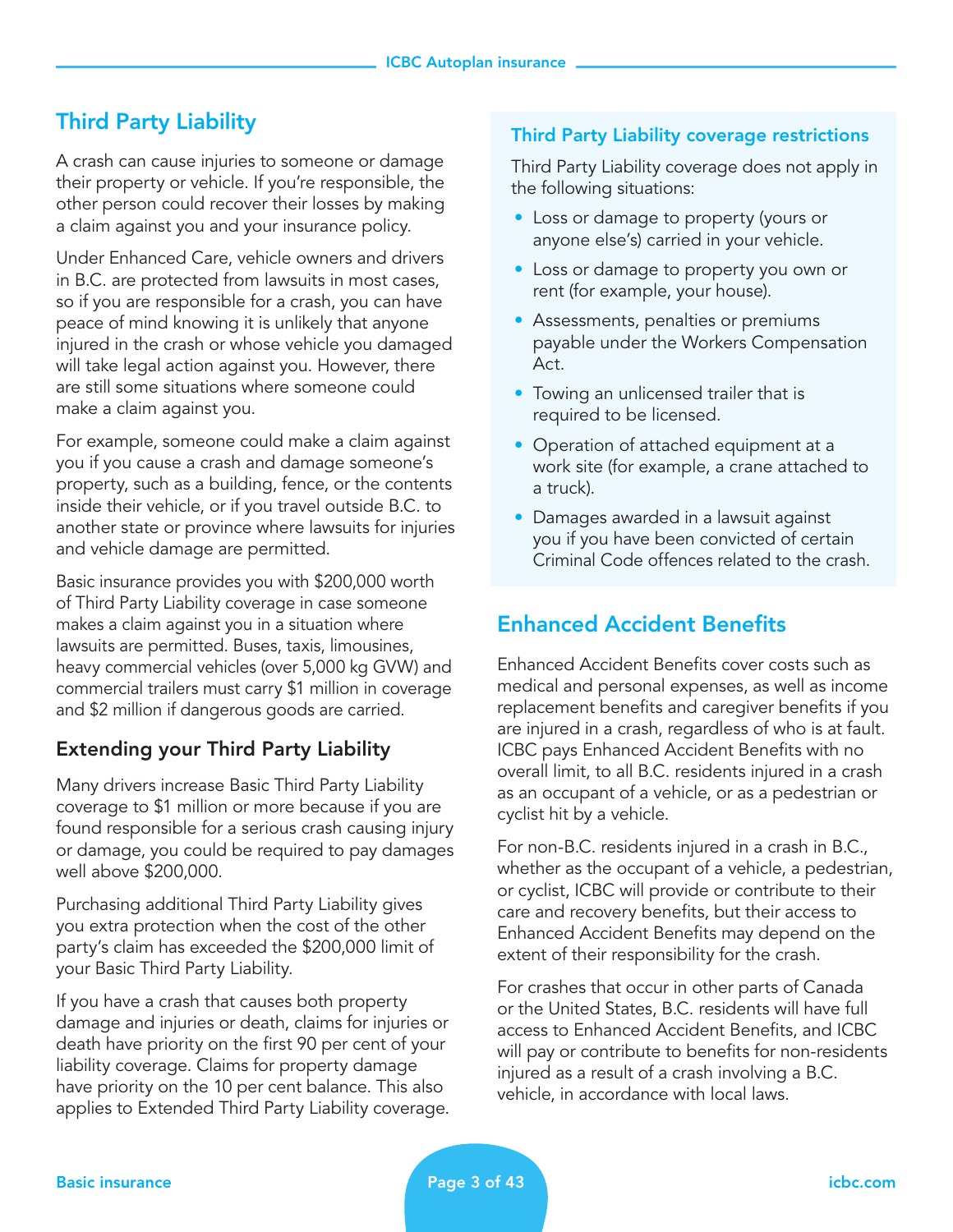## Third Party Liability

A crash can cause injuries to someone or damage their property or vehicle. If you're responsible, the other person could recover their losses by making a claim against you and your insurance policy.

Under Enhanced Care, vehicle owners and drivers in B.C. are protected from lawsuits in most cases, so if you are responsible for a crash, you can have peace of mind knowing it is unlikely that anyone injured in the crash or whose vehicle you damaged will take legal action against you. However, there are still some situations where someone could make a claim against you.

For example, someone could make a claim against you if you cause a crash and damage someone's property, such as a building, fence, or the contents inside their vehicle, or if you travel outside B.C. to another state or province where lawsuits for injuries and vehicle damage are permitted.

Basic insurance provides you with \$200,000 worth of Third Party Liability coverage in case someone makes a claim against you in a situation where lawsuits are permitted. Buses, taxis, limousines, heavy commercial vehicles (over 5,000 kg GVW) and commercial trailers must carry \$1 million in coverage and \$2 million if dangerous goods are carried.

## Extending your Third Party Liability

Many drivers increase Basic Third Party Liability coverage to \$1 million or more because if you are found responsible for a serious crash causing injury or damage, you could be required to pay damages well above \$200,000.

Purchasing additional Third Party Liability gives you extra protection when the cost of the other party's claim has exceeded the \$200,000 limit of your Basic Third Party Liability.

If you have a crash that causes both property damage and injuries or death, claims for injuries or death have priority on the first 90 per cent of your liability coverage. Claims for property damage have priority on the 10 per cent balance. This also applies to Extended Third Party Liability coverage.

#### Third Party Liability coverage restrictions

Third Party Liability coverage does not apply in the following situations:

- Loss or damage to property (yours or anyone else's) carried in your vehicle.
- Loss or damage to property you own or rent (for example, your house).
- Assessments, penalties or premiums payable under the Workers Compensation Act.
- Towing an unlicensed trailer that is required to be licensed.
- Operation of attached equipment at a work site (for example, a crane attached to a truck).
- Damages awarded in a lawsuit against you if you have been convicted of certain Criminal Code offences related to the crash.

## Enhanced Accident Benefits

Enhanced Accident Benefits cover costs such as medical and personal expenses, as well as income replacement benefits and caregiver benefits if you are injured in a crash, regardless of who is at fault. ICBC pays Enhanced Accident Benefits with no overall limit, to all B.C. residents injured in a crash as an occupant of a vehicle, or as a pedestrian or cyclist hit by a vehicle.

For non-B.C. residents injured in a crash in B.C., whether as the occupant of a vehicle, a pedestrian, or cyclist, ICBC will provide or contribute to their care and recovery benefits, but their access to Enhanced Accident Benefits may depend on the extent of their responsibility for the crash.

For crashes that occur in other parts of Canada or the United States, B.C. residents will have full access to Enhanced Accident Benefits, and ICBC will pay or contribute to benefits for non-residents injured as a result of a crash involving a B.C. vehicle, in accordance with local laws.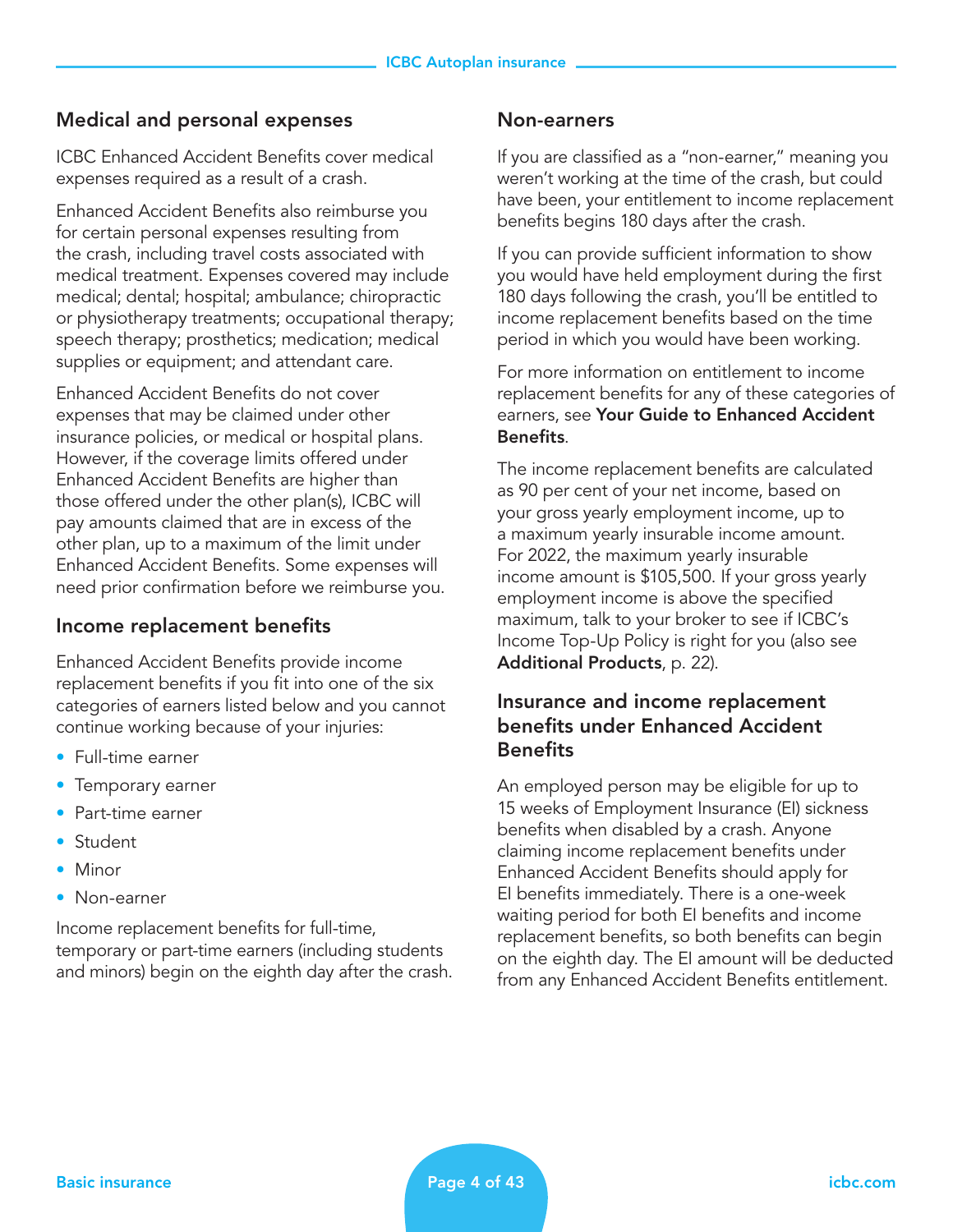### Medical and personal expenses

ICBC Enhanced Accident Benefits cover medical expenses required as a result of a crash.

Enhanced Accident Benefits also reimburse you for certain personal expenses resulting from the crash, including travel costs associated with medical treatment. Expenses covered may include medical; dental; hospital; ambulance; chiropractic or physiotherapy treatments; occupational therapy; speech therapy; prosthetics; medication; medical supplies or equipment; and attendant care.

Enhanced Accident Benefits do not cover expenses that may be claimed under other insurance policies, or medical or hospital plans. However, if the coverage limits offered under Enhanced Accident Benefits are higher than those offered under the other plan(s), ICBC will pay amounts claimed that are in excess of the other plan, up to a maximum of the limit under Enhanced Accident Benefits. Some expenses will need prior confirmation before we reimburse you.

### Income replacement benefits

Enhanced Accident Benefits provide income replacement benefits if you fit into one of the six categories of earners listed below and you cannot continue working because of your injuries:

- Full-time earner
- Temporary earner
- Part-time earner
- Student
- Minor
- Non-earner

Income replacement benefits for full-time, temporary or part-time earners (including students and minors) begin on the eighth day after the crash.

#### Non-earners

If you are classified as a "non-earner," meaning you weren't working at the time of the crash, but could have been, your entitlement to income replacement benefits begins 180 days after the crash.

If you can provide sufficient information to show you would have held employment during the first 180 days following the crash, you'll be entitled to income replacement benefits based on the time period in which you would have been working.

For more information on entitlement to income replacement benefits for any of these categories of earners, see Your Guide to Enhanced Accident Benefits.

The income replacement benefits are calculated as 90 per cent of your net income, based on your gross yearly employment income, up to a maximum yearly insurable income amount. For 2022, the maximum yearly insurable income amount is \$105,500. If your gross yearly employment income is above the specified maximum, talk to your broker to see if ICBC's Income Top-Up Policy is right for you (also see Additional Products, p. 22).

### Insurance and income replacement benefits under Enhanced Accident **Benefits**

An employed person may be eligible for up to 15 weeks of Employment Insurance (EI) sickness benefits when disabled by a crash. Anyone claiming income replacement benefits under Enhanced Accident Benefits should apply for EI benefits immediately. There is a one-week waiting period for both EI benefits and income replacement benefits, so both benefits can begin on the eighth day. The EI amount will be deducted from any Enhanced Accident Benefits entitlement.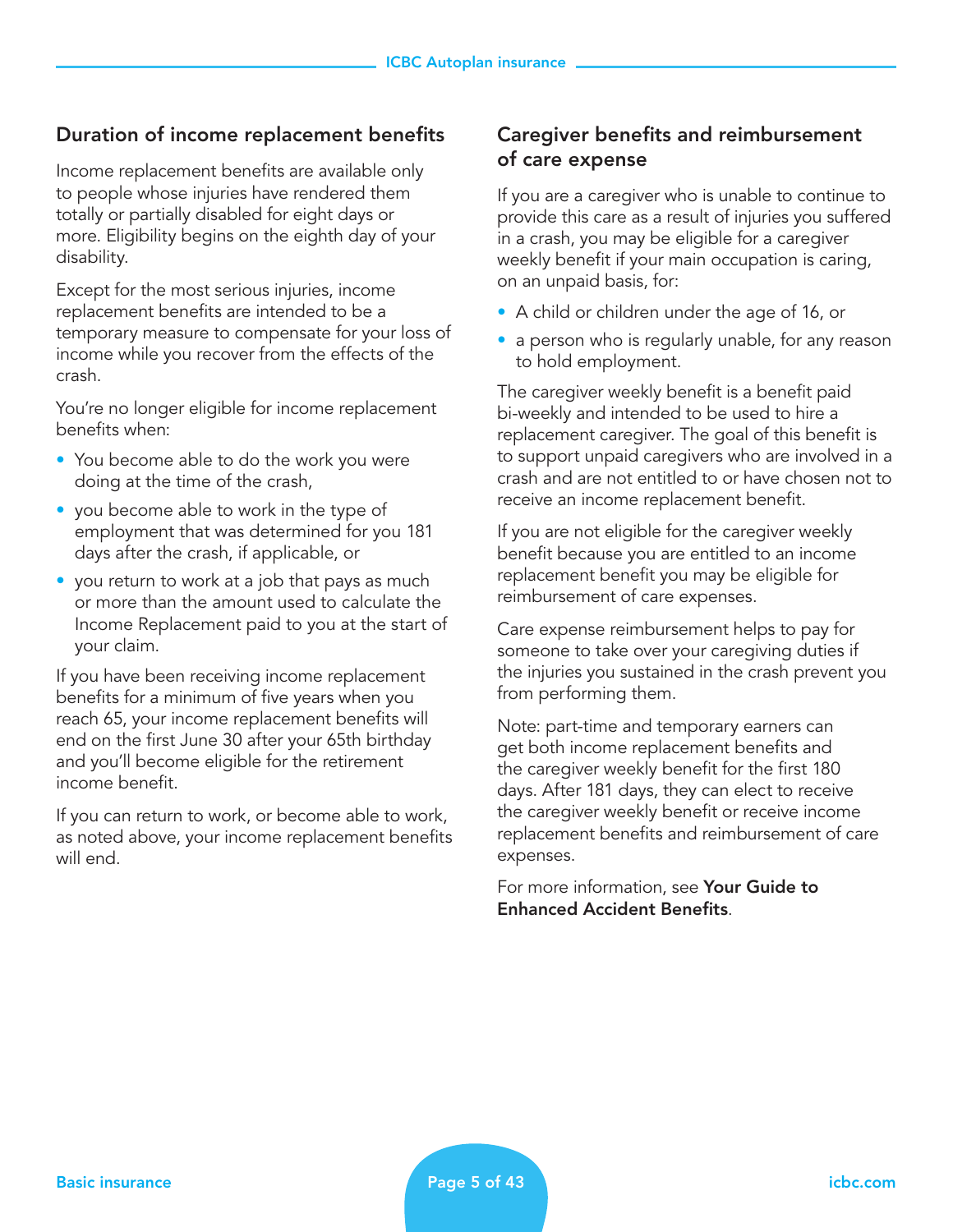#### Duration of income replacement benefits

Income replacement benefits are available only to people whose injuries have rendered them totally or partially disabled for eight days or more. Eligibility begins on the eighth day of your disability.

Except for the most serious injuries, income replacement benefits are intended to be a temporary measure to compensate for your loss of income while you recover from the effects of the crash.

You're no longer eligible for income replacement benefits when:

- You become able to do the work you were doing at the time of the crash,
- you become able to work in the type of employment that was determined for you 181 days after the crash, if applicable, or
- you return to work at a job that pays as much or more than the amount used to calculate the Income Replacement paid to you at the start of your claim.

If you have been receiving income replacement benefits for a minimum of five years when you reach 65, your income replacement benefits will end on the first June 30 after your 65th birthday and you'll become eligible for the retirement income benefit.

If you can return to work, or become able to work, as noted above, your income replacement benefits will end.

#### Caregiver benefits and reimbursement of care expense

If you are a caregiver who is unable to continue to provide this care as a result of injuries you suffered in a crash, you may be eligible for a caregiver weekly benefit if your main occupation is caring, on an unpaid basis, for:

- A child or children under the age of 16, or
- a person who is regularly unable, for any reason to hold employment.

The caregiver weekly benefit is a benefit paid bi-weekly and intended to be used to hire a replacement caregiver. The goal of this benefit is to support unpaid caregivers who are involved in a crash and are not entitled to or have chosen not to receive an income replacement benefit.

If you are not eligible for the caregiver weekly benefit because you are entitled to an income replacement benefit you may be eligible for reimbursement of care expenses.

Care expense reimbursement helps to pay for someone to take over your caregiving duties if the injuries you sustained in the crash prevent you from performing them.

Note: part-time and temporary earners can get both income replacement benefits and the caregiver weekly benefit for the first 180 days. After 181 days, they can elect to receive the caregiver weekly benefit or receive income replacement benefits and reimbursement of care expenses.

For more information, see **Your Guide to** Enhanced Accident Benefits.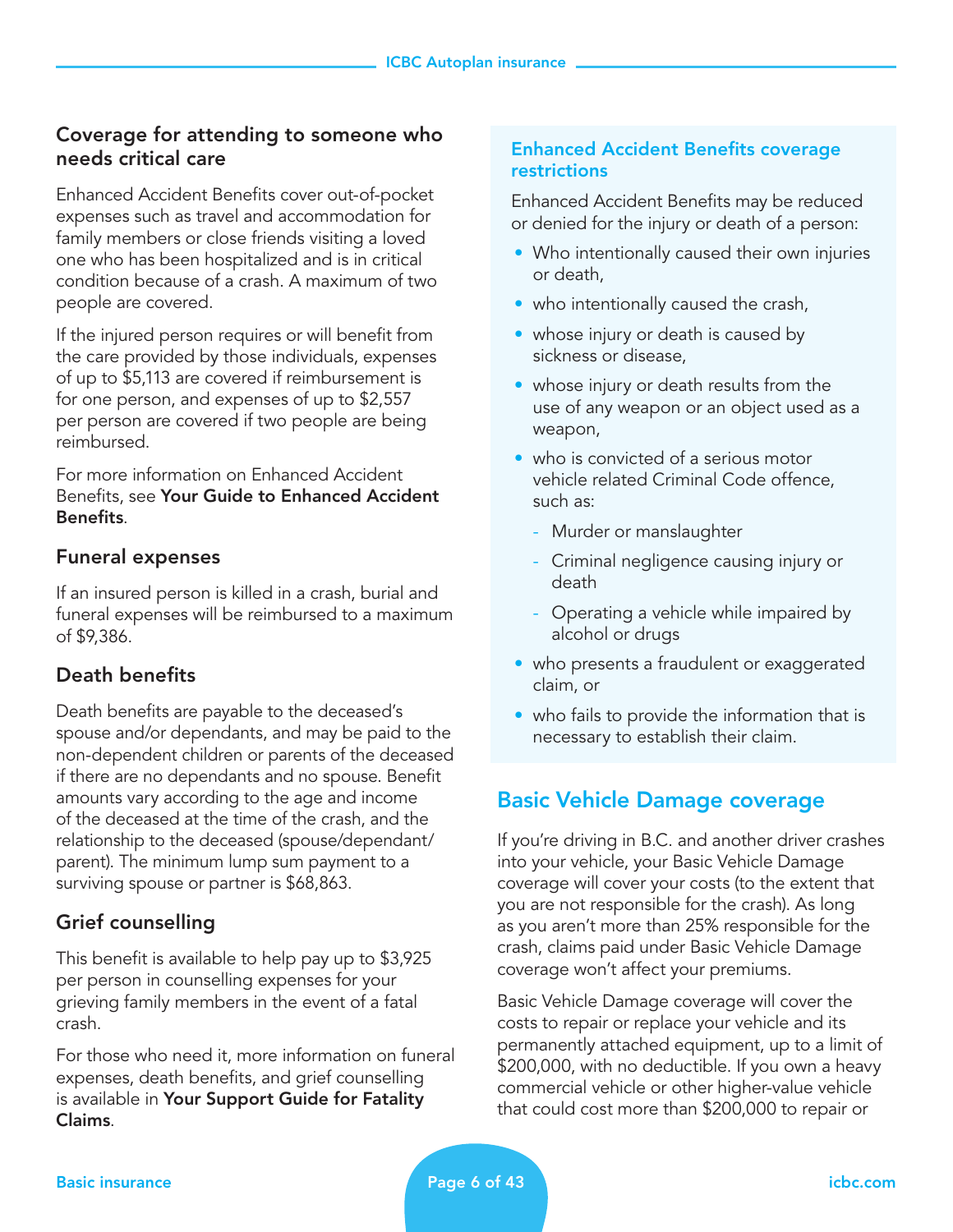### Coverage for attending to someone who needs critical care

Enhanced Accident Benefits cover out-of-pocket expenses such as travel and accommodation for family members or close friends visiting a loved one who has been hospitalized and is in critical condition because of a crash. A maximum of two people are covered.

If the injured person requires or will benefit from the care provided by those individuals, expenses of up to \$5,113 are covered if reimbursement is for one person, and expenses of up to \$2,557 per person are covered if two people are being reimbursed.

For more information on Enhanced Accident Benefits, see Your Guide to Enhanced Accident Benefits.

#### Funeral expenses

If an insured person is killed in a crash, burial and funeral expenses will be reimbursed to a maximum of \$9,386.

#### Death benefits

Death benefits are payable to the deceased's spouse and/or dependants, and may be paid to the non-dependent children or parents of the deceased if there are no dependants and no spouse. Benefit amounts vary according to the age and income of the deceased at the time of the crash, and the relationship to the deceased (spouse/dependant/ parent). The minimum lump sum payment to a surviving spouse or partner is \$68,863.

#### Grief counselling

This benefit is available to help pay up to \$3,925 per person in counselling expenses for your grieving family members in the event of a fatal crash.

For those who need it, more information on funeral expenses, death benefits, and grief counselling is available in Your Support Guide for Fatality Claims.

#### Enhanced Accident Benefits coverage restrictions

Enhanced Accident Benefits may be reduced or denied for the injury or death of a person:

- Who intentionally caused their own injuries or death,
- who intentionally caused the crash,
- whose injury or death is caused by sickness or disease,
- whose injury or death results from the use of any weapon or an object used as a weapon,
- who is convicted of a serious motor vehicle related Criminal Code offence, such as:
	- Murder or manslaughter
	- Criminal negligence causing injury or death
	- Operating a vehicle while impaired by alcohol or drugs
- who presents a fraudulent or exaggerated claim, or
- who fails to provide the information that is necessary to establish their claim.

## Basic Vehicle Damage coverage

If you're driving in B.C. and another driver crashes into your vehicle, your Basic Vehicle Damage coverage will cover your costs (to the extent that you are not responsible for the crash). As long as you aren't more than 25% responsible for the crash, claims paid under Basic Vehicle Damage coverage won't affect your premiums.

Basic Vehicle Damage coverage will cover the costs to repair or replace your vehicle and its permanently attached equipment, up to a limit of \$200,000, with no deductible. If you own a heavy commercial vehicle or other higher-value vehicle that could cost more than \$200,000 to repair or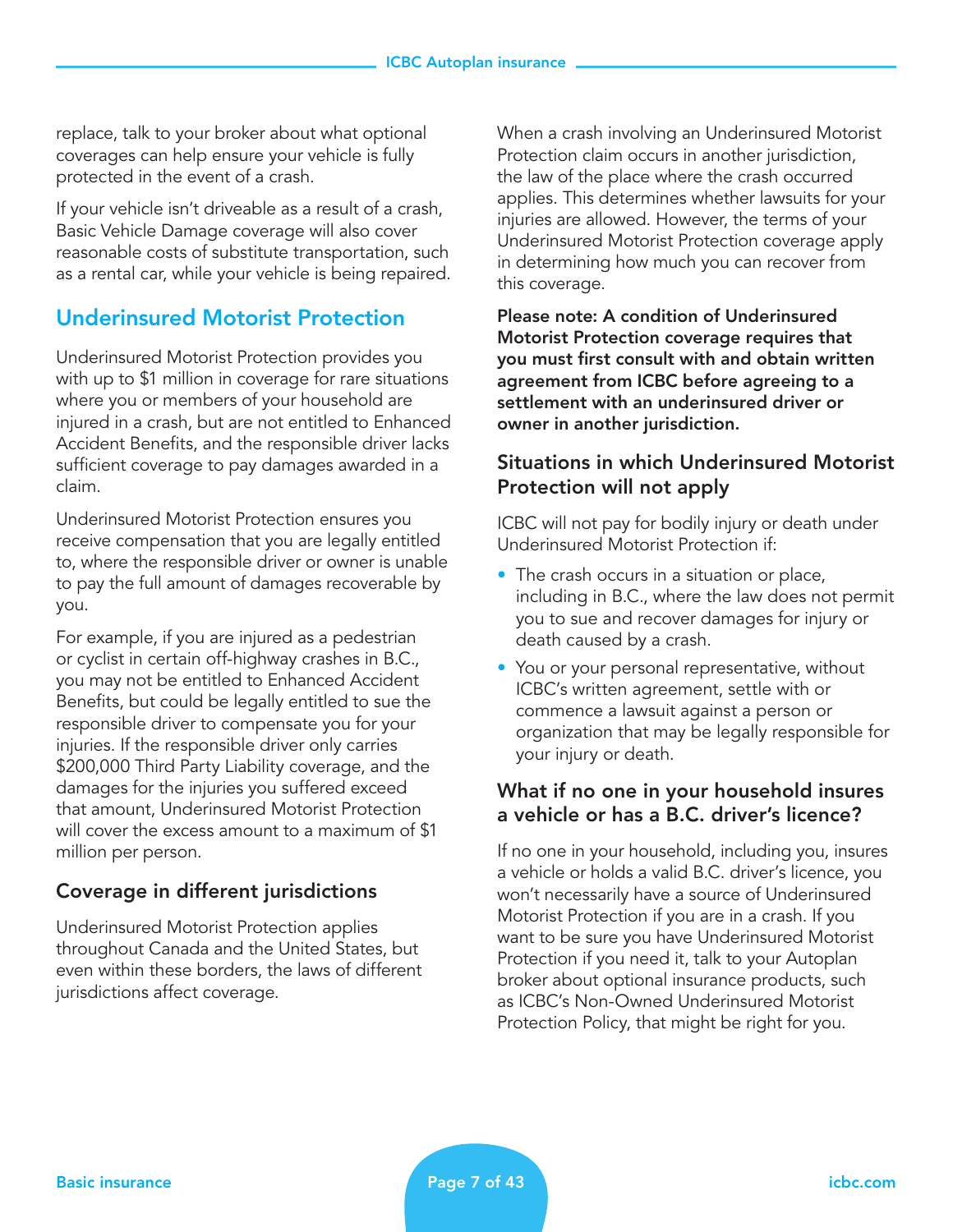replace, talk to your broker about what optional coverages can help ensure your vehicle is fully protected in the event of a crash.

If your vehicle isn't driveable as a result of a crash, Basic Vehicle Damage coverage will also cover reasonable costs of substitute transportation, such as a rental car, while your vehicle is being repaired.

## Underinsured Motorist Protection

Underinsured Motorist Protection provides you with up to \$1 million in coverage for rare situations where you or members of your household are injured in a crash, but are not entitled to Enhanced Accident Benefits, and the responsible driver lacks sufficient coverage to pay damages awarded in a claim.

Underinsured Motorist Protection ensures you receive compensation that you are legally entitled to, where the responsible driver or owner is unable to pay the full amount of damages recoverable by you.

For example, if you are injured as a pedestrian or cyclist in certain off-highway crashes in B.C., you may not be entitled to Enhanced Accident Benefits, but could be legally entitled to sue the responsible driver to compensate you for your injuries. If the responsible driver only carries \$200,000 Third Party Liability coverage, and the damages for the injuries you suffered exceed that amount, Underinsured Motorist Protection will cover the excess amount to a maximum of \$1 million per person.

## Coverage in different jurisdictions

Underinsured Motorist Protection applies throughout Canada and the United States, but even within these borders, the laws of different jurisdictions affect coverage.

When a crash involving an Underinsured Motorist Protection claim occurs in another jurisdiction, the law of the place where the crash occurred applies. This determines whether lawsuits for your injuries are allowed. However, the terms of your Underinsured Motorist Protection coverage apply in determining how much you can recover from this coverage.

Please note: A condition of Underinsured Motorist Protection coverage requires that you must first consult with and obtain written agreement from ICBC before agreeing to a settlement with an underinsured driver or owner in another jurisdiction.

### Situations in which Underinsured Motorist Protection will not apply

ICBC will not pay for bodily injury or death under Underinsured Motorist Protection if:

- The crash occurs in a situation or place, including in B.C., where the law does not permit you to sue and recover damages for injury or death caused by a crash.
- You or your personal representative, without ICBC's written agreement, settle with or commence a lawsuit against a person or organization that may be legally responsible for your injury or death.

#### What if no one in your household insures a vehicle or has a B.C. driver's licence?

If no one in your household, including you, insures a vehicle or holds a valid B.C. driver's licence, you won't necessarily have a source of Underinsured Motorist Protection if you are in a crash. If you want to be sure you have Underinsured Motorist Protection if you need it, talk to your Autoplan broker about optional insurance products, such as ICBC's Non-Owned Underinsured Motorist Protection Policy, that might be right for you.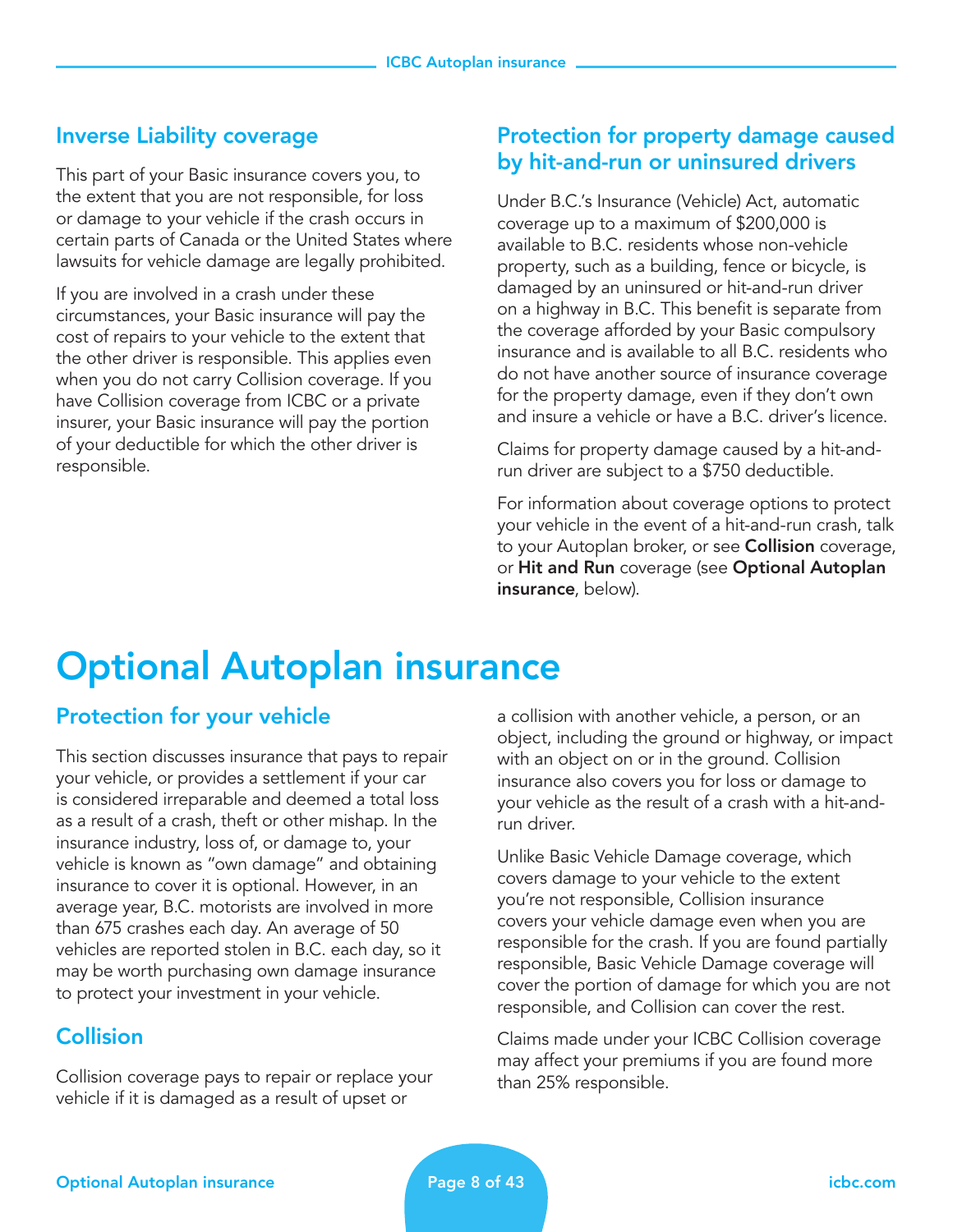## Inverse Liability coverage

This part of your Basic insurance covers you, to the extent that you are not responsible, for loss or damage to your vehicle if the crash occurs in certain parts of Canada or the United States where lawsuits for vehicle damage are legally prohibited.

If you are involved in a crash under these circumstances, your Basic insurance will pay the cost of repairs to your vehicle to the extent that the other driver is responsible. This applies even when you do not carry Collision coverage. If you have Collision coverage from ICBC or a private insurer, your Basic insurance will pay the portion of your deductible for which the other driver is responsible.

## Protection for property damage caused by hit-and-run or uninsured drivers

Under B.C.'s Insurance (Vehicle) Act, automatic coverage up to a maximum of \$200,000 is available to B.C. residents whose non-vehicle property, such as a building, fence or bicycle, is damaged by an uninsured or hit-and-run driver on a highway in B.C. This benefit is separate from the coverage afforded by your Basic compulsory insurance and is available to all B.C. residents who do not have another source of insurance coverage for the property damage, even if they don't own and insure a vehicle or have a B.C. driver's licence.

Claims for property damage caused by a hit-andrun driver are subject to a \$750 deductible.

For information about coverage options to protect your vehicle in the event of a hit-and-run crash, talk to your Autoplan broker, or see **Collision** coverage, or Hit and Run coverage (see Optional Autoplan insurance, below).

## Optional Autoplan insurance

## Protection for your vehicle

This section discusses insurance that pays to repair your vehicle, or provides a settlement if your car is considered irreparable and deemed a total loss as a result of a crash, theft or other mishap. In the insurance industry, loss of, or damage to, your vehicle is known as "own damage" and obtaining insurance to cover it is optional. However, in an average year, B.C. motorists are involved in more than 675 crashes each day. An average of 50 vehicles are reported stolen in B.C. each day, so it may be worth purchasing own damage insurance to protect your investment in your vehicle.

## **Collision**

Collision coverage pays to repair or replace your vehicle if it is damaged as a result of upset or

a collision with another vehicle, a person, or an object, including the ground or highway, or impact with an object on or in the ground. Collision insurance also covers you for loss or damage to your vehicle as the result of a crash with a hit-andrun driver.

Unlike Basic Vehicle Damage coverage, which covers damage to your vehicle to the extent you're not responsible, Collision insurance covers your vehicle damage even when you are responsible for the crash. If you are found partially responsible, Basic Vehicle Damage coverage will cover the portion of damage for which you are not responsible, and Collision can cover the rest.

Claims made under your ICBC Collision coverage may affect your premiums if you are found more than 25% responsible.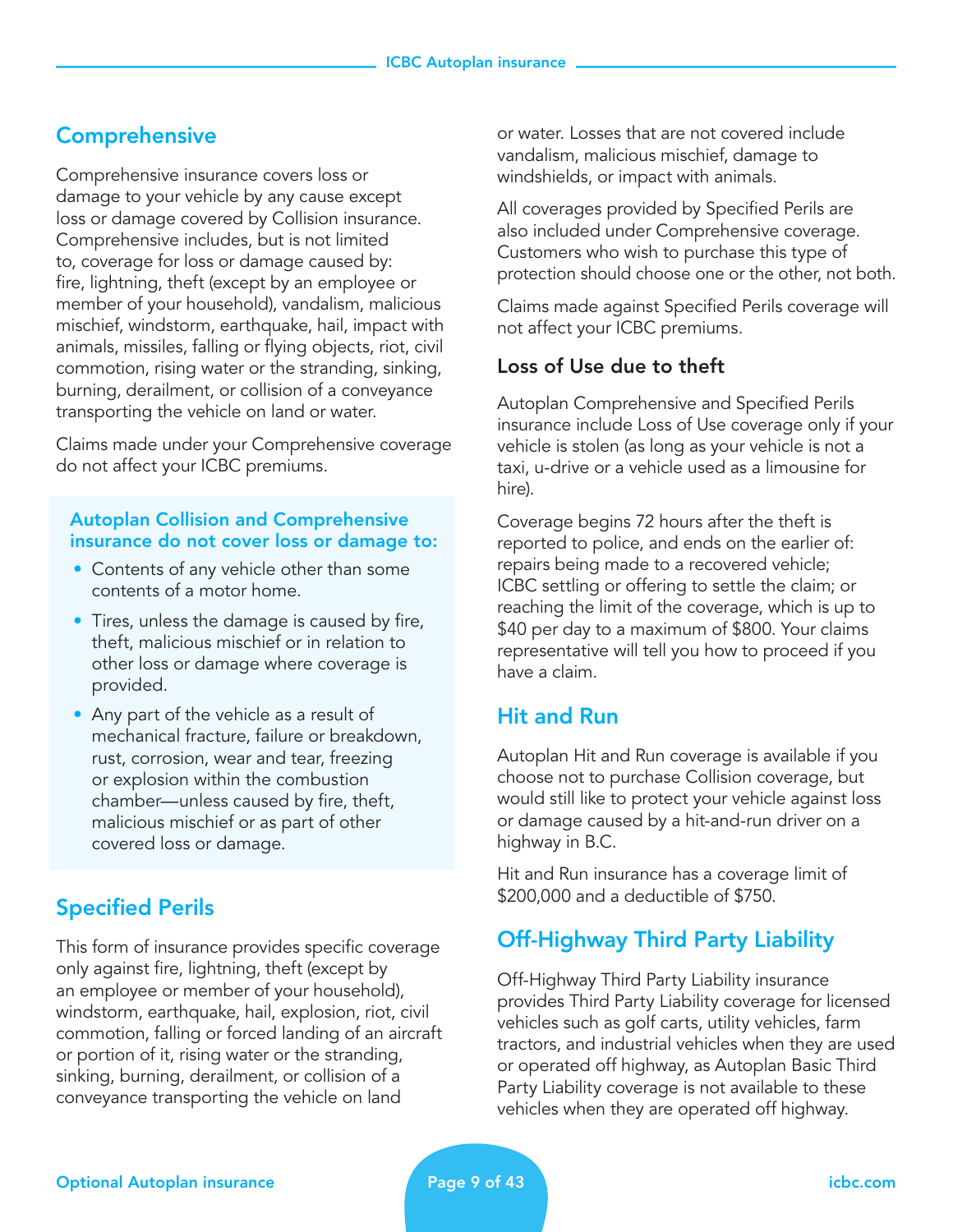## **Comprehensive**

Comprehensive insurance covers loss or damage to your vehicle by any cause except loss or damage covered by Collision insurance. Comprehensive includes, but is not limited to, coverage for loss or damage caused by: fire, lightning, theft (except by an employee or member of your household), vandalism, malicious mischief, windstorm, earthquake, hail, impact with animals, missiles, falling or flying objects, riot, civil commotion, rising water or the stranding, sinking, burning, derailment, or collision of a conveyance transporting the vehicle on land or water.

Claims made under your Comprehensive coverage do not affect your ICBC premiums.

#### Autoplan Collision and Comprehensive insurance do not cover loss or damage to:

- Contents of any vehicle other than some contents of a motor home.
- Tires, unless the damage is caused by fire, theft, malicious mischief or in relation to other loss or damage where coverage is provided.
- Any part of the vehicle as a result of mechanical fracture, failure or breakdown, rust, corrosion, wear and tear, freezing or explosion within the combustion chamber—unless caused by fire, theft, malicious mischief or as part of other covered loss or damage.

## Specified Perils

This form of insurance provides specific coverage only against fire, lightning, theft (except by an employee or member of your household), windstorm, earthquake, hail, explosion, riot, civil commotion, falling or forced landing of an aircraft or portion of it, rising water or the stranding, sinking, burning, derailment, or collision of a conveyance transporting the vehicle on land

or water. Losses that are not covered include vandalism, malicious mischief, damage to windshields, or impact with animals.

All coverages provided by Specified Perils are also included under Comprehensive coverage. Customers who wish to purchase this type of protection should choose one or the other, not both.

Claims made against Specified Perils coverage will not affect your ICBC premiums.

## Loss of Use due to theft

Autoplan Comprehensive and Specified Perils insurance include Loss of Use coverage only if your vehicle is stolen (as long as your vehicle is not a taxi, u-drive or a vehicle used as a limousine for hire).

Coverage begins 72 hours after the theft is reported to police, and ends on the earlier of: repairs being made to a recovered vehicle; ICBC settling or offering to settle the claim; or reaching the limit of the coverage, which is up to \$40 per day to a maximum of \$800. Your claims representative will tell you how to proceed if you have a claim.

## Hit and Run

Autoplan Hit and Run coverage is available if you choose not to purchase Collision coverage, but would still like to protect your vehicle against loss or damage caused by a hit-and-run driver on a highway in B.C.

Hit and Run insurance has a coverage limit of \$200,000 and a deductible of \$750.

## Off-Highway Third Party Liability

Off-Highway Third Party Liability insurance provides Third Party Liability coverage for licensed vehicles such as golf carts, utility vehicles, farm tractors, and industrial vehicles when they are used or operated off highway, as Autoplan Basic Third Party Liability coverage is not available to these vehicles when they are operated off highway.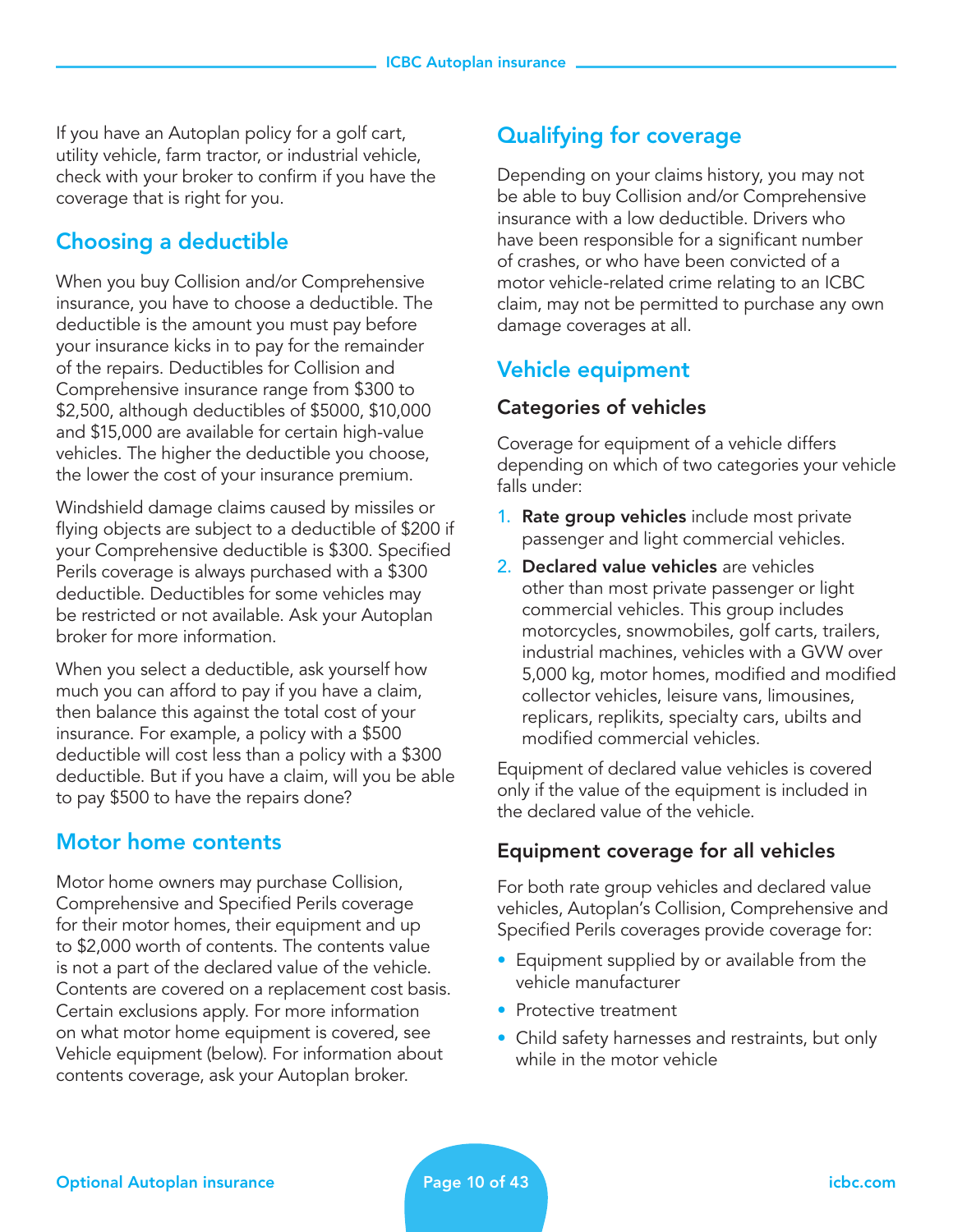If you have an Autoplan policy for a golf cart, utility vehicle, farm tractor, or industrial vehicle, check with your broker to confirm if you have the coverage that is right for you.

## Choosing a deductible

When you buy Collision and/or Comprehensive insurance, you have to choose a deductible. The deductible is the amount you must pay before your insurance kicks in to pay for the remainder of the repairs. Deductibles for Collision and Comprehensive insurance range from \$300 to \$2,500, although deductibles of \$5000, \$10,000 and \$15,000 are available for certain high-value vehicles. The higher the deductible you choose, the lower the cost of your insurance premium.

Windshield damage claims caused by missiles or flying objects are subject to a deductible of \$200 if your Comprehensive deductible is \$300. Specified Perils coverage is always purchased with a \$300 deductible. Deductibles for some vehicles may be restricted or not available. Ask your Autoplan broker for more information.

When you select a deductible, ask yourself how much you can afford to pay if you have a claim, then balance this against the total cost of your insurance. For example, a policy with a \$500 deductible will cost less than a policy with a \$300 deductible. But if you have a claim, will you be able to pay \$500 to have the repairs done?

## Motor home contents

Motor home owners may purchase Collision, Comprehensive and Specified Perils coverage for their motor homes, their equipment and up to \$2,000 worth of contents. The contents value is not a part of the declared value of the vehicle. Contents are covered on a replacement cost basis. Certain exclusions apply. For more information on what motor home equipment is covered, see Vehicle equipment (below). For information about contents coverage, ask your Autoplan broker.

## Qualifying for coverage

Depending on your claims history, you may not be able to buy Collision and/or Comprehensive insurance with a low deductible. Drivers who have been responsible for a significant number of crashes, or who have been convicted of a motor vehicle-related crime relating to an ICBC claim, may not be permitted to purchase any own damage coverages at all.

## Vehicle equipment

#### Categories of vehicles

Coverage for equipment of a vehicle differs depending on which of two categories your vehicle falls under:

- **1. Rate group vehicles** include most private passenger and light commercial vehicles.
- 2. Declared value vehicles are vehicles other than most private passenger or light commercial vehicles. This group includes motorcycles, snowmobiles, golf carts, trailers, industrial machines, vehicles with a GVW over 5,000 kg, motor homes, modified and modified collector vehicles, leisure vans, limousines, replicars, replikits, specialty cars, ubilts and modified commercial vehicles.

Equipment of declared value vehicles is covered only if the value of the equipment is included in the declared value of the vehicle.

#### Equipment coverage for all vehicles

For both rate group vehicles and declared value vehicles, Autoplan's Collision, Comprehensive and Specified Perils coverages provide coverage for:

- Equipment supplied by or available from the vehicle manufacturer
- Protective treatment
- Child safety harnesses and restraints, but only while in the motor vehicle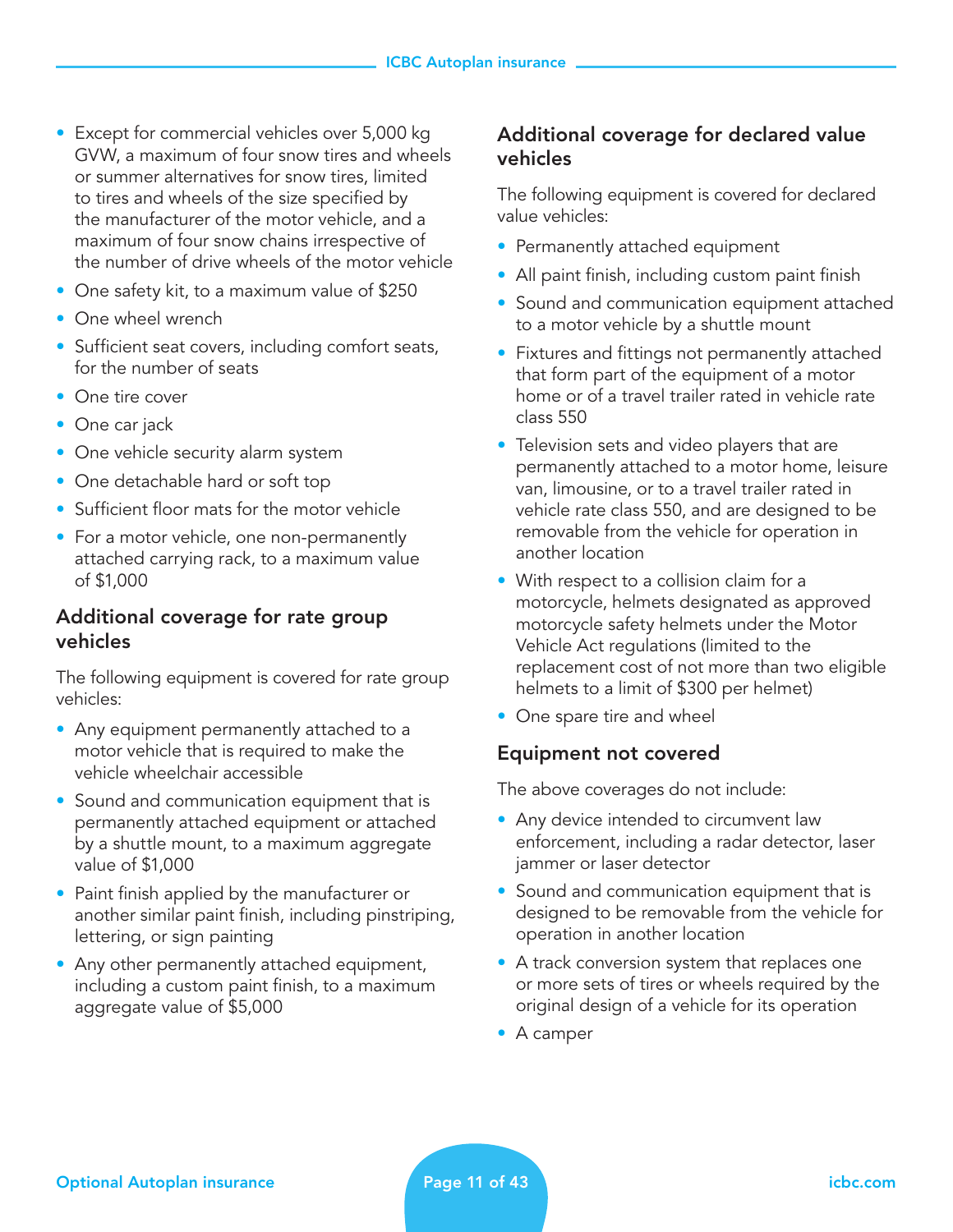- Except for commercial vehicles over 5,000 kg GVW, a maximum of four snow tires and wheels or summer alternatives for snow tires, limited to tires and wheels of the size specified by the manufacturer of the motor vehicle, and a maximum of four snow chains irrespective of the number of drive wheels of the motor vehicle
- One safety kit, to a maximum value of \$250
- One wheel wrench
- Sufficient seat covers, including comfort seats, for the number of seats
- One tire cover
- One car jack
- One vehicle security alarm system
- One detachable hard or soft top
- Sufficient floor mats for the motor vehicle
- For a motor vehicle, one non-permanently attached carrying rack, to a maximum value of \$1,000

#### Additional coverage for rate group vehicles

The following equipment is covered for rate group vehicles:

- Any equipment permanently attached to a motor vehicle that is required to make the vehicle wheelchair accessible
- Sound and communication equipment that is permanently attached equipment or attached by a shuttle mount, to a maximum aggregate value of \$1,000
- Paint finish applied by the manufacturer or another similar paint finish, including pinstriping, lettering, or sign painting
- Any other permanently attached equipment, including a custom paint finish, to a maximum aggregate value of \$5,000

#### Additional coverage for declared value vehicles

The following equipment is covered for declared value vehicles:

- Permanently attached equipment
- All paint finish, including custom paint finish
- Sound and communication equipment attached to a motor vehicle by a shuttle mount
- Fixtures and fittings not permanently attached that form part of the equipment of a motor home or of a travel trailer rated in vehicle rate class 550
- Television sets and video players that are permanently attached to a motor home, leisure van, limousine, or to a travel trailer rated in vehicle rate class 550, and are designed to be removable from the vehicle for operation in another location
- With respect to a collision claim for a motorcycle, helmets designated as approved motorcycle safety helmets under the Motor Vehicle Act regulations (limited to the replacement cost of not more than two eligible helmets to a limit of \$300 per helmet)
- One spare tire and wheel

#### Equipment not covered

The above coverages do not include:

- Any device intended to circumvent law enforcement, including a radar detector, laser jammer or laser detector
- Sound and communication equipment that is designed to be removable from the vehicle for operation in another location
- A track conversion system that replaces one or more sets of tires or wheels required by the original design of a vehicle for its operation
- A camper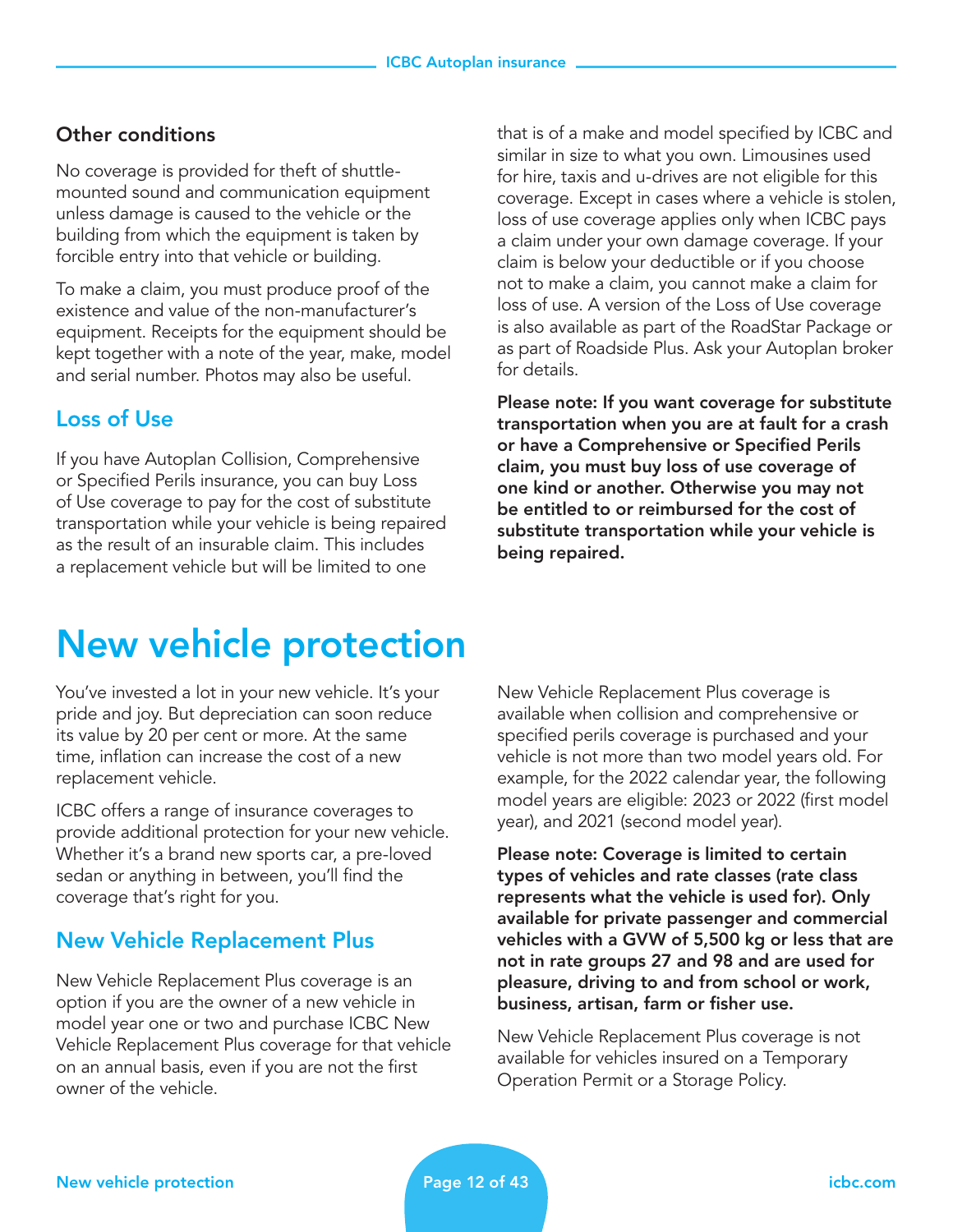#### Other conditions

No coverage is provided for theft of shuttlemounted sound and communication equipment unless damage is caused to the vehicle or the building from which the equipment is taken by forcible entry into that vehicle or building.

To make a claim, you must produce proof of the existence and value of the non-manufacturer's equipment. Receipts for the equipment should be kept together with a note of the year, make, model and serial number. Photos may also be useful.

## Loss of Use

If you have Autoplan Collision, Comprehensive or Specified Perils insurance, you can buy Loss of Use coverage to pay for the cost of substitute transportation while your vehicle is being repaired as the result of an insurable claim. This includes a replacement vehicle but will be limited to one

that is of a make and model specified by ICBC and similar in size to what you own. Limousines used for hire, taxis and u-drives are not eligible for this coverage. Except in cases where a vehicle is stolen, loss of use coverage applies only when ICBC pays a claim under your own damage coverage. If your claim is below your deductible or if you choose not to make a claim, you cannot make a claim for loss of use. A version of the Loss of Use coverage is also available as part of the RoadStar Package or as part of Roadside Plus. Ask your Autoplan broker for details.

Please note: If you want coverage for substitute transportation when you are at fault for a crash or have a Comprehensive or Specified Perils claim, you must buy loss of use coverage of one kind or another. Otherwise you may not be entitled to or reimbursed for the cost of substitute transportation while your vehicle is being repaired.

## New vehicle protection

You've invested a lot in your new vehicle. It's your pride and joy. But depreciation can soon reduce its value by 20 per cent or more. At the same time, inflation can increase the cost of a new replacement vehicle.

ICBC offers a range of insurance coverages to provide additional protection for your new vehicle. Whether it's a brand new sports car, a pre-loved sedan or anything in between, you'll find the coverage that's right for you.

## New Vehicle Replacement Plus

New Vehicle Replacement Plus coverage is an option if you are the owner of a new vehicle in model year one or two and purchase ICBC New Vehicle Replacement Plus coverage for that vehicle on an annual basis, even if you are not the first owner of the vehicle.

New Vehicle Replacement Plus coverage is available when collision and comprehensive or specified perils coverage is purchased and your vehicle is not more than two model years old. For example, for the 2022 calendar year, the following model years are eligible: 2023 or 2022 (first model year), and 2021 (second model year).

Please note: Coverage is limited to certain types of vehicles and rate classes (rate class represents what the vehicle is used for). Only available for private passenger and commercial vehicles with a GVW of 5,500 kg or less that are not in rate groups 27 and 98 and are used for pleasure, driving to and from school or work, business, artisan, farm or fisher use.

New Vehicle Replacement Plus coverage is not available for vehicles insured on a Temporary Operation Permit or a Storage Policy.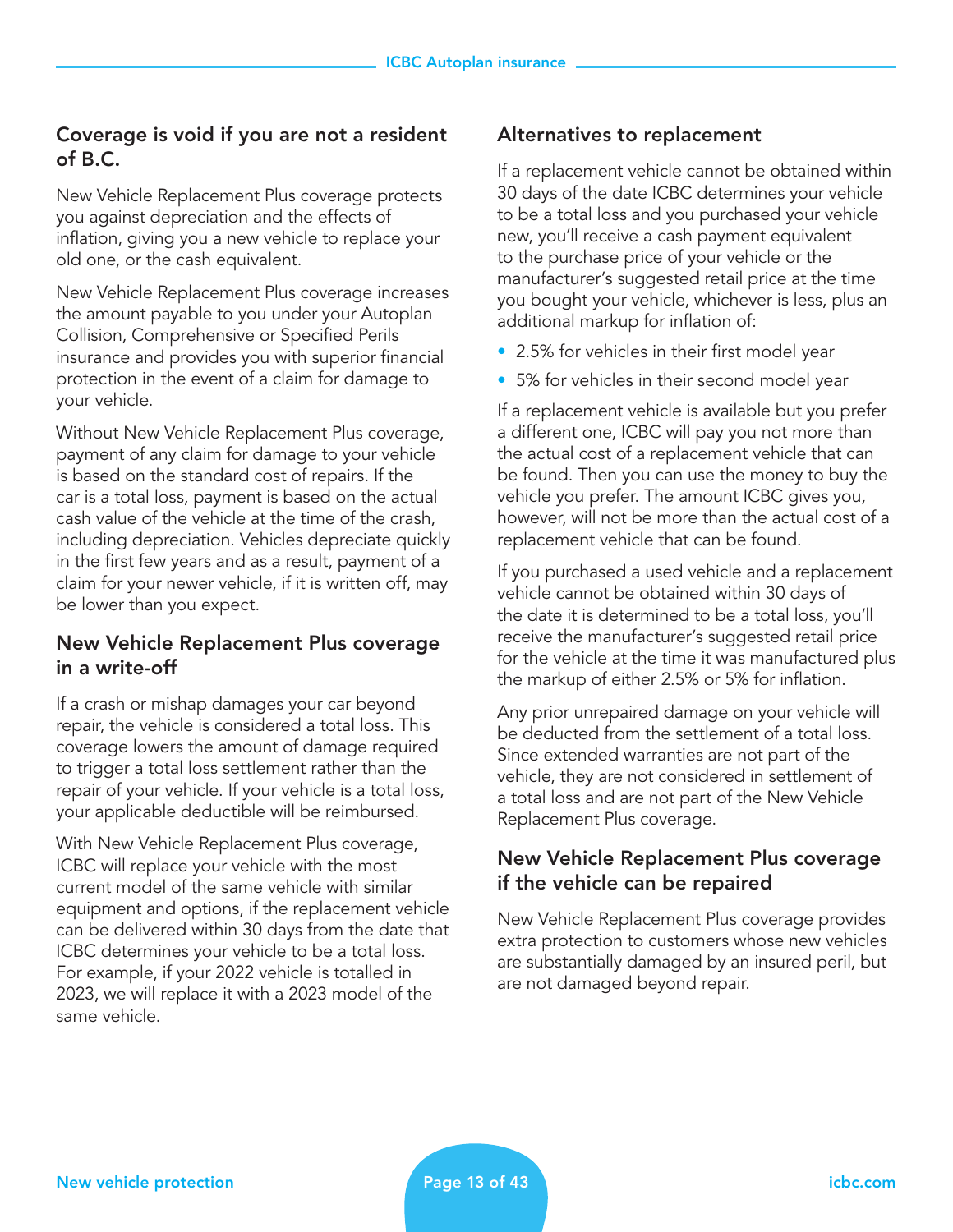#### Coverage is void if you are not a resident of B.C.

New Vehicle Replacement Plus coverage protects you against depreciation and the effects of inflation, giving you a new vehicle to replace your old one, or the cash equivalent.

New Vehicle Replacement Plus coverage increases the amount payable to you under your Autoplan Collision, Comprehensive or Specified Perils insurance and provides you with superior financial protection in the event of a claim for damage to your vehicle.

Without New Vehicle Replacement Plus coverage, payment of any claim for damage to your vehicle is based on the standard cost of repairs. If the car is a total loss, payment is based on the actual cash value of the vehicle at the time of the crash, including depreciation. Vehicles depreciate quickly in the first few years and as a result, payment of a claim for your newer vehicle, if it is written off, may be lower than you expect.

#### New Vehicle Replacement Plus coverage in a write-off

If a crash or mishap damages your car beyond repair, the vehicle is considered a total loss. This coverage lowers the amount of damage required to trigger a total loss settlement rather than the repair of your vehicle. If your vehicle is a total loss, your applicable deductible will be reimbursed.

With New Vehicle Replacement Plus coverage, ICBC will replace your vehicle with the most current model of the same vehicle with similar equipment and options, if the replacement vehicle can be delivered within 30 days from the date that ICBC determines your vehicle to be a total loss. For example, if your 2022 vehicle is totalled in 2023, we will replace it with a 2023 model of the same vehicle.

### Alternatives to replacement

If a replacement vehicle cannot be obtained within 30 days of the date ICBC determines your vehicle to be a total loss and you purchased your vehicle new, you'll receive a cash payment equivalent to the purchase price of your vehicle or the manufacturer's suggested retail price at the time you bought your vehicle, whichever is less, plus an additional markup for inflation of:

- 2.5% for vehicles in their first model year
- 5% for vehicles in their second model year

If a replacement vehicle is available but you prefer a different one, ICBC will pay you not more than the actual cost of a replacement vehicle that can be found. Then you can use the money to buy the vehicle you prefer. The amount ICBC gives you, however, will not be more than the actual cost of a replacement vehicle that can be found.

If you purchased a used vehicle and a replacement vehicle cannot be obtained within 30 days of the date it is determined to be a total loss, you'll receive the manufacturer's suggested retail price for the vehicle at the time it was manufactured plus the markup of either 2.5% or 5% for inflation.

Any prior unrepaired damage on your vehicle will be deducted from the settlement of a total loss. Since extended warranties are not part of the vehicle, they are not considered in settlement of a total loss and are not part of the New Vehicle Replacement Plus coverage.

#### New Vehicle Replacement Plus coverage if the vehicle can be repaired

New Vehicle Replacement Plus coverage provides extra protection to customers whose new vehicles are substantially damaged by an insured peril, but are not damaged beyond repair.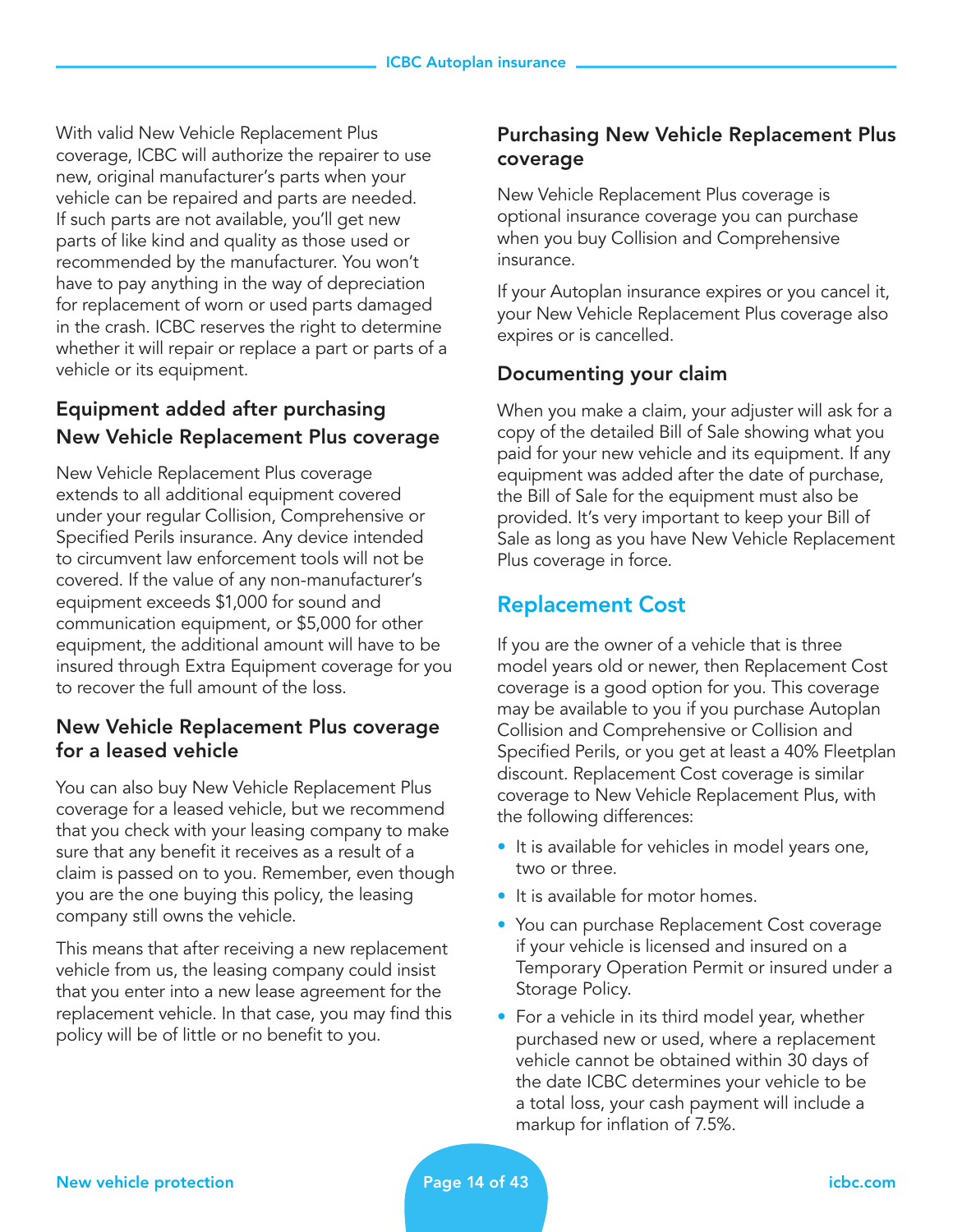With valid New Vehicle Replacement Plus coverage, ICBC will authorize the repairer to use new, original manufacturer's parts when your vehicle can be repaired and parts are needed. If such parts are not available, you'll get new parts of like kind and quality as those used or recommended by the manufacturer. You won't have to pay anything in the way of depreciation for replacement of worn or used parts damaged in the crash. ICBC reserves the right to determine whether it will repair or replace a part or parts of a vehicle or its equipment.

## Equipment added after purchasing New Vehicle Replacement Plus coverage

New Vehicle Replacement Plus coverage extends to all additional equipment covered under your regular Collision, Comprehensive or Specified Perils insurance. Any device intended to circumvent law enforcement tools will not be covered. If the value of any non-manufacturer's equipment exceeds \$1,000 for sound and communication equipment, or \$5,000 for other equipment, the additional amount will have to be insured through Extra Equipment coverage for you to recover the full amount of the loss.

#### New Vehicle Replacement Plus coverage for a leased vehicle

You can also buy New Vehicle Replacement Plus coverage for a leased vehicle, but we recommend that you check with your leasing company to make sure that any benefit it receives as a result of a claim is passed on to you. Remember, even though you are the one buying this policy, the leasing company still owns the vehicle.

This means that after receiving a new replacement vehicle from us, the leasing company could insist that you enter into a new lease agreement for the replacement vehicle. In that case, you may find this policy will be of little or no benefit to you.

## Purchasing New Vehicle Replacement Plus coverage

New Vehicle Replacement Plus coverage is optional insurance coverage you can purchase when you buy Collision and Comprehensive insurance.

If your Autoplan insurance expires or you cancel it, your New Vehicle Replacement Plus coverage also expires or is cancelled.

## Documenting your claim

When you make a claim, your adjuster will ask for a copy of the detailed Bill of Sale showing what you paid for your new vehicle and its equipment. If any equipment was added after the date of purchase, the Bill of Sale for the equipment must also be provided. It's very important to keep your Bill of Sale as long as you have New Vehicle Replacement Plus coverage in force.

## Replacement Cost

If you are the owner of a vehicle that is three model years old or newer, then Replacement Cost coverage is a good option for you. This coverage may be available to you if you purchase Autoplan Collision and Comprehensive or Collision and Specified Perils, or you get at least a 40% Fleetplan discount. Replacement Cost coverage is similar coverage to New Vehicle Replacement Plus, with the following differences:

- It is available for vehicles in model years one, two or three.
- It is available for motor homes.
- You can purchase Replacement Cost coverage if your vehicle is licensed and insured on a Temporary Operation Permit or insured under a Storage Policy.
- For a vehicle in its third model year, whether purchased new or used, where a replacement vehicle cannot be obtained within 30 days of the date ICBC determines your vehicle to be a total loss, your cash payment will include a markup for inflation of 7.5%.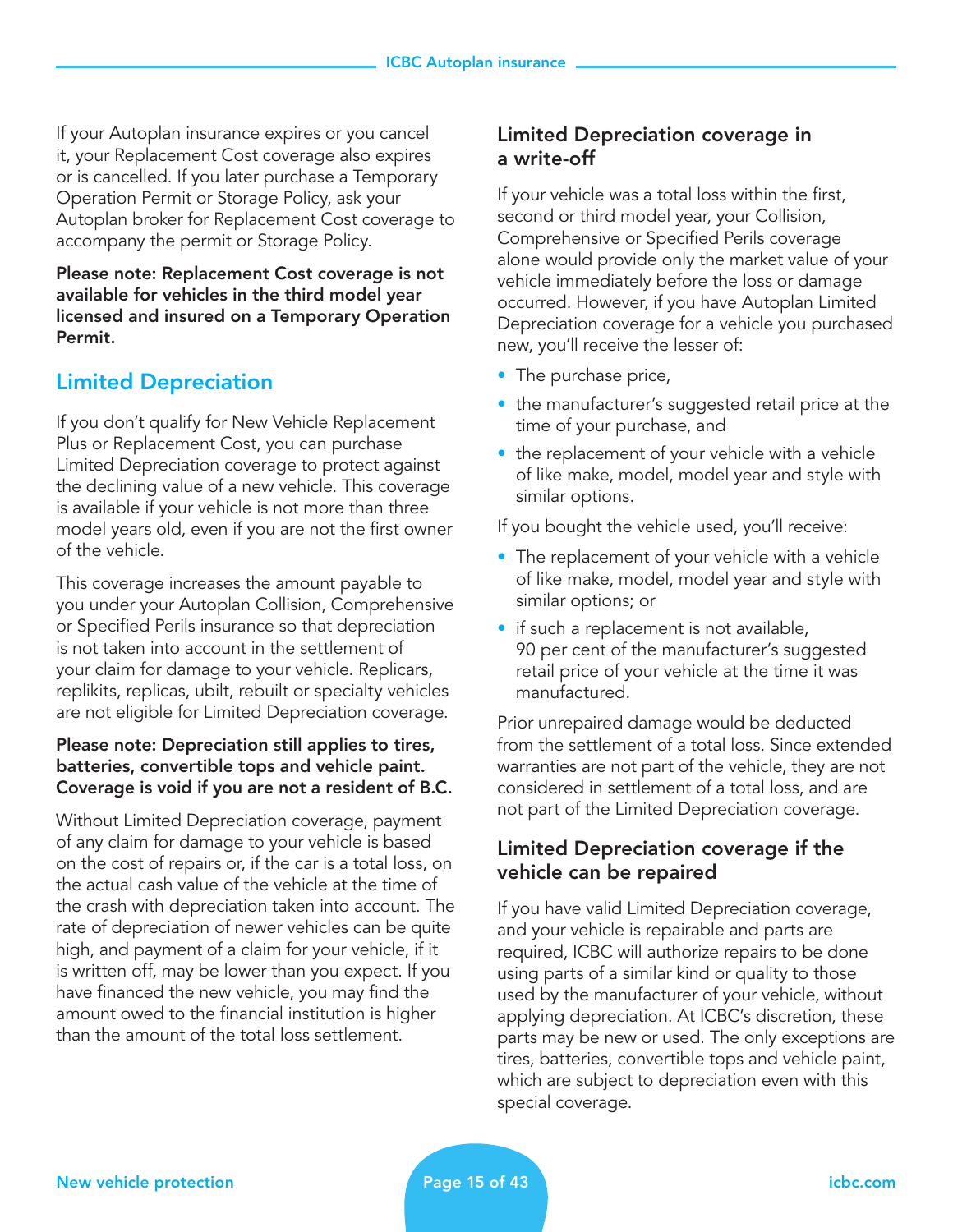If your Autoplan insurance expires or you cancel it, your Replacement Cost coverage also expires or is cancelled. If you later purchase a Temporary Operation Permit or Storage Policy, ask your Autoplan broker for Replacement Cost coverage to accompany the permit or Storage Policy.

Please note: Replacement Cost coverage is not available for vehicles in the third model year licensed and insured on a Temporary Operation Permit.

## Limited Depreciation

If you don't qualify for New Vehicle Replacement Plus or Replacement Cost, you can purchase Limited Depreciation coverage to protect against the declining value of a new vehicle. This coverage is available if your vehicle is not more than three model years old, even if you are not the first owner of the vehicle.

This coverage increases the amount payable to you under your Autoplan Collision, Comprehensive or Specified Perils insurance so that depreciation is not taken into account in the settlement of your claim for damage to your vehicle. Replicars, replikits, replicas, ubilt, rebuilt or specialty vehicles are not eligible for Limited Depreciation coverage.

#### Please note: Depreciation still applies to tires, batteries, convertible tops and vehicle paint. Coverage is void if you are not a resident of B.C.

Without Limited Depreciation coverage, payment of any claim for damage to your vehicle is based on the cost of repairs or, if the car is a total loss, on the actual cash value of the vehicle at the time of the crash with depreciation taken into account. The rate of depreciation of newer vehicles can be quite high, and payment of a claim for your vehicle, if it is written off, may be lower than you expect. If you have financed the new vehicle, you may find the amount owed to the financial institution is higher than the amount of the total loss settlement.

## Limited Depreciation coverage in a write-off

If your vehicle was a total loss within the first, second or third model year, your Collision, Comprehensive or Specified Perils coverage alone would provide only the market value of your vehicle immediately before the loss or damage occurred. However, if you have Autoplan Limited Depreciation coverage for a vehicle you purchased new, you'll receive the lesser of:

- The purchase price,
- the manufacturer's suggested retail price at the time of your purchase, and
- the replacement of your vehicle with a vehicle of like make, model, model year and style with similar options.

If you bought the vehicle used, you'll receive:

- The replacement of your vehicle with a vehicle of like make, model, model year and style with similar options; or
- if such a replacement is not available, 90 per cent of the manufacturer's suggested retail price of your vehicle at the time it was manufactured.

Prior unrepaired damage would be deducted from the settlement of a total loss. Since extended warranties are not part of the vehicle, they are not considered in settlement of a total loss, and are not part of the Limited Depreciation coverage.

## Limited Depreciation coverage if the vehicle can be repaired

If you have valid Limited Depreciation coverage, and your vehicle is repairable and parts are required, ICBC will authorize repairs to be done using parts of a similar kind or quality to those used by the manufacturer of your vehicle, without applying depreciation. At ICBC's discretion, these parts may be new or used. The only exceptions are tires, batteries, convertible tops and vehicle paint, which are subject to depreciation even with this special coverage.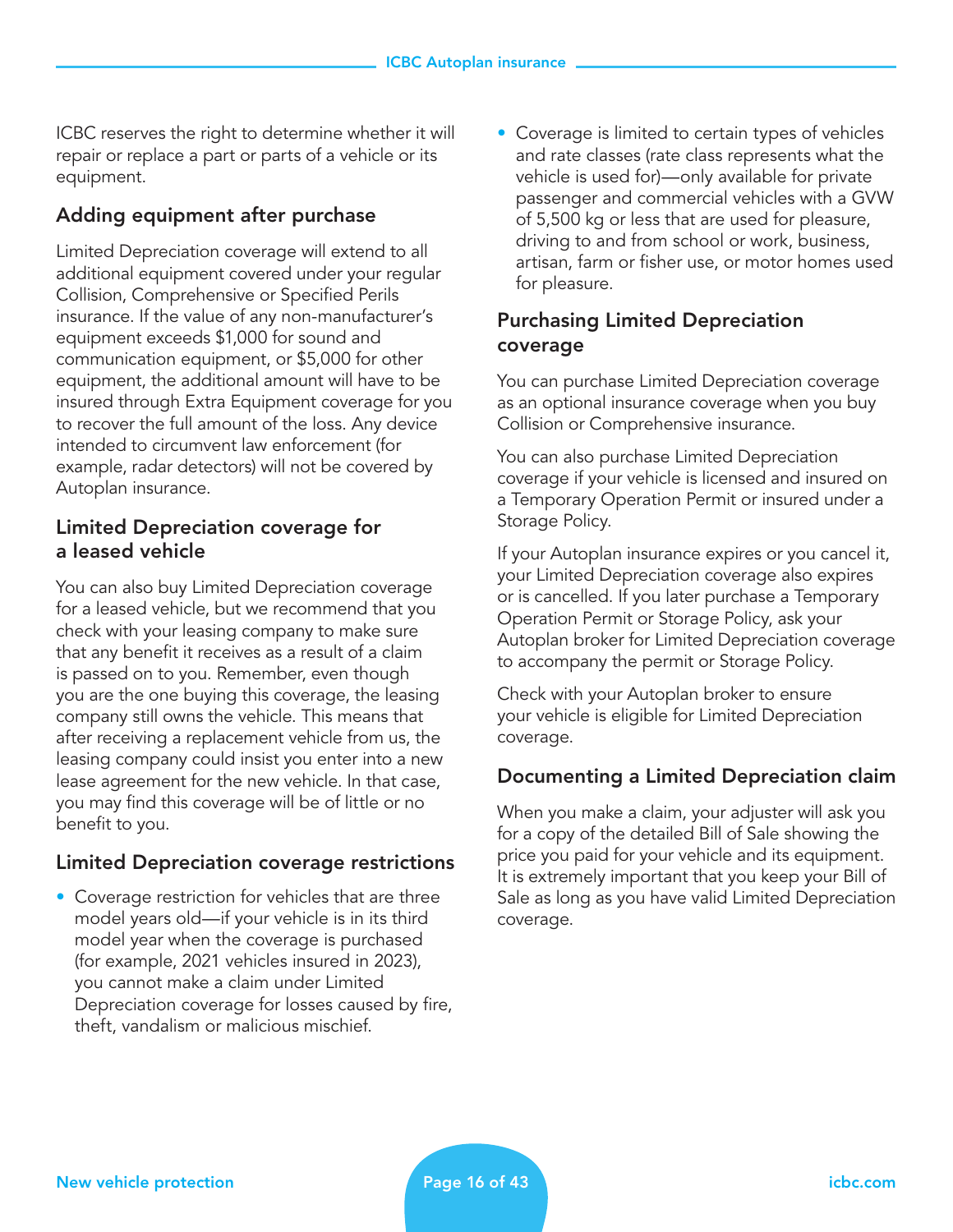ICBC reserves the right to determine whether it will repair or replace a part or parts of a vehicle or its equipment.

### Adding equipment after purchase

Limited Depreciation coverage will extend to all additional equipment covered under your regular Collision, Comprehensive or Specified Perils insurance. If the value of any non-manufacturer's equipment exceeds \$1,000 for sound and communication equipment, or \$5,000 for other equipment, the additional amount will have to be insured through Extra Equipment coverage for you to recover the full amount of the loss. Any device intended to circumvent law enforcement (for example, radar detectors) will not be covered by Autoplan insurance.

#### Limited Depreciation coverage for a leased vehicle

You can also buy Limited Depreciation coverage for a leased vehicle, but we recommend that you check with your leasing company to make sure that any benefit it receives as a result of a claim is passed on to you. Remember, even though you are the one buying this coverage, the leasing company still owns the vehicle. This means that after receiving a replacement vehicle from us, the leasing company could insist you enter into a new lease agreement for the new vehicle. In that case, you may find this coverage will be of little or no benefit to you.

#### Limited Depreciation coverage restrictions

• Coverage restriction for vehicles that are three model years old—if your vehicle is in its third model year when the coverage is purchased (for example, 2021 vehicles insured in 2023), you cannot make a claim under Limited Depreciation coverage for losses caused by fire, theft, vandalism or malicious mischief.

• Coverage is limited to certain types of vehicles and rate classes (rate class represents what the vehicle is used for)—only available for private passenger and commercial vehicles with a GVW of 5,500 kg or less that are used for pleasure, driving to and from school or work, business, artisan, farm or fisher use, or motor homes used for pleasure.

## Purchasing Limited Depreciation coverage

You can purchase Limited Depreciation coverage as an optional insurance coverage when you buy Collision or Comprehensive insurance.

You can also purchase Limited Depreciation coverage if your vehicle is licensed and insured on a Temporary Operation Permit or insured under a Storage Policy.

If your Autoplan insurance expires or you cancel it, your Limited Depreciation coverage also expires or is cancelled. If you later purchase a Temporary Operation Permit or Storage Policy, ask your Autoplan broker for Limited Depreciation coverage to accompany the permit or Storage Policy.

Check with your Autoplan broker to ensure your vehicle is eligible for Limited Depreciation coverage.

#### Documenting a Limited Depreciation claim

When you make a claim, your adjuster will ask you for a copy of the detailed Bill of Sale showing the price you paid for your vehicle and its equipment. It is extremely important that you keep your Bill of Sale as long as you have valid Limited Depreciation coverage.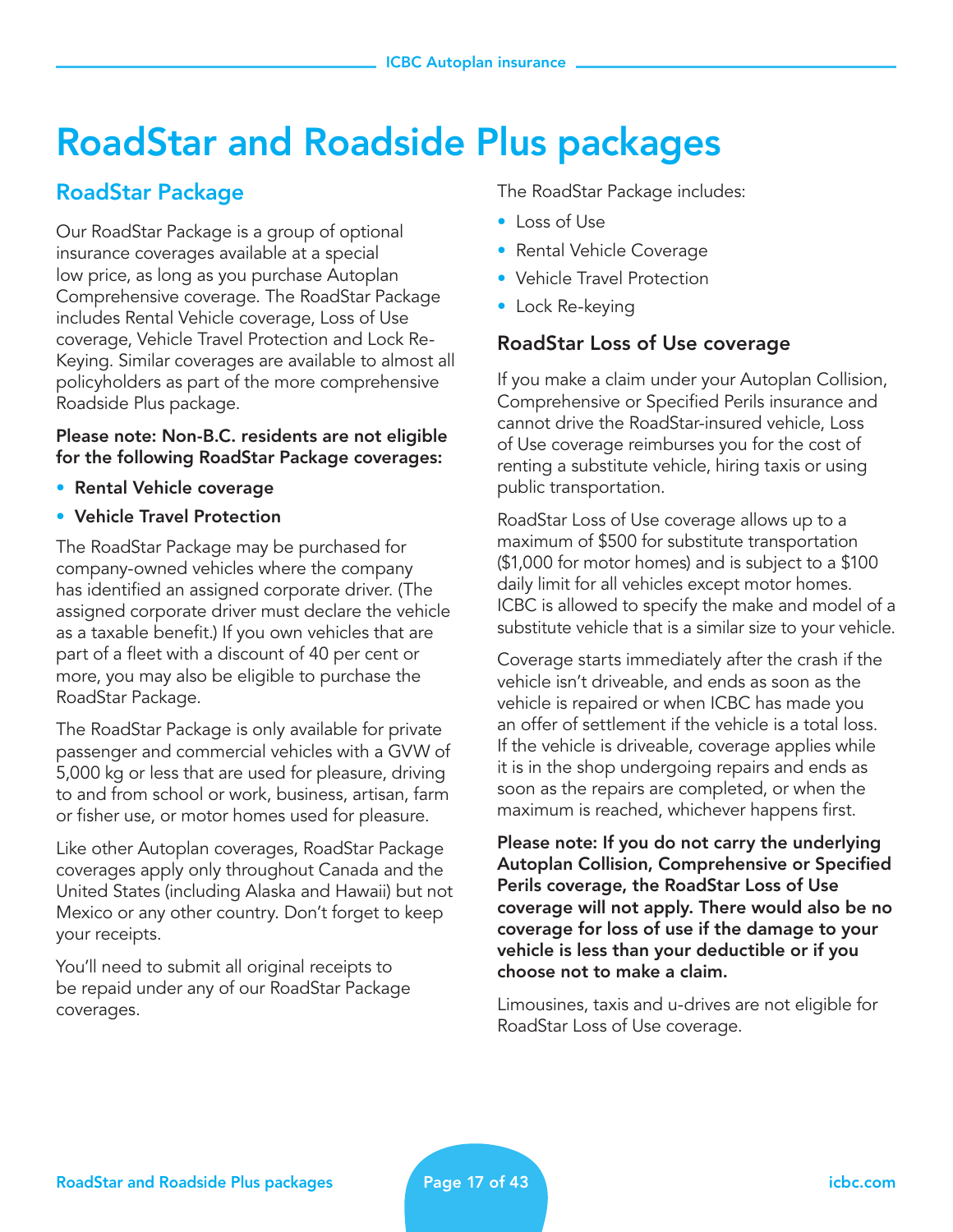## RoadStar and Roadside Plus packages

## RoadStar Package

Our RoadStar Package is a group of optional insurance coverages available at a special low price, as long as you purchase Autoplan Comprehensive coverage. The RoadStar Package includes Rental Vehicle coverage, Loss of Use coverage, Vehicle Travel Protection and Lock Re-Keying. Similar coverages are available to almost all policyholders as part of the more comprehensive Roadside Plus package.

Please note: Non-B.C. residents are not eligible for the following RoadStar Package coverages:

- Rental Vehicle coverage
- Vehicle Travel Protection

The RoadStar Package may be purchased for company-owned vehicles where the company has identified an assigned corporate driver. (The assigned corporate driver must declare the vehicle as a taxable benefit.) If you own vehicles that are part of a fleet with a discount of 40 per cent or more, you may also be eligible to purchase the RoadStar Package.

The RoadStar Package is only available for private passenger and commercial vehicles with a GVW of 5,000 kg or less that are used for pleasure, driving to and from school or work, business, artisan, farm or fisher use, or motor homes used for pleasure.

Like other Autoplan coverages, RoadStar Package coverages apply only throughout Canada and the United States (including Alaska and Hawaii) but not Mexico or any other country. Don't forget to keep your receipts.

You'll need to submit all original receipts to be repaid under any of our RoadStar Package coverages.

The RoadStar Package includes:

- Loss of Use
- Rental Vehicle Coverage
- Vehicle Travel Protection
- Lock Re-keying

## RoadStar Loss of Use coverage

If you make a claim under your Autoplan Collision, Comprehensive or Specified Perils insurance and cannot drive the RoadStar-insured vehicle, Loss of Use coverage reimburses you for the cost of renting a substitute vehicle, hiring taxis or using public transportation.

RoadStar Loss of Use coverage allows up to a maximum of \$500 for substitute transportation (\$1,000 for motor homes) and is subject to a \$100 daily limit for all vehicles except motor homes. ICBC is allowed to specify the make and model of a substitute vehicle that is a similar size to your vehicle.

Coverage starts immediately after the crash if the vehicle isn't driveable, and ends as soon as the vehicle is repaired or when ICBC has made you an offer of settlement if the vehicle is a total loss. If the vehicle is driveable, coverage applies while it is in the shop undergoing repairs and ends as soon as the repairs are completed, or when the maximum is reached, whichever happens first.

Please note: If you do not carry the underlying Autoplan Collision, Comprehensive or Specified Perils coverage, the RoadStar Loss of Use coverage will not apply. There would also be no coverage for loss of use if the damage to your vehicle is less than your deductible or if you choose not to make a claim.

Limousines, taxis and u-drives are not eligible for RoadStar Loss of Use coverage.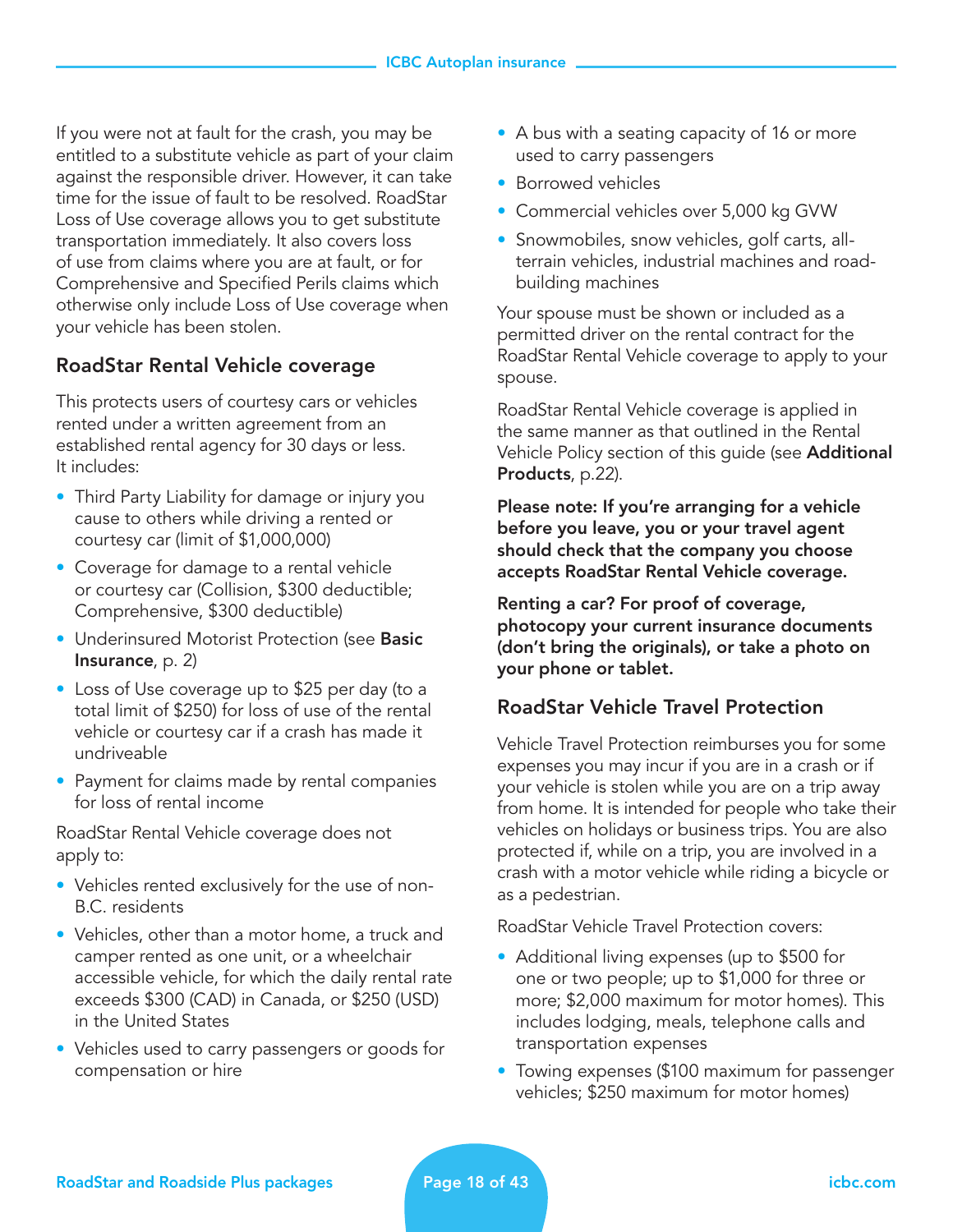If you were not at fault for the crash, you may be entitled to a substitute vehicle as part of your claim against the responsible driver. However, it can take time for the issue of fault to be resolved. RoadStar Loss of Use coverage allows you to get substitute transportation immediately. It also covers loss of use from claims where you are at fault, or for Comprehensive and Specified Perils claims which otherwise only include Loss of Use coverage when your vehicle has been stolen.

## RoadStar Rental Vehicle coverage

This protects users of courtesy cars or vehicles rented under a written agreement from an established rental agency for 30 days or less. It includes:

- Third Party Liability for damage or injury you cause to others while driving a rented or courtesy car (limit of \$1,000,000)
- Coverage for damage to a rental vehicle or courtesy car (Collision, \$300 deductible; Comprehensive, \$300 deductible)
- Underinsured Motorist Protection (see Basic Insurance, p. 2)
- Loss of Use coverage up to \$25 per day (to a total limit of \$250) for loss of use of the rental vehicle or courtesy car if a crash has made it undriveable
- Payment for claims made by rental companies for loss of rental income

RoadStar Rental Vehicle coverage does not apply to:

- Vehicles rented exclusively for the use of non-B.C. residents
- Vehicles, other than a motor home, a truck and camper rented as one unit, or a wheelchair accessible vehicle, for which the daily rental rate exceeds \$300 (CAD) in Canada, or \$250 (USD) in the United States
- Vehicles used to carry passengers or goods for compensation or hire
- A bus with a seating capacity of 16 or more used to carry passengers
- Borrowed vehicles
- Commercial vehicles over 5,000 kg GVW
- Snowmobiles, snow vehicles, golf carts, allterrain vehicles, industrial machines and roadbuilding machines

Your spouse must be shown or included as a permitted driver on the rental contract for the RoadStar Rental Vehicle coverage to apply to your spouse.

RoadStar Rental Vehicle coverage is applied in the same manner as that outlined in the Rental Vehicle Policy section of this guide (see Additional Products, p.22).

Please note: If you're arranging for a vehicle before you leave, you or your travel agent should check that the company you choose accepts RoadStar Rental Vehicle coverage.

Renting a car? For proof of coverage, photocopy your current insurance documents (don't bring the originals), or take a photo on your phone or tablet.

## RoadStar Vehicle Travel Protection

Vehicle Travel Protection reimburses you for some expenses you may incur if you are in a crash or if your vehicle is stolen while you are on a trip away from home. It is intended for people who take their vehicles on holidays or business trips. You are also protected if, while on a trip, you are involved in a crash with a motor vehicle while riding a bicycle or as a pedestrian.

RoadStar Vehicle Travel Protection covers:

- Additional living expenses (up to \$500 for one or two people; up to \$1,000 for three or more; \$2,000 maximum for motor homes). This includes lodging, meals, telephone calls and transportation expenses
- Towing expenses (\$100 maximum for passenger vehicles; \$250 maximum for motor homes)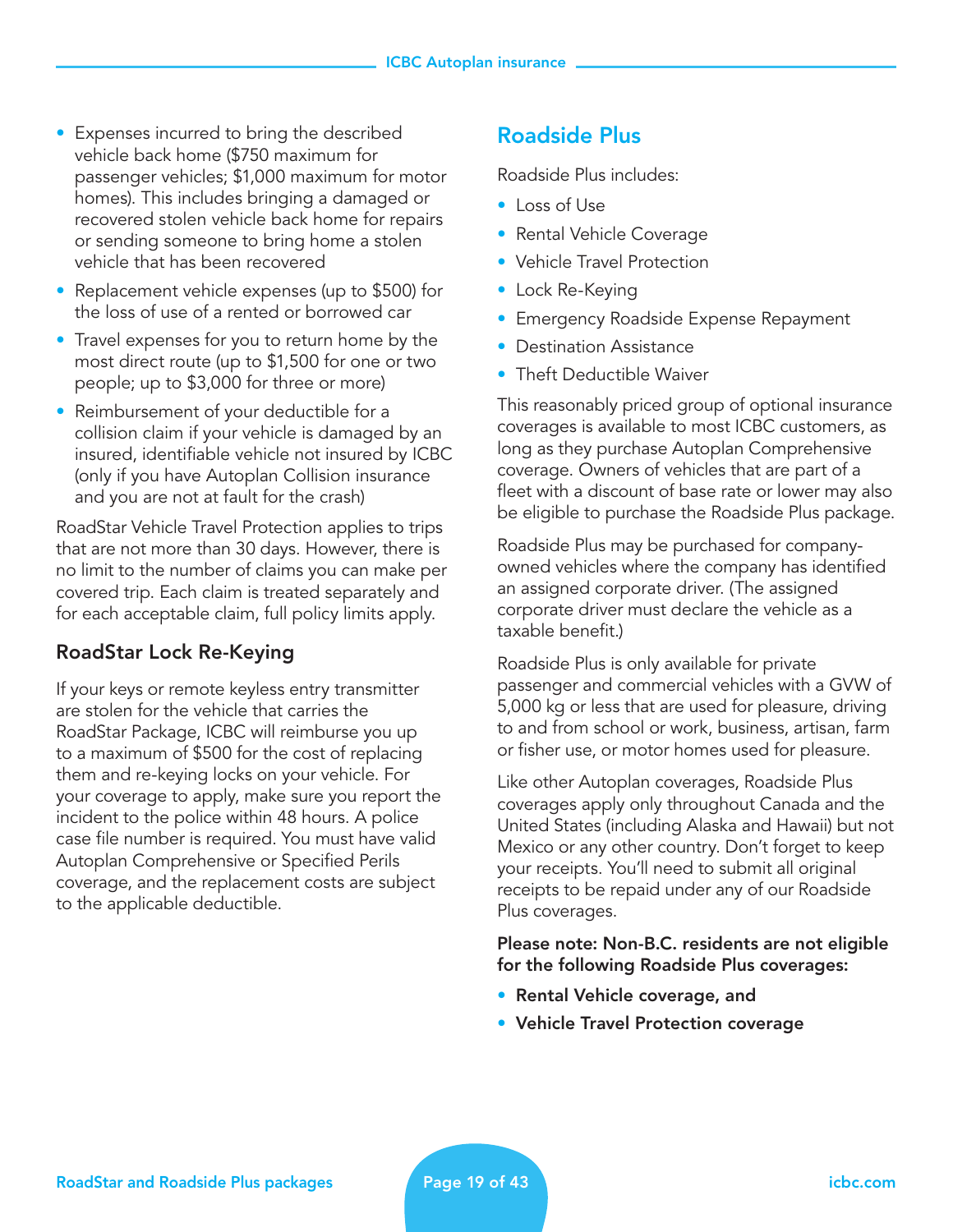- Expenses incurred to bring the described vehicle back home (\$750 maximum for passenger vehicles; \$1,000 maximum for motor homes). This includes bringing a damaged or recovered stolen vehicle back home for repairs or sending someone to bring home a stolen vehicle that has been recovered
- Replacement vehicle expenses (up to \$500) for the loss of use of a rented or borrowed car
- Travel expenses for you to return home by the most direct route (up to \$1,500 for one or two people; up to \$3,000 for three or more)
- Reimbursement of your deductible for a collision claim if your vehicle is damaged by an insured, identifiable vehicle not insured by ICBC (only if you have Autoplan Collision insurance and you are not at fault for the crash)

RoadStar Vehicle Travel Protection applies to trips that are not more than 30 days. However, there is no limit to the number of claims you can make per covered trip. Each claim is treated separately and for each acceptable claim, full policy limits apply.

## RoadStar Lock Re-Keying

If your keys or remote keyless entry transmitter are stolen for the vehicle that carries the RoadStar Package, ICBC will reimburse you up to a maximum of \$500 for the cost of replacing them and re-keying locks on your vehicle. For your coverage to apply, make sure you report the incident to the police within 48 hours. A police case file number is required. You must have valid Autoplan Comprehensive or Specified Perils coverage, and the replacement costs are subject to the applicable deductible.

## Roadside Plus

Roadside Plus includes:

- Loss of Use
- Rental Vehicle Coverage
- Vehicle Travel Protection
- Lock Re-Keying
- Emergency Roadside Expense Repayment
- Destination Assistance
- Theft Deductible Waiver

This reasonably priced group of optional insurance coverages is available to most ICBC customers, as long as they purchase Autoplan Comprehensive coverage. Owners of vehicles that are part of a fleet with a discount of base rate or lower may also be eligible to purchase the Roadside Plus package.

Roadside Plus may be purchased for companyowned vehicles where the company has identified an assigned corporate driver. (The assigned corporate driver must declare the vehicle as a taxable benefit.)

Roadside Plus is only available for private passenger and commercial vehicles with a GVW of 5,000 kg or less that are used for pleasure, driving to and from school or work, business, artisan, farm or fisher use, or motor homes used for pleasure.

Like other Autoplan coverages, Roadside Plus coverages apply only throughout Canada and the United States (including Alaska and Hawaii) but not Mexico or any other country. Don't forget to keep your receipts. You'll need to submit all original receipts to be repaid under any of our Roadside Plus coverages.

#### Please note: Non-B.C. residents are not eligible for the following Roadside Plus coverages:

- Rental Vehicle coverage, and
- Vehicle Travel Protection coverage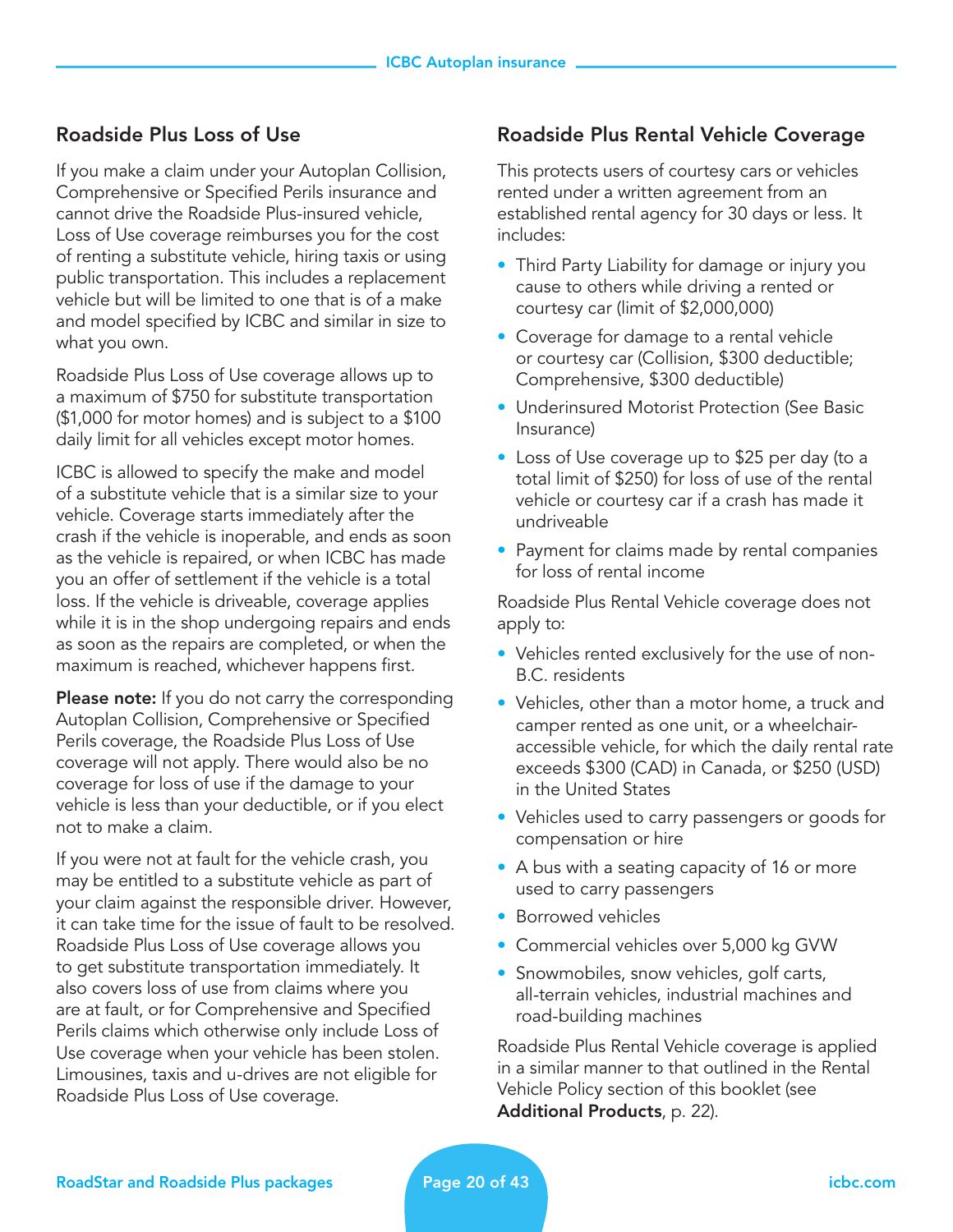#### Roadside Plus Loss of Use

If you make a claim under your Autoplan Collision, Comprehensive or Specified Perils insurance and cannot drive the Roadside Plus-insured vehicle, Loss of Use coverage reimburses you for the cost of renting a substitute vehicle, hiring taxis or using public transportation. This includes a replacement vehicle but will be limited to one that is of a make and model specified by ICBC and similar in size to what you own.

Roadside Plus Loss of Use coverage allows up to a maximum of \$750 for substitute transportation (\$1,000 for motor homes) and is subject to a \$100 daily limit for all vehicles except motor homes.

ICBC is allowed to specify the make and model of a substitute vehicle that is a similar size to your vehicle. Coverage starts immediately after the crash if the vehicle is inoperable, and ends as soon as the vehicle is repaired, or when ICBC has made you an offer of settlement if the vehicle is a total loss. If the vehicle is driveable, coverage applies while it is in the shop undergoing repairs and ends as soon as the repairs are completed, or when the maximum is reached, whichever happens first.

**Please note:** If you do not carry the corresponding Autoplan Collision, Comprehensive or Specified Perils coverage, the Roadside Plus Loss of Use coverage will not apply. There would also be no coverage for loss of use if the damage to your vehicle is less than your deductible, or if you elect not to make a claim.

If you were not at fault for the vehicle crash, you may be entitled to a substitute vehicle as part of your claim against the responsible driver. However, it can take time for the issue of fault to be resolved. Roadside Plus Loss of Use coverage allows you to get substitute transportation immediately. It also covers loss of use from claims where you are at fault, or for Comprehensive and Specified Perils claims which otherwise only include Loss of Use coverage when your vehicle has been stolen. Limousines, taxis and u-drives are not eligible for Roadside Plus Loss of Use coverage.

#### Roadside Plus Rental Vehicle Coverage

This protects users of courtesy cars or vehicles rented under a written agreement from an established rental agency for 30 days or less. It includes:

- Third Party Liability for damage or injury you cause to others while driving a rented or courtesy car (limit of \$2,000,000)
- Coverage for damage to a rental vehicle or courtesy car (Collision, \$300 deductible; Comprehensive, \$300 deductible)
- Underinsured Motorist Protection (See Basic Insurance)
- Loss of Use coverage up to \$25 per day (to a total limit of \$250) for loss of use of the rental vehicle or courtesy car if a crash has made it undriveable
- Payment for claims made by rental companies for loss of rental income

Roadside Plus Rental Vehicle coverage does not apply to:

- Vehicles rented exclusively for the use of non-B.C. residents
- Vehicles, other than a motor home, a truck and camper rented as one unit, or a wheelchairaccessible vehicle, for which the daily rental rate exceeds \$300 (CAD) in Canada, or \$250 (USD) in the United States
- Vehicles used to carry passengers or goods for compensation or hire
- A bus with a seating capacity of 16 or more used to carry passengers
- Borrowed vehicles
- Commercial vehicles over 5,000 kg GVW
- Snowmobiles, snow vehicles, golf carts, all-terrain vehicles, industrial machines and road-building machines

Roadside Plus Rental Vehicle coverage is applied in a similar manner to that outlined in the Rental Vehicle Policy section of this booklet (see Additional Products, p. 22).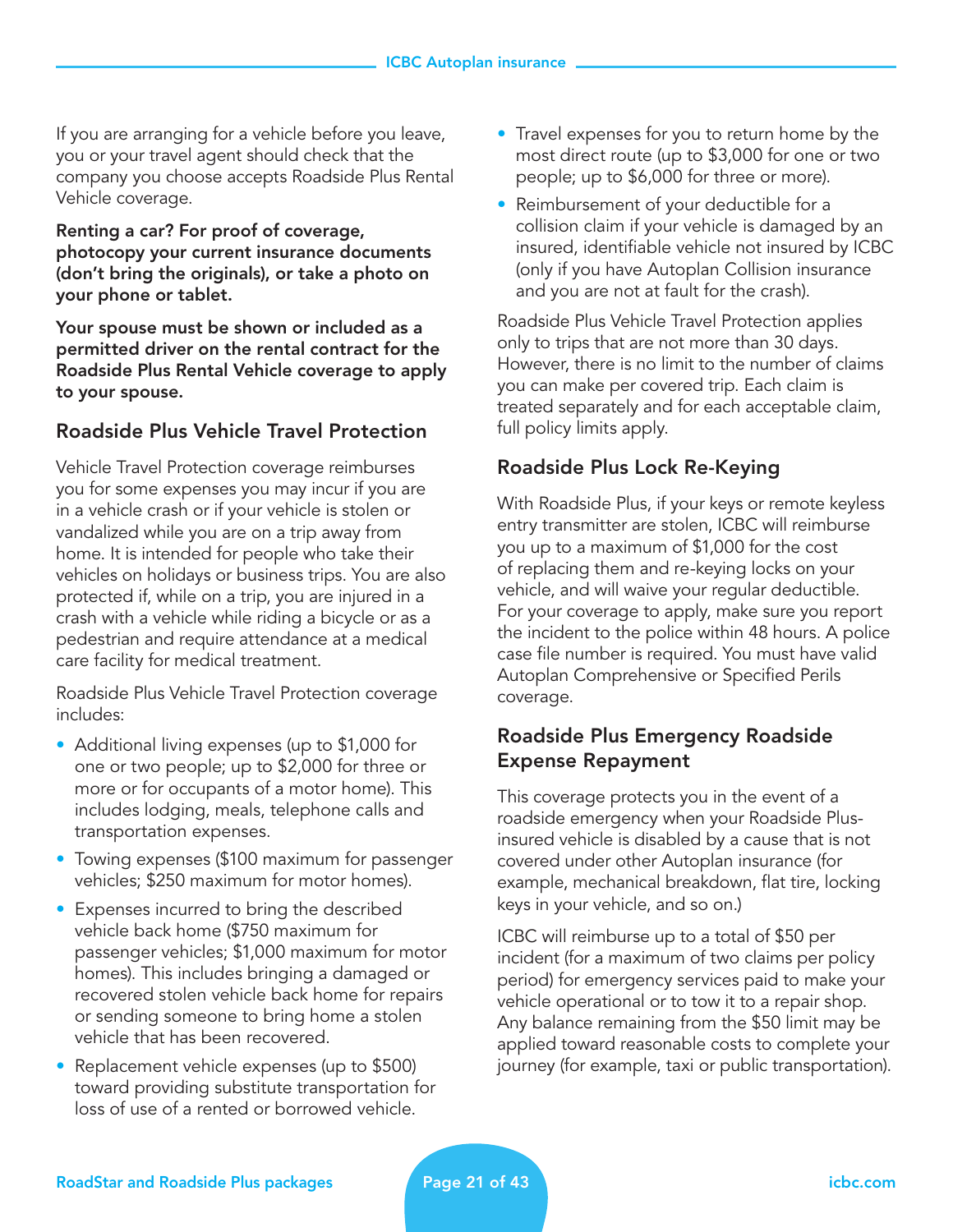If you are arranging for a vehicle before you leave, you or your travel agent should check that the company you choose accepts Roadside Plus Rental Vehicle coverage.

Renting a car? For proof of coverage, photocopy your current insurance documents (don't bring the originals), or take a photo on your phone or tablet.

Your spouse must be shown or included as a permitted driver on the rental contract for the Roadside Plus Rental Vehicle coverage to apply to your spouse.

## Roadside Plus Vehicle Travel Protection

Vehicle Travel Protection coverage reimburses you for some expenses you may incur if you are in a vehicle crash or if your vehicle is stolen or vandalized while you are on a trip away from home. It is intended for people who take their vehicles on holidays or business trips. You are also protected if, while on a trip, you are injured in a crash with a vehicle while riding a bicycle or as a pedestrian and require attendance at a medical care facility for medical treatment.

Roadside Plus Vehicle Travel Protection coverage includes:

- Additional living expenses (up to \$1,000 for one or two people; up to \$2,000 for three or more or for occupants of a motor home). This includes lodging, meals, telephone calls and transportation expenses.
- Towing expenses (\$100 maximum for passenger vehicles; \$250 maximum for motor homes).
- Expenses incurred to bring the described vehicle back home (\$750 maximum for passenger vehicles; \$1,000 maximum for motor homes). This includes bringing a damaged or recovered stolen vehicle back home for repairs or sending someone to bring home a stolen vehicle that has been recovered.
- Replacement vehicle expenses (up to \$500) toward providing substitute transportation for loss of use of a rented or borrowed vehicle.
- Travel expenses for you to return home by the most direct route (up to \$3,000 for one or two people; up to \$6,000 for three or more).
- Reimbursement of your deductible for a collision claim if your vehicle is damaged by an insured, identifiable vehicle not insured by ICBC (only if you have Autoplan Collision insurance and you are not at fault for the crash).

Roadside Plus Vehicle Travel Protection applies only to trips that are not more than 30 days. However, there is no limit to the number of claims you can make per covered trip. Each claim is treated separately and for each acceptable claim, full policy limits apply.

## Roadside Plus Lock Re-Keying

With Roadside Plus, if your keys or remote keyless entry transmitter are stolen, ICBC will reimburse you up to a maximum of \$1,000 for the cost of replacing them and re-keying locks on your vehicle, and will waive your regular deductible. For your coverage to apply, make sure you report the incident to the police within 48 hours. A police case file number is required. You must have valid Autoplan Comprehensive or Specified Perils coverage.

## Roadside Plus Emergency Roadside Expense Repayment

This coverage protects you in the event of a roadside emergency when your Roadside Plusinsured vehicle is disabled by a cause that is not covered under other Autoplan insurance (for example, mechanical breakdown, flat tire, locking keys in your vehicle, and so on.)

ICBC will reimburse up to a total of \$50 per incident (for a maximum of two claims per policy period) for emergency services paid to make your vehicle operational or to tow it to a repair shop. Any balance remaining from the \$50 limit may be applied toward reasonable costs to complete your journey (for example, taxi or public transportation).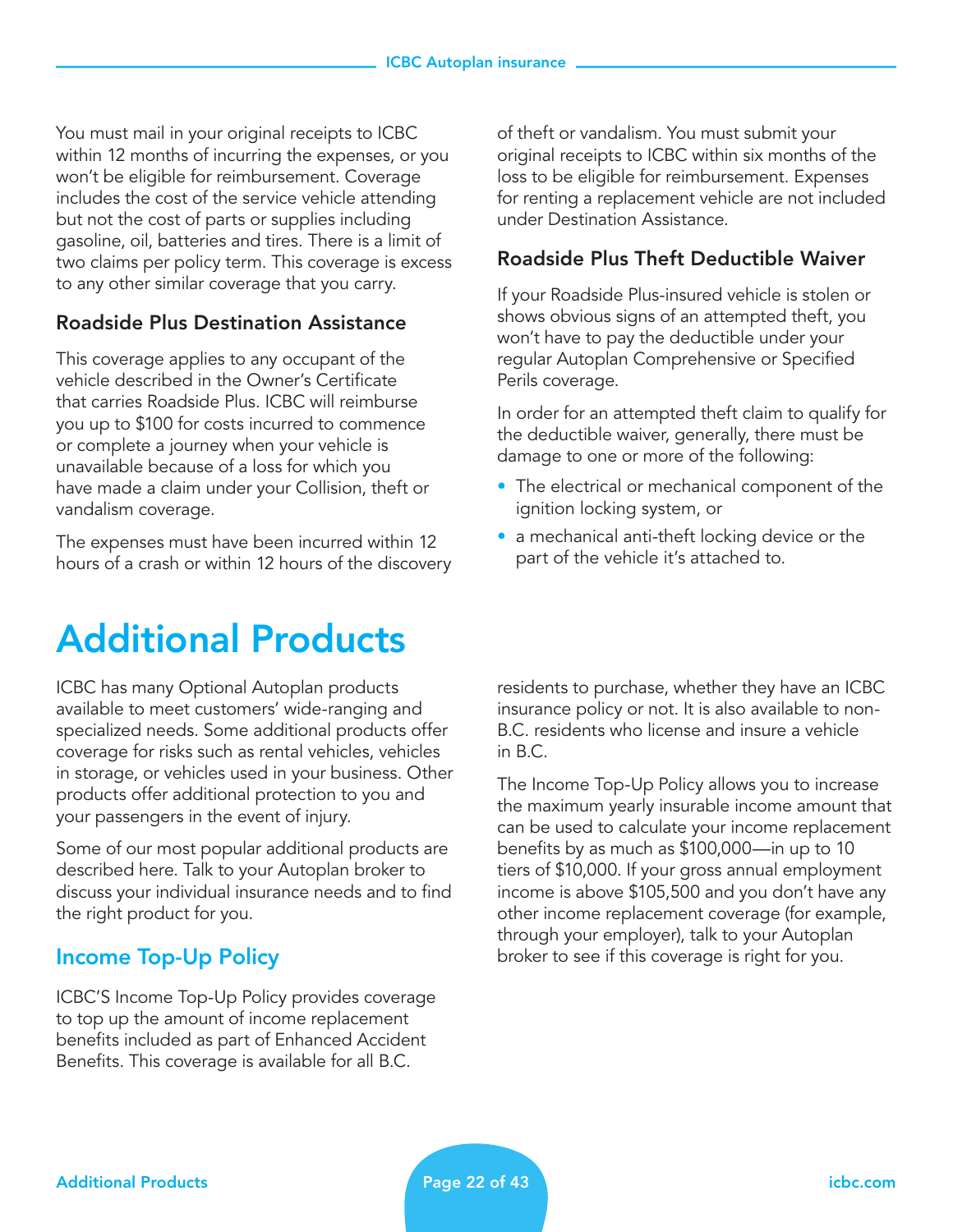You must mail in your original receipts to ICBC within 12 months of incurring the expenses, or you won't be eligible for reimbursement. Coverage includes the cost of the service vehicle attending but not the cost of parts or supplies including gasoline, oil, batteries and tires. There is a limit of two claims per policy term. This coverage is excess to any other similar coverage that you carry.

## Roadside Plus Destination Assistance

This coverage applies to any occupant of the vehicle described in the Owner's Certificate that carries Roadside Plus. ICBC will reimburse you up to \$100 for costs incurred to commence or complete a journey when your vehicle is unavailable because of a loss for which you have made a claim under your Collision, theft or vandalism coverage.

The expenses must have been incurred within 12 hours of a crash or within 12 hours of the discovery

# Additional Products

ICBC has many Optional Autoplan products available to meet customers' wide-ranging and specialized needs. Some additional products offer coverage for risks such as rental vehicles, vehicles in storage, or vehicles used in your business. Other products offer additional protection to you and your passengers in the event of injury.

Some of our most popular additional products are described here. Talk to your Autoplan broker to discuss your individual insurance needs and to find the right product for you.

## Income Top-Up Policy

ICBC'S Income Top-Up Policy provides coverage to top up the amount of income replacement benefits included as part of Enhanced Accident Benefits. This coverage is available for all B.C.

of theft or vandalism. You must submit your original receipts to ICBC within six months of the loss to be eligible for reimbursement. Expenses for renting a replacement vehicle are not included under Destination Assistance.

## Roadside Plus Theft Deductible Waiver

If your Roadside Plus-insured vehicle is stolen or shows obvious signs of an attempted theft, you won't have to pay the deductible under your regular Autoplan Comprehensive or Specified Perils coverage.

In order for an attempted theft claim to qualify for the deductible waiver, generally, there must be damage to one or more of the following:

- The electrical or mechanical component of the ignition locking system, or
- a mechanical anti-theft locking device or the part of the vehicle it's attached to.

residents to purchase, whether they have an ICBC insurance policy or not. It is also available to non-B.C. residents who license and insure a vehicle in B.C.

The Income Top-Up Policy allows you to increase the maximum yearly insurable income amount that can be used to calculate your income replacement benefits by as much as \$100,000—in up to 10 tiers of \$10,000. If your gross annual employment income is above \$105,500 and you don't have any other income replacement coverage (for example, through your employer), talk to your Autoplan broker to see if this coverage is right for you.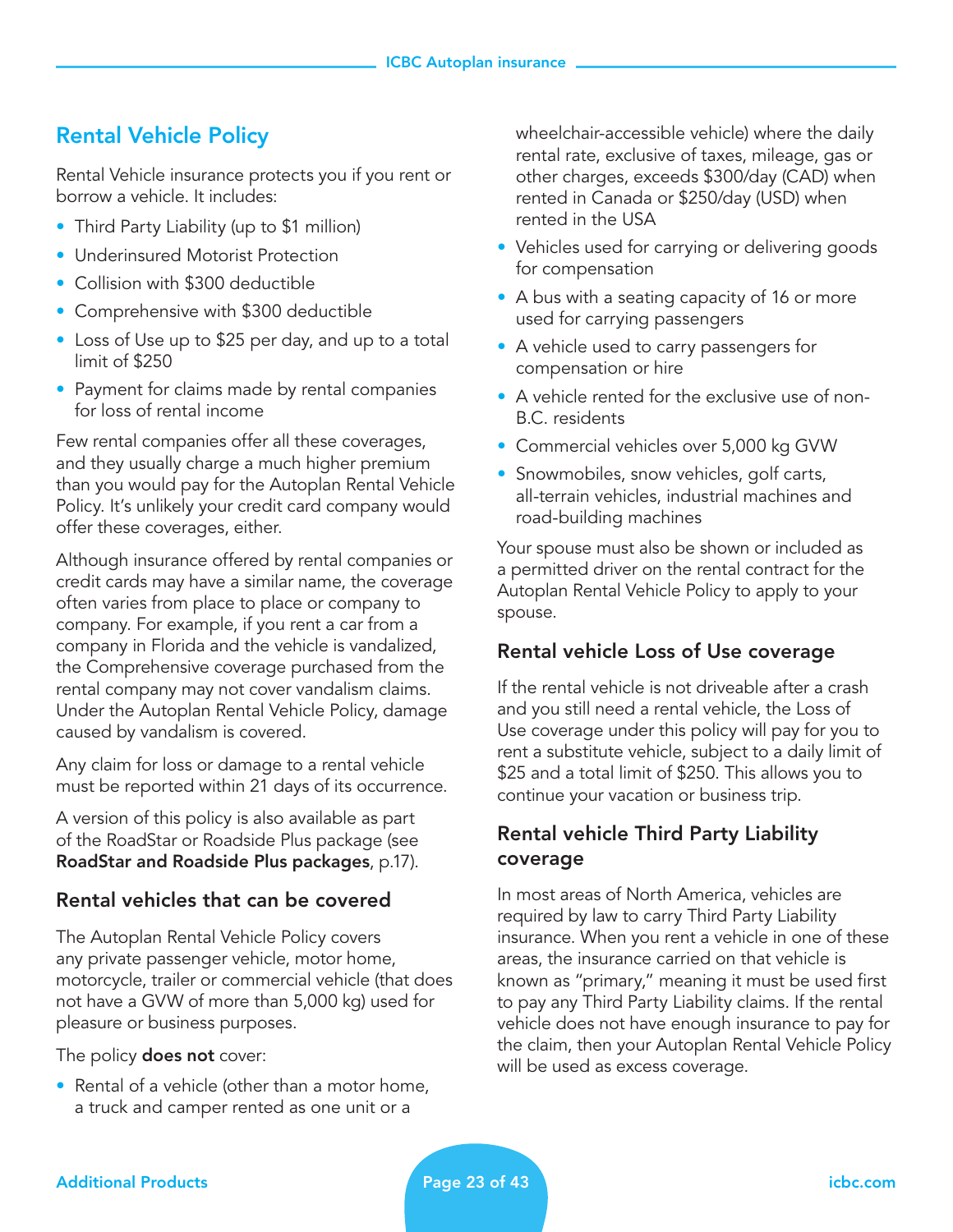## Rental Vehicle Policy

Rental Vehicle insurance protects you if you rent or borrow a vehicle. It includes:

- Third Party Liability (up to \$1 million)
- Underinsured Motorist Protection
- Collision with \$300 deductible
- Comprehensive with \$300 deductible
- Loss of Use up to \$25 per day, and up to a total limit of \$250
- Payment for claims made by rental companies for loss of rental income

Few rental companies offer all these coverages, and they usually charge a much higher premium than you would pay for the Autoplan Rental Vehicle Policy. It's unlikely your credit card company would offer these coverages, either.

Although insurance offered by rental companies or credit cards may have a similar name, the coverage often varies from place to place or company to company. For example, if you rent a car from a company in Florida and the vehicle is vandalized, the Comprehensive coverage purchased from the rental company may not cover vandalism claims. Under the Autoplan Rental Vehicle Policy, damage caused by vandalism is covered.

Any claim for loss or damage to a rental vehicle must be reported within 21 days of its occurrence.

A version of this policy is also available as part of the RoadStar or Roadside Plus package (see RoadStar and Roadside Plus packages, p.17).

## Rental vehicles that can be covered

The Autoplan Rental Vehicle Policy covers any private passenger vehicle, motor home, motorcycle, trailer or commercial vehicle (that does not have a GVW of more than 5,000 kg) used for pleasure or business purposes.

The policy **does not** cover:

• Rental of a vehicle (other than a motor home, a truck and camper rented as one unit or a

wheelchair-accessible vehicle) where the daily rental rate, exclusive of taxes, mileage, gas or other charges, exceeds \$300/day (CAD) when rented in Canada or \$250/day (USD) when rented in the USA

- Vehicles used for carrying or delivering goods for compensation
- A bus with a seating capacity of 16 or more used for carrying passengers
- A vehicle used to carry passengers for compensation or hire
- A vehicle rented for the exclusive use of non-B.C. residents
- Commercial vehicles over 5,000 kg GVW
- Snowmobiles, snow vehicles, golf carts, all-terrain vehicles, industrial machines and road-building machines

Your spouse must also be shown or included as a permitted driver on the rental contract for the Autoplan Rental Vehicle Policy to apply to your spouse.

## Rental vehicle Loss of Use coverage

If the rental vehicle is not driveable after a crash and you still need a rental vehicle, the Loss of Use coverage under this policy will pay for you to rent a substitute vehicle, subject to a daily limit of \$25 and a total limit of \$250. This allows you to continue your vacation or business trip.

## Rental vehicle Third Party Liability coverage

In most areas of North America, vehicles are required by law to carry Third Party Liability insurance. When you rent a vehicle in one of these areas, the insurance carried on that vehicle is known as "primary," meaning it must be used first to pay any Third Party Liability claims. If the rental vehicle does not have enough insurance to pay for the claim, then your Autoplan Rental Vehicle Policy will be used as excess coverage.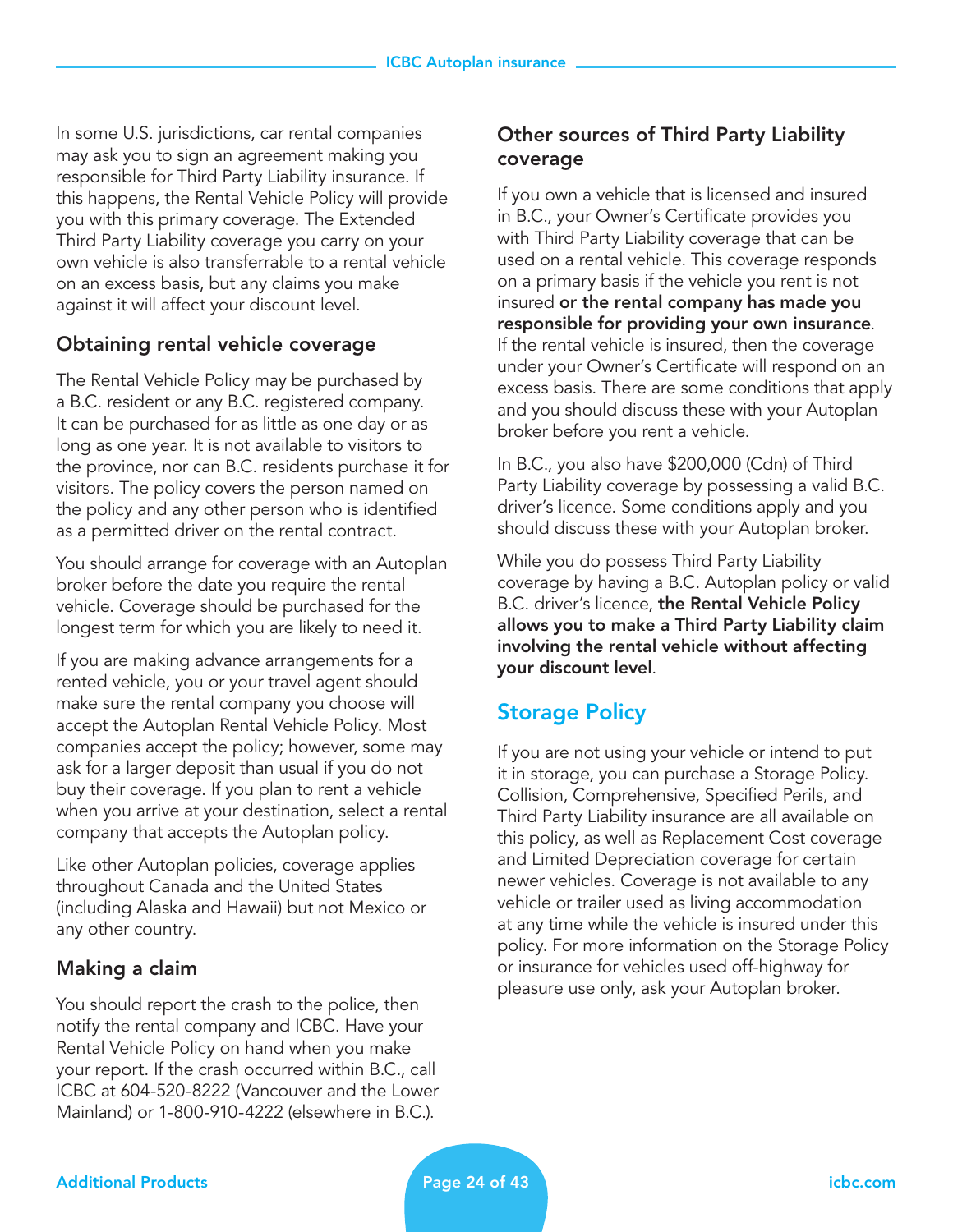In some U.S. jurisdictions, car rental companies may ask you to sign an agreement making you responsible for Third Party Liability insurance. If this happens, the Rental Vehicle Policy will provide you with this primary coverage. The Extended Third Party Liability coverage you carry on your own vehicle is also transferrable to a rental vehicle on an excess basis, but any claims you make against it will affect your discount level.

#### Obtaining rental vehicle coverage

The Rental Vehicle Policy may be purchased by a B.C. resident or any B.C. registered company. It can be purchased for as little as one day or as long as one year. It is not available to visitors to the province, nor can B.C. residents purchase it for visitors. The policy covers the person named on the policy and any other person who is identified as a permitted driver on the rental contract.

You should arrange for coverage with an Autoplan broker before the date you require the rental vehicle. Coverage should be purchased for the longest term for which you are likely to need it.

If you are making advance arrangements for a rented vehicle, you or your travel agent should make sure the rental company you choose will accept the Autoplan Rental Vehicle Policy. Most companies accept the policy; however, some may ask for a larger deposit than usual if you do not buy their coverage. If you plan to rent a vehicle when you arrive at your destination, select a rental company that accepts the Autoplan policy.

Like other Autoplan policies, coverage applies throughout Canada and the United States (including Alaska and Hawaii) but not Mexico or any other country.

## Making a claim

You should report the crash to the police, then notify the rental company and ICBC. Have your Rental Vehicle Policy on hand when you make your report. If the crash occurred within B.C., call ICBC at 604-520-8222 (Vancouver and the Lower Mainland) or 1-800-910-4222 (elsewhere in B.C.).

## Other sources of Third Party Liability coverage

If you own a vehicle that is licensed and insured in B.C., your Owner's Certificate provides you with Third Party Liability coverage that can be used on a rental vehicle. This coverage responds on a primary basis if the vehicle you rent is not insured or the rental company has made you responsible for providing your own insurance. If the rental vehicle is insured, then the coverage under your Owner's Certificate will respond on an excess basis. There are some conditions that apply and you should discuss these with your Autoplan broker before you rent a vehicle.

In B.C., you also have \$200,000 (Cdn) of Third Party Liability coverage by possessing a valid B.C. driver's licence. Some conditions apply and you should discuss these with your Autoplan broker.

While you do possess Third Party Liability coverage by having a B.C. Autoplan policy or valid B.C. driver's licence, the Rental Vehicle Policy allows you to make a Third Party Liability claim involving the rental vehicle without affecting your discount level.

## Storage Policy

If you are not using your vehicle or intend to put it in storage, you can purchase a Storage Policy. Collision, Comprehensive, Specified Perils, and Third Party Liability insurance are all available on this policy, as well as Replacement Cost coverage and Limited Depreciation coverage for certain newer vehicles. Coverage is not available to any vehicle or trailer used as living accommodation at any time while the vehicle is insured under this policy. For more information on the Storage Policy or insurance for vehicles used off-highway for pleasure use only, ask your Autoplan broker.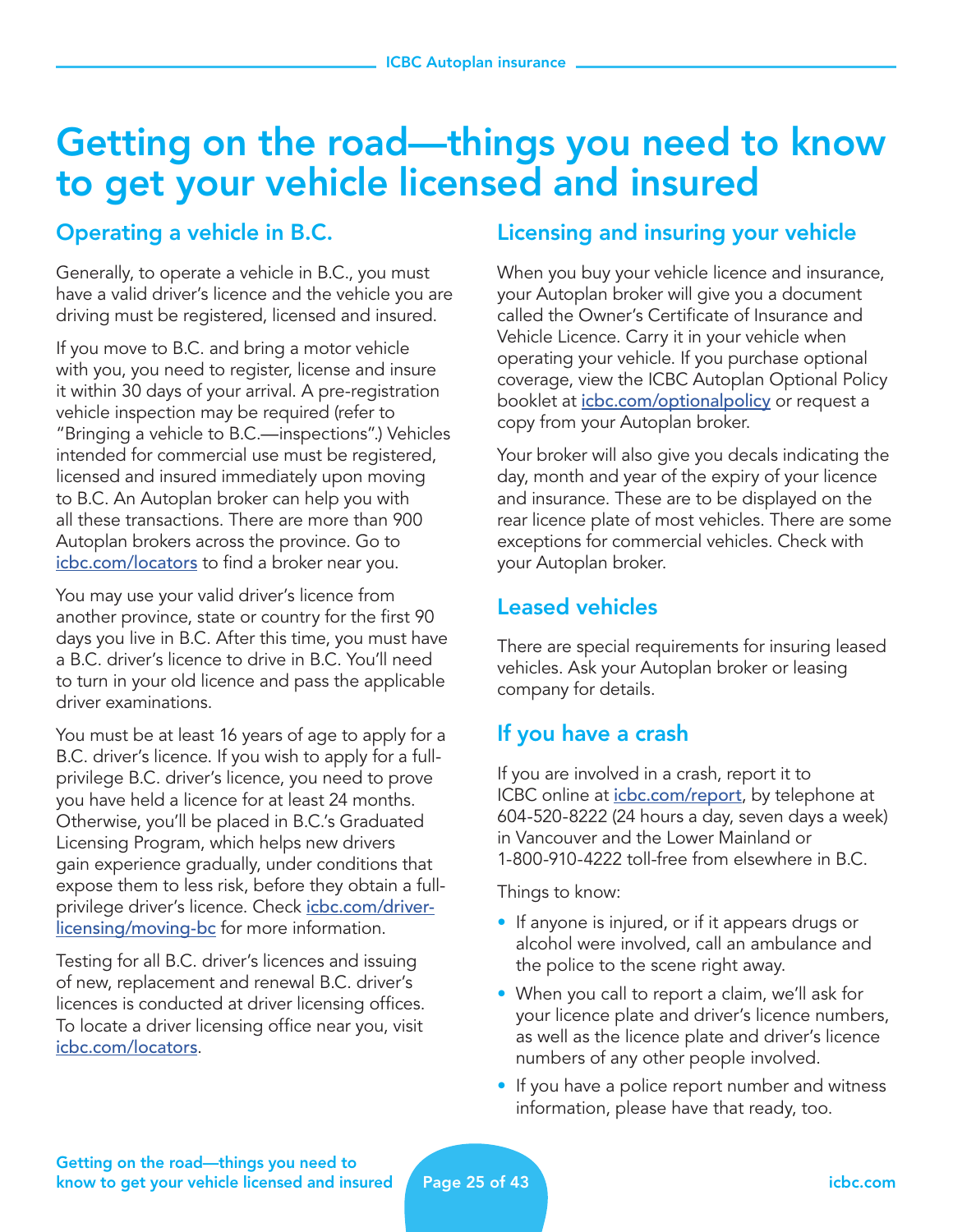## Getting on the road—things you need to know to get your vehicle licensed and insured

## Operating a vehicle in B.C.

Generally, to operate a vehicle in B.C., you must have a valid driver's licence and the vehicle you are driving must be registered, licensed and insured.

If you move to B.C. and bring a motor vehicle with you, you need to register, license and insure it within 30 days of your arrival. A pre-registration vehicle inspection may be required (refer to "Bringing a vehicle to B.C.—inspections".) Vehicles intended for commercial use must be registered, licensed and insured immediately upon moving to B.C. An Autoplan broker can help you with all these transactions. There are more than 900 Autoplan brokers across the province. Go to [icbc.com/locators](http://icbc.com/locators) to find a broker near you.

You may use your valid driver's licence from another province, state or country for the first 90 days you live in B.C. After this time, you must have a B.C. driver's licence to drive in B.C. You'll need to turn in your old licence and pass the applicable driver examinations.

You must be at least 16 years of age to apply for a B.C. driver's licence. If you wish to apply for a fullprivilege B.C. driver's licence, you need to prove you have held a licence for at least 24 months. Otherwise, you'll be placed in B.C.'s Graduated Licensing Program, which helps new drivers gain experience gradually, under conditions that expose them to less risk, before they obtain a fullprivilege driver's licence. Check [icbc.com/driver](http://icbc.com/driver-licensing/moving-bc)[licensing/moving-bc](http://icbc.com/driver-licensing/moving-bc) for more information.

Testing for all B.C. driver's licences and issuing of new, replacement and renewal B.C. driver's licences is conducted at driver licensing offices. To locate a driver licensing office near you, visit [icbc.com/locators](http://icbc.com/locators).

## Licensing and insuring your vehicle

When you buy your vehicle licence and insurance, your Autoplan broker will give you a document called the Owner's Certificate of Insurance and Vehicle Licence. Carry it in your vehicle when operating your vehicle. If you purchase optional coverage, view the ICBC Autoplan Optional Policy booklet at *[icbc.com/optionalpolicy](http://icbc.com/optionalpolicy)* or request a copy from your Autoplan broker.

Your broker will also give you decals indicating the day, month and year of the expiry of your licence and insurance. These are to be displayed on the rear licence plate of most vehicles. There are some exceptions for commercial vehicles. Check with your Autoplan broker.

## Leased vehicles

There are special requirements for insuring leased vehicles. Ask your Autoplan broker or leasing company for details.

## If you have a crash

If you are involved in a crash, report it to ICBC online at *[icbc.com/report](http://icbc.com/report)*, by telephone at 604-520-8222 (24 hours a day, seven days a week) in Vancouver and the Lower Mainland or 1-800-910-4222 toll-free from elsewhere in B.C.

Things to know:

- If anyone is injured, or if it appears drugs or alcohol were involved, call an ambulance and the police to the scene right away.
- When you call to report a claim, we'll ask for your licence plate and driver's licence numbers, as well as the licence plate and driver's licence numbers of any other people involved.
- If you have a police report number and witness information, please have that ready, too.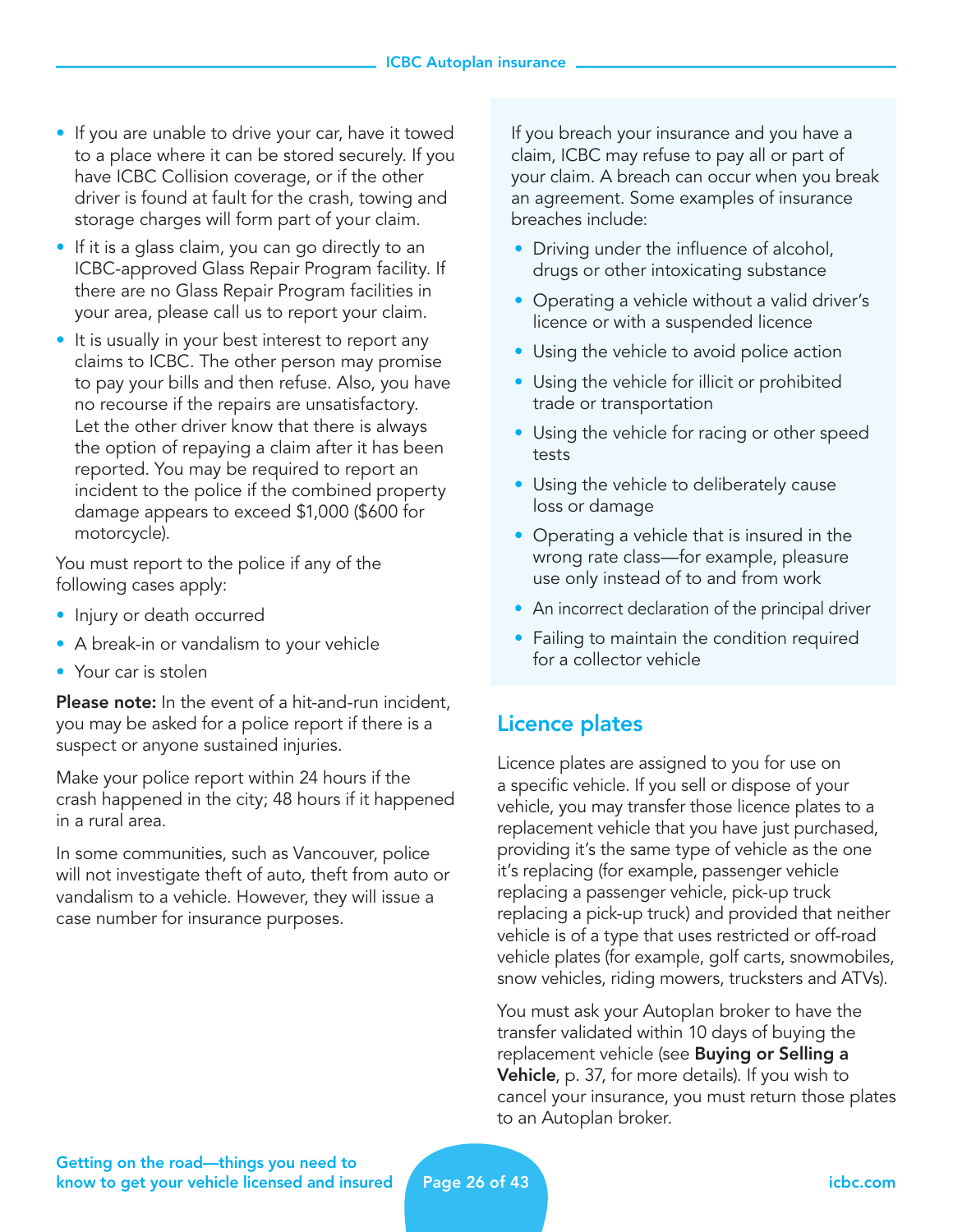- If you are unable to drive your car, have it towed to a place where it can be stored securely. If you have ICBC Collision coverage, or if the other driver is found at fault for the crash, towing and storage charges will form part of your claim.
- If it is a glass claim, you can go directly to an ICBC-approved Glass Repair Program facility. If there are no Glass Repair Program facilities in your area, please call us to report your claim.
- It is usually in your best interest to report any claims to ICBC. The other person may promise to pay your bills and then refuse. Also, you have no recourse if the repairs are unsatisfactory. Let the other driver know that there is always the option of repaying a claim after it has been reported. You may be required to report an incident to the police if the combined property damage appears to exceed \$1,000 (\$600 for motorcycle).

You must report to the police if any of the following cases apply:

- Injury or death occurred
- A break-in or vandalism to your vehicle
- Your car is stolen

Please note: In the event of a hit-and-run incident, you may be asked for a police report if there is a suspect or anyone sustained injuries.

Make your police report within 24 hours if the crash happened in the city; 48 hours if it happened in a rural area.

In some communities, such as Vancouver, police will not investigate theft of auto, theft from auto or vandalism to a vehicle. However, they will issue a case number for insurance purposes.

If you breach your insurance and you have a claim, ICBC may refuse to pay all or part of your claim. A breach can occur when you break an agreement. Some examples of insurance breaches include:

- Driving under the influence of alcohol, drugs or other intoxicating substance
- Operating a vehicle without a valid driver's licence or with a suspended licence
- Using the vehicle to avoid police action
- Using the vehicle for illicit or prohibited trade or transportation
- Using the vehicle for racing or other speed tests
- Using the vehicle to deliberately cause loss or damage
- Operating a vehicle that is insured in the wrong rate class—for example, pleasure use only instead of to and from work
- An incorrect declaration of the principal driver
- Failing to maintain the condition required for a collector vehicle

## Licence plates

Licence plates are assigned to you for use on a specific vehicle. If you sell or dispose of your vehicle, you may transfer those licence plates to a replacement vehicle that you have just purchased, providing it's the same type of vehicle as the one it's replacing (for example, passenger vehicle replacing a passenger vehicle, pick-up truck replacing a pick-up truck) and provided that neither vehicle is of a type that uses restricted or off-road vehicle plates (for example, golf carts, snowmobiles, snow vehicles, riding mowers, trucksters and ATVs).

You must ask your Autoplan broker to have the transfer validated within 10 days of buying the replacement vehicle (see **Buying or Selling a Vehicle**, p. 37, for more details). If you wish to cancel your insurance, you must return those plates to an Autoplan broker.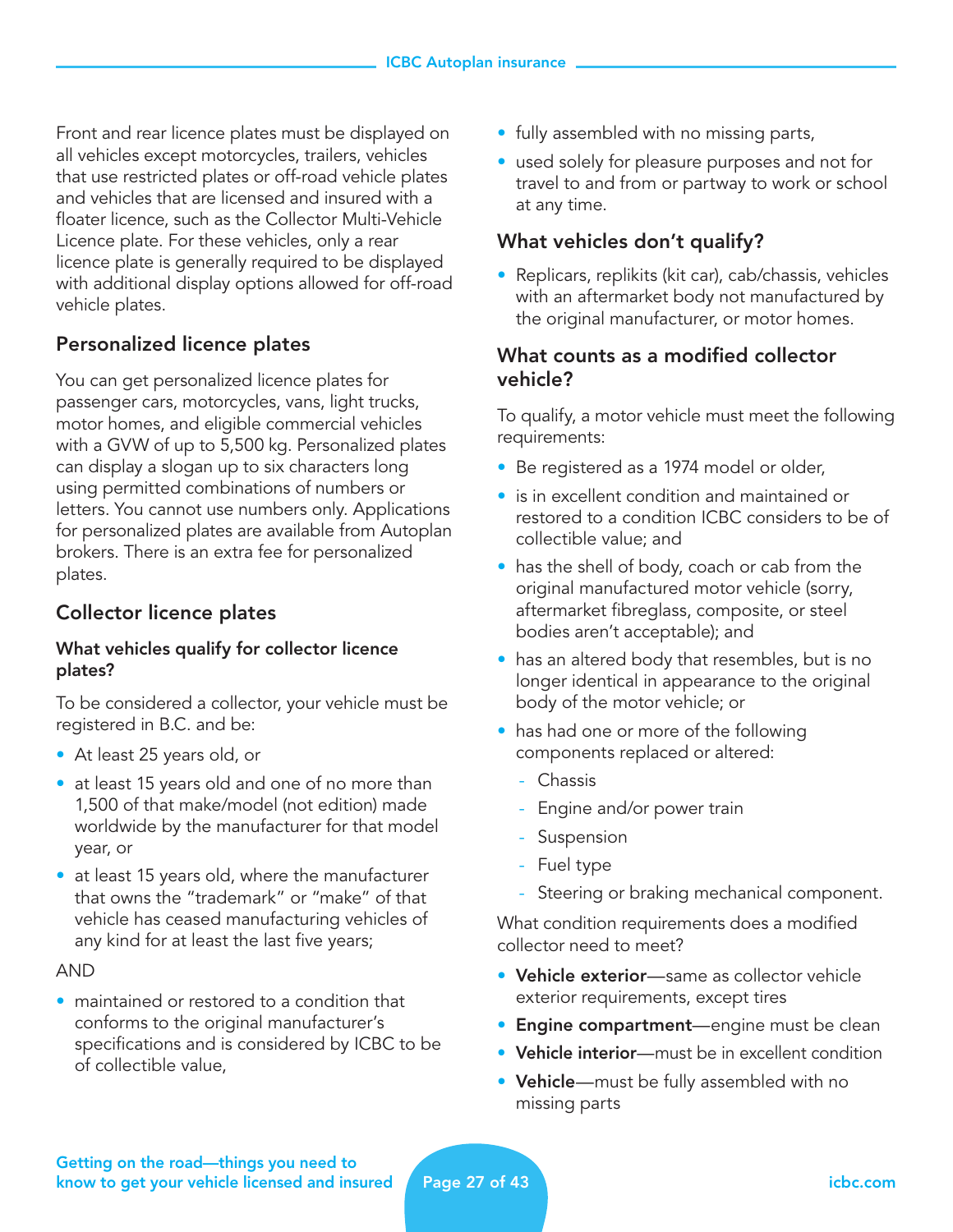Front and rear licence plates must be displayed on all vehicles except motorcycles, trailers, vehicles that use restricted plates or off-road vehicle plates and vehicles that are licensed and insured with a floater licence, such as the Collector Multi-Vehicle Licence plate. For these vehicles, only a rear licence plate is generally required to be displayed with additional display options allowed for off-road vehicle plates.

## Personalized licence plates

You can get personalized licence plates for passenger cars, motorcycles, vans, light trucks, motor homes, and eligible commercial vehicles with a GVW of up to 5,500 kg. Personalized plates can display a slogan up to six characters long using permitted combinations of numbers or letters. You cannot use numbers only. Applications for personalized plates are available from Autoplan brokers. There is an extra fee for personalized plates.

## Collector licence plates

#### What vehicles qualify for collector licence plates?

To be considered a collector, your vehicle must be registered in B.C. and be:

- At least 25 years old, or
- at least 15 years old and one of no more than 1,500 of that make/model (not edition) made worldwide by the manufacturer for that model year, or
- at least 15 years old, where the manufacturer that owns the "trademark" or "make" of that vehicle has ceased manufacturing vehicles of any kind for at least the last five years;

#### AND

• maintained or restored to a condition that conforms to the original manufacturer's specifications and is considered by ICBC to be of collectible value,

- fully assembled with no missing parts,
- used solely for pleasure purposes and not for travel to and from or partway to work or school at any time.

## What vehicles don't qualify?

• Replicars, replikits (kit car), cab/chassis, vehicles with an aftermarket body not manufactured by the original manufacturer, or motor homes.

## What counts as a modified collector vehicle?

To qualify, a motor vehicle must meet the following requirements:

- Be registered as a 1974 model or older,
- is in excellent condition and maintained or restored to a condition ICBC considers to be of collectible value; and
- has the shell of body, coach or cab from the original manufactured motor vehicle (sorry, aftermarket fibreglass, composite, or steel bodies aren't acceptable); and
- has an altered body that resembles, but is no longer identical in appearance to the original body of the motor vehicle; or
- has had one or more of the following components replaced or altered:
	- Chassis
	- Engine and/or power train
	- Suspension
	- Fuel type
	- Steering or braking mechanical component.

What condition requirements does a modified collector need to meet?

- Vehicle exterior-same as collector vehicle exterior requirements, except tires
- **Engine compartment**—engine must be clean
- Vehicle interior—must be in excellent condition
- Vehicle—must be fully assembled with no missing parts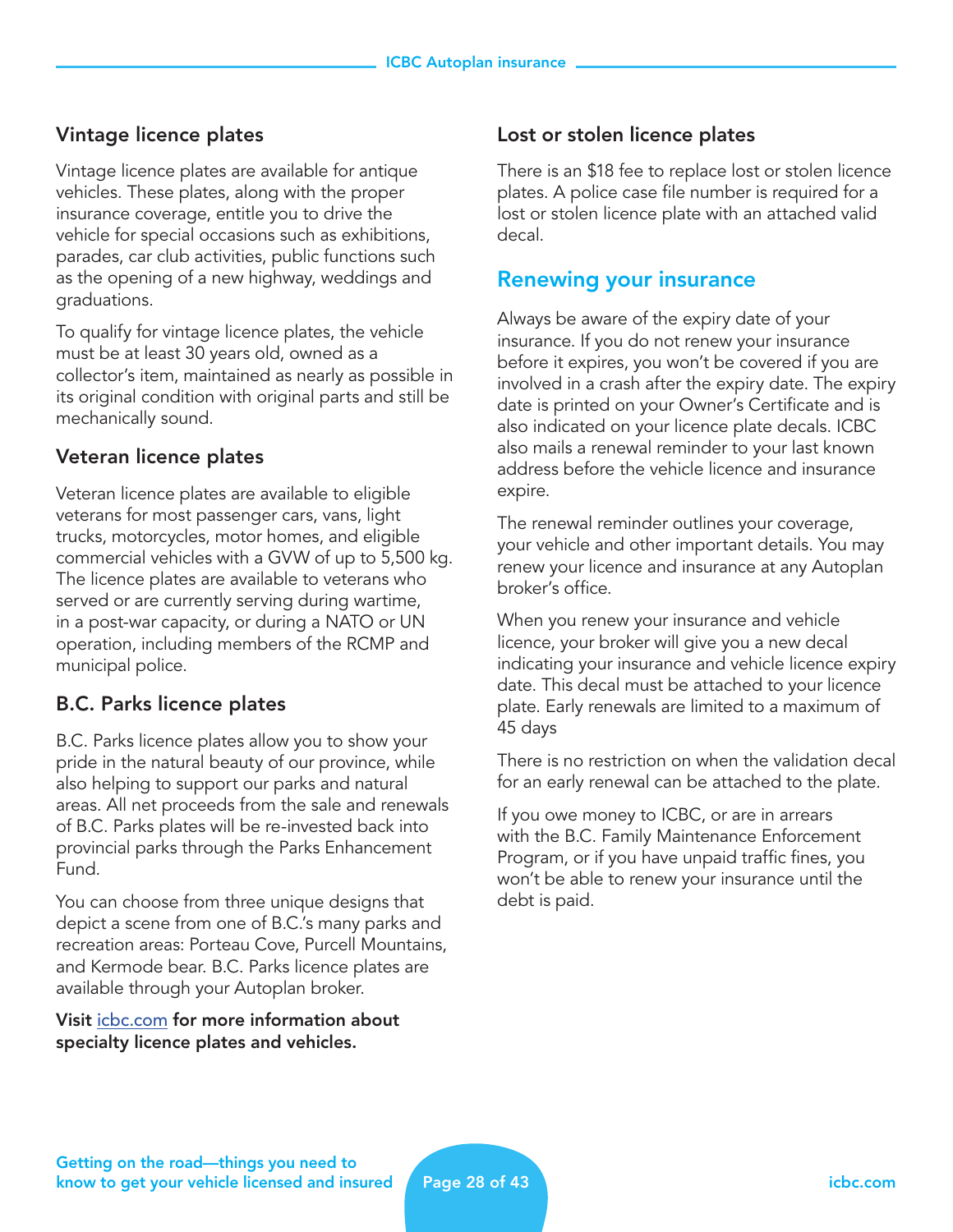## Vintage licence plates

Vintage licence plates are available for antique vehicles. These plates, along with the proper insurance coverage, entitle you to drive the vehicle for special occasions such as exhibitions, parades, car club activities, public functions such as the opening of a new highway, weddings and graduations.

To qualify for vintage licence plates, the vehicle must be at least 30 years old, owned as a collector's item, maintained as nearly as possible in its original condition with original parts and still be mechanically sound.

## Veteran licence plates

Veteran licence plates are available to eligible veterans for most passenger cars, vans, light trucks, motorcycles, motor homes, and eligible commercial vehicles with a GVW of up to 5,500 kg. The licence plates are available to veterans who served or are currently serving during wartime, in a post-war capacity, or during a NATO or UN operation, including members of the RCMP and municipal police.

## B.C. Parks licence plates

B.C. Parks licence plates allow you to show your pride in the natural beauty of our province, while also helping to support our parks and natural areas. All net proceeds from the sale and renewals of B.C. Parks plates will be re-invested back into provincial parks through the Parks Enhancement Fund.

You can choose from three unique designs that depict a scene from one of B.C.'s many parks and recreation areas: Porteau Cove, Purcell Mountains, and Kermode bear. B.C. Parks licence plates are available through your Autoplan broker.

Visit [icbc.com](http://icbc.com) for more information about specialty licence plates and vehicles.

## Lost or stolen licence plates

There is an \$18 fee to replace lost or stolen licence plates. A police case file number is required for a lost or stolen licence plate with an attached valid decal.

## Renewing your insurance

Always be aware of the expiry date of your insurance. If you do not renew your insurance before it expires, you won't be covered if you are involved in a crash after the expiry date. The expiry date is printed on your Owner's Certificate and is also indicated on your licence plate decals. ICBC also mails a renewal reminder to your last known address before the vehicle licence and insurance expire.

The renewal reminder outlines your coverage, your vehicle and other important details. You may renew your licence and insurance at any Autoplan broker's office.

When you renew your insurance and vehicle licence, your broker will give you a new decal indicating your insurance and vehicle licence expiry date. This decal must be attached to your licence plate. Early renewals are limited to a maximum of 45 days

There is no restriction on when the validation decal for an early renewal can be attached to the plate.

If you owe money to ICBC, or are in arrears with the B.C. Family Maintenance Enforcement Program, or if you have unpaid traffic fines, you won't be able to renew your insurance until the debt is paid.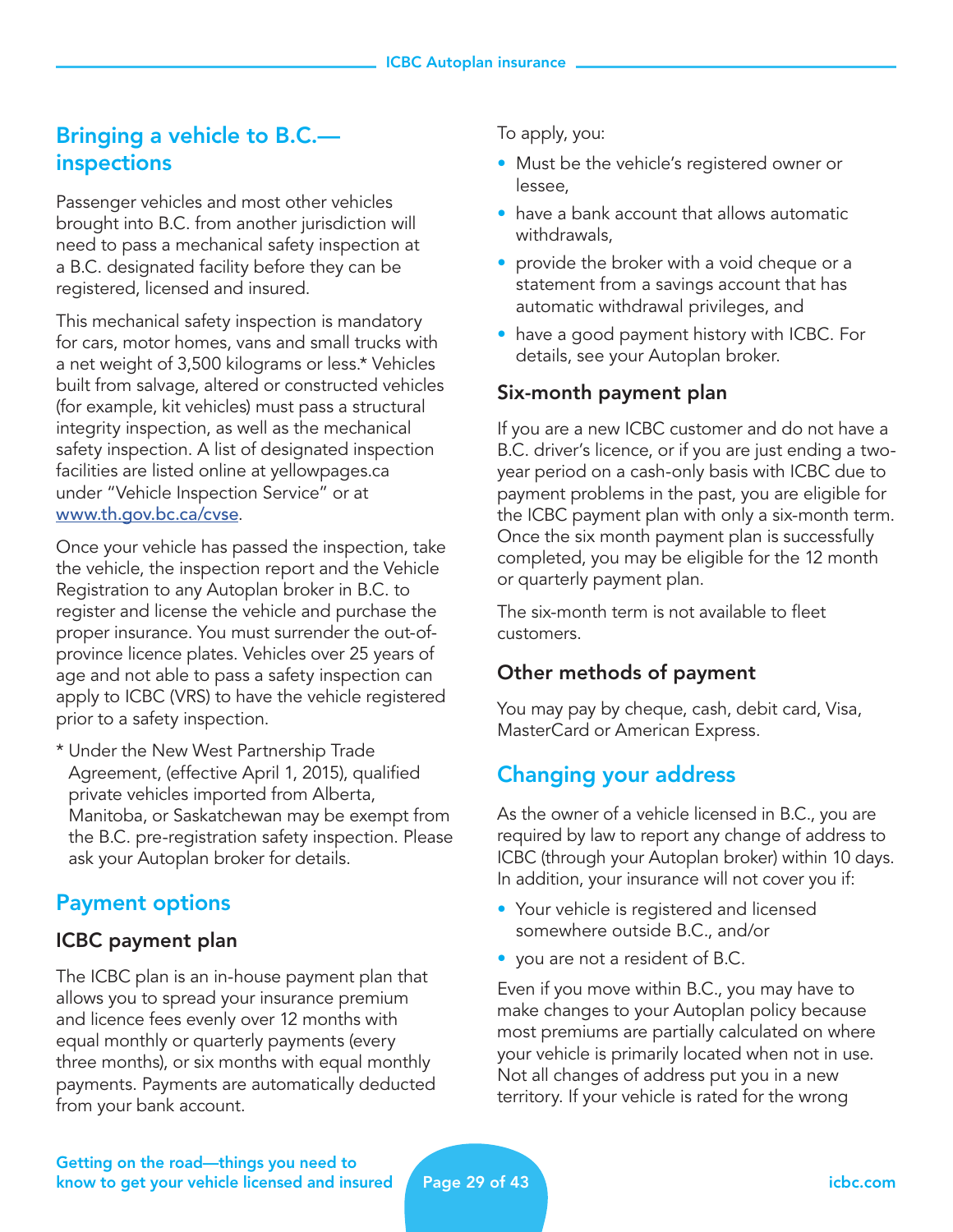## Bringing a vehicle to B.C. inspections

Passenger vehicles and most other vehicles brought into B.C. from another jurisdiction will need to pass a mechanical safety inspection at a B.C. designated facility before they can be registered, licensed and insured.

This mechanical safety inspection is mandatory for cars, motor homes, vans and small trucks with a net weight of 3,500 kilograms or less.\* Vehicles built from salvage, altered or constructed vehicles (for example, kit vehicles) must pass a structural integrity inspection, as well as the mechanical safety inspection. A list of designated inspection facilities are listed online at yellowpages.ca under "Vehicle Inspection Service" or at [www.th.gov.bc.ca/cvse](http://www.th.gov.bc.ca/cvse).

Once your vehicle has passed the inspection, take the vehicle, the inspection report and the Vehicle Registration to any Autoplan broker in B.C. to register and license the vehicle and purchase the proper insurance. You must surrender the out-ofprovince licence plates. Vehicles over 25 years of age and not able to pass a safety inspection can apply to ICBC (VRS) to have the vehicle registered prior to a safety inspection.

\* Under the New West Partnership Trade Agreement, (effective April 1, 2015), qualified private vehicles imported from Alberta, Manitoba, or Saskatchewan may be exempt from the B.C. pre-registration safety inspection. Please ask your Autoplan broker for details.

## Payment options

## ICBC payment plan

The ICBC plan is an in-house payment plan that allows you to spread your insurance premium and licence fees evenly over 12 months with equal monthly or quarterly payments (every three months), or six months with equal monthly payments. Payments are automatically deducted from your bank account.

To apply, you:

- Must be the vehicle's registered owner or lessee,
- have a bank account that allows automatic withdrawals,
- provide the broker with a void cheque or a statement from a savings account that has automatic withdrawal privileges, and
- have a good payment history with ICBC. For details, see your Autoplan broker.

## Six-month payment plan

If you are a new ICBC customer and do not have a B.C. driver's licence, or if you are just ending a twoyear period on a cash-only basis with ICBC due to payment problems in the past, you are eligible for the ICBC payment plan with only a six-month term. Once the six month payment plan is successfully completed, you may be eligible for the 12 month or quarterly payment plan.

The six-month term is not available to fleet customers.

## Other methods of payment

You may pay by cheque, cash, debit card, Visa, MasterCard or American Express.

## Changing your address

As the owner of a vehicle licensed in B.C., you are required by law to report any change of address to ICBC (through your Autoplan broker) within 10 days. In addition, your insurance will not cover you if:

- Your vehicle is registered and licensed somewhere outside B.C., and/or
- you are not a resident of B.C.

Even if you move within B.C., you may have to make changes to your Autoplan policy because most premiums are partially calculated on where your vehicle is primarily located when not in use. Not all changes of address put you in a new territory. If your vehicle is rated for the wrong

Getting on the road—things you need to know to get your vehicle licensed and insured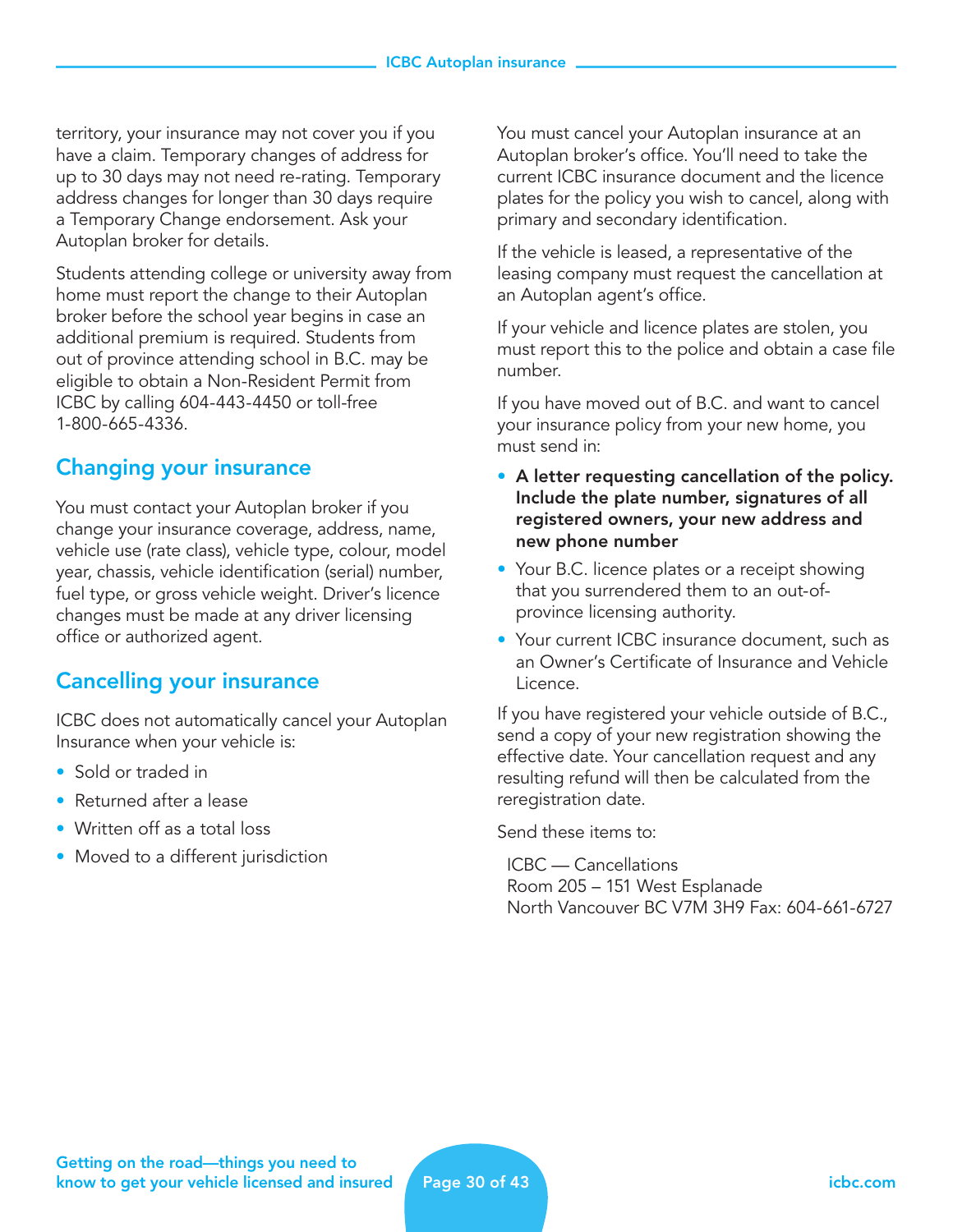territory, your insurance may not cover you if you have a claim. Temporary changes of address for up to 30 days may not need re-rating. Temporary address changes for longer than 30 days require a Temporary Change endorsement. Ask your Autoplan broker for details.

Students attending college or university away from home must report the change to their Autoplan broker before the school year begins in case an additional premium is required. Students from out of province attending school in B.C. may be eligible to obtain a Non-Resident Permit from ICBC by calling 604-443-4450 or toll-free 1-800-665-4336.

## Changing your insurance

You must contact your Autoplan broker if you change your insurance coverage, address, name, vehicle use (rate class), vehicle type, colour, model year, chassis, vehicle identification (serial) number, fuel type, or gross vehicle weight. Driver's licence changes must be made at any driver licensing office or authorized agent.

## Cancelling your insurance

ICBC does not automatically cancel your Autoplan Insurance when your vehicle is:

- Sold or traded in
- Returned after a lease
- Written off as a total loss
- Moved to a different jurisdiction

You must cancel your Autoplan insurance at an Autoplan broker's office. You'll need to take the current ICBC insurance document and the licence plates for the policy you wish to cancel, along with primary and secondary identification.

If the vehicle is leased, a representative of the leasing company must request the cancellation at an Autoplan agent's office.

If your vehicle and licence plates are stolen, you must report this to the police and obtain a case file number.

If you have moved out of B.C. and want to cancel your insurance policy from your new home, you must send in:

- A letter requesting cancellation of the policy. Include the plate number, signatures of all registered owners, your new address and new phone number
- Your B.C. licence plates or a receipt showing that you surrendered them to an out-ofprovince licensing authority.
- Your current ICBC insurance document, such as an Owner's Certificate of Insurance and Vehicle Licence.

If you have registered your vehicle outside of B.C., send a copy of your new registration showing the effective date. Your cancellation request and any resulting refund will then be calculated from the reregistration date.

Send these items to:

 ICBC — Cancellations Room 205 – 151 West Esplanade North Vancouver BC V7M 3H9 Fax: 604-661-6727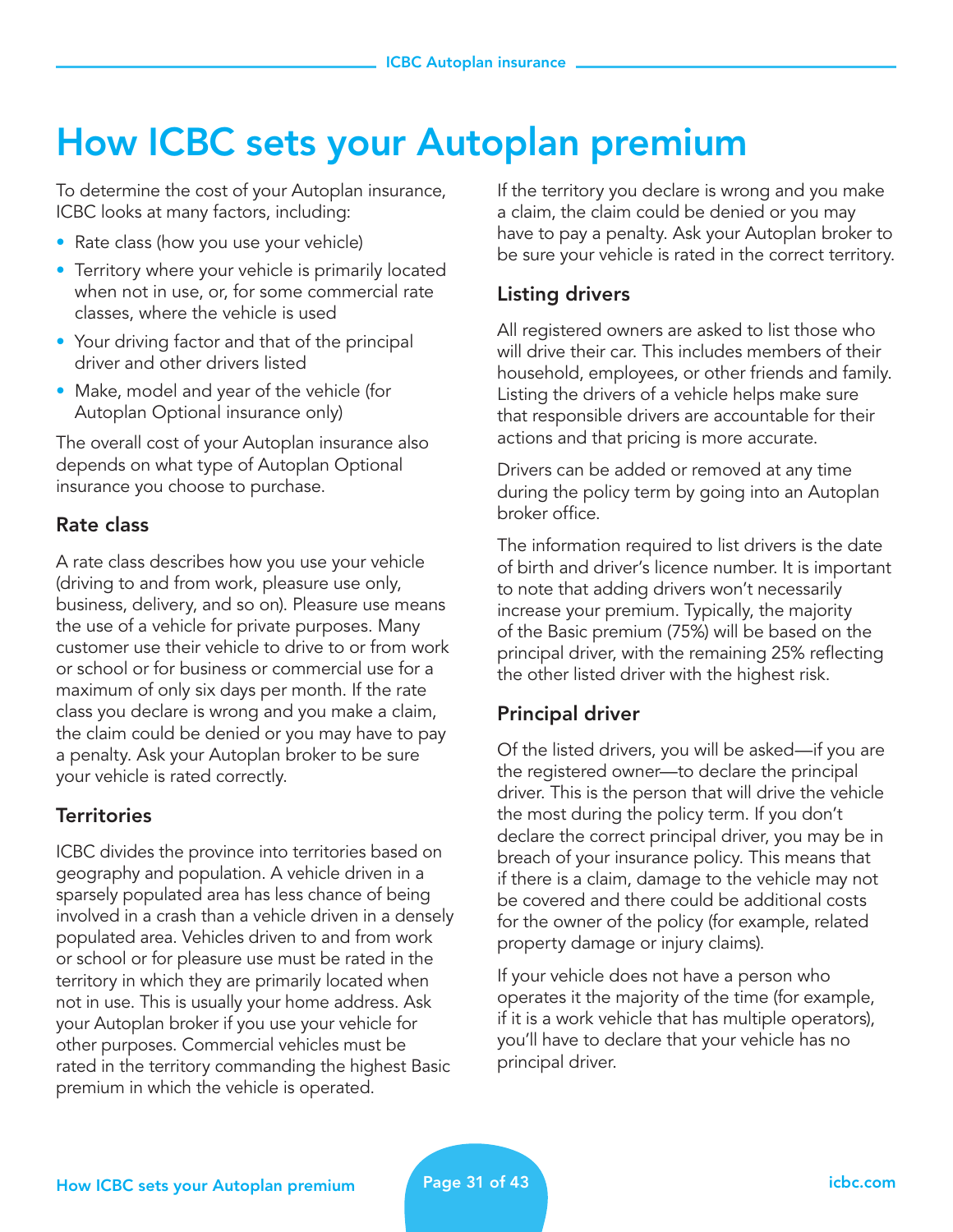## How ICBC sets your Autoplan premium

To determine the cost of your Autoplan insurance, ICBC looks at many factors, including:

- Rate class (how you use your vehicle)
- Territory where your vehicle is primarily located when not in use, or, for some commercial rate classes, where the vehicle is used
- Your driving factor and that of the principal driver and other drivers listed
- Make, model and year of the vehicle (for Autoplan Optional insurance only)

The overall cost of your Autoplan insurance also depends on what type of Autoplan Optional insurance you choose to purchase.

## Rate class

A rate class describes how you use your vehicle (driving to and from work, pleasure use only, business, delivery, and so on). Pleasure use means the use of a vehicle for private purposes. Many customer use their vehicle to drive to or from work or school or for business or commercial use for a maximum of only six days per month. If the rate class you declare is wrong and you make a claim, the claim could be denied or you may have to pay a penalty. Ask your Autoplan broker to be sure your vehicle is rated correctly.

## **Territories**

ICBC divides the province into territories based on geography and population. A vehicle driven in a sparsely populated area has less chance of being involved in a crash than a vehicle driven in a densely populated area. Vehicles driven to and from work or school or for pleasure use must be rated in the territory in which they are primarily located when not in use. This is usually your home address. Ask your Autoplan broker if you use your vehicle for other purposes. Commercial vehicles must be rated in the territory commanding the highest Basic premium in which the vehicle is operated.

If the territory you declare is wrong and you make a claim, the claim could be denied or you may have to pay a penalty. Ask your Autoplan broker to be sure your vehicle is rated in the correct territory.

## Listing drivers

All registered owners are asked to list those who will drive their car. This includes members of their household, employees, or other friends and family. Listing the drivers of a vehicle helps make sure that responsible drivers are accountable for their actions and that pricing is more accurate.

Drivers can be added or removed at any time during the policy term by going into an Autoplan broker office.

The information required to list drivers is the date of birth and driver's licence number. It is important to note that adding drivers won't necessarily increase your premium. Typically, the majority of the Basic premium (75%) will be based on the principal driver, with the remaining 25% reflecting the other listed driver with the highest risk.

## Principal driver

Of the listed drivers, you will be asked—if you are the registered owner—to declare the principal driver. This is the person that will drive the vehicle the most during the policy term. If you don't declare the correct principal driver, you may be in breach of your insurance policy. This means that if there is a claim, damage to the vehicle may not be covered and there could be additional costs for the owner of the policy (for example, related property damage or injury claims).

If your vehicle does not have a person who operates it the majority of the time (for example, if it is a work vehicle that has multiple operators), you'll have to declare that your vehicle has no principal driver.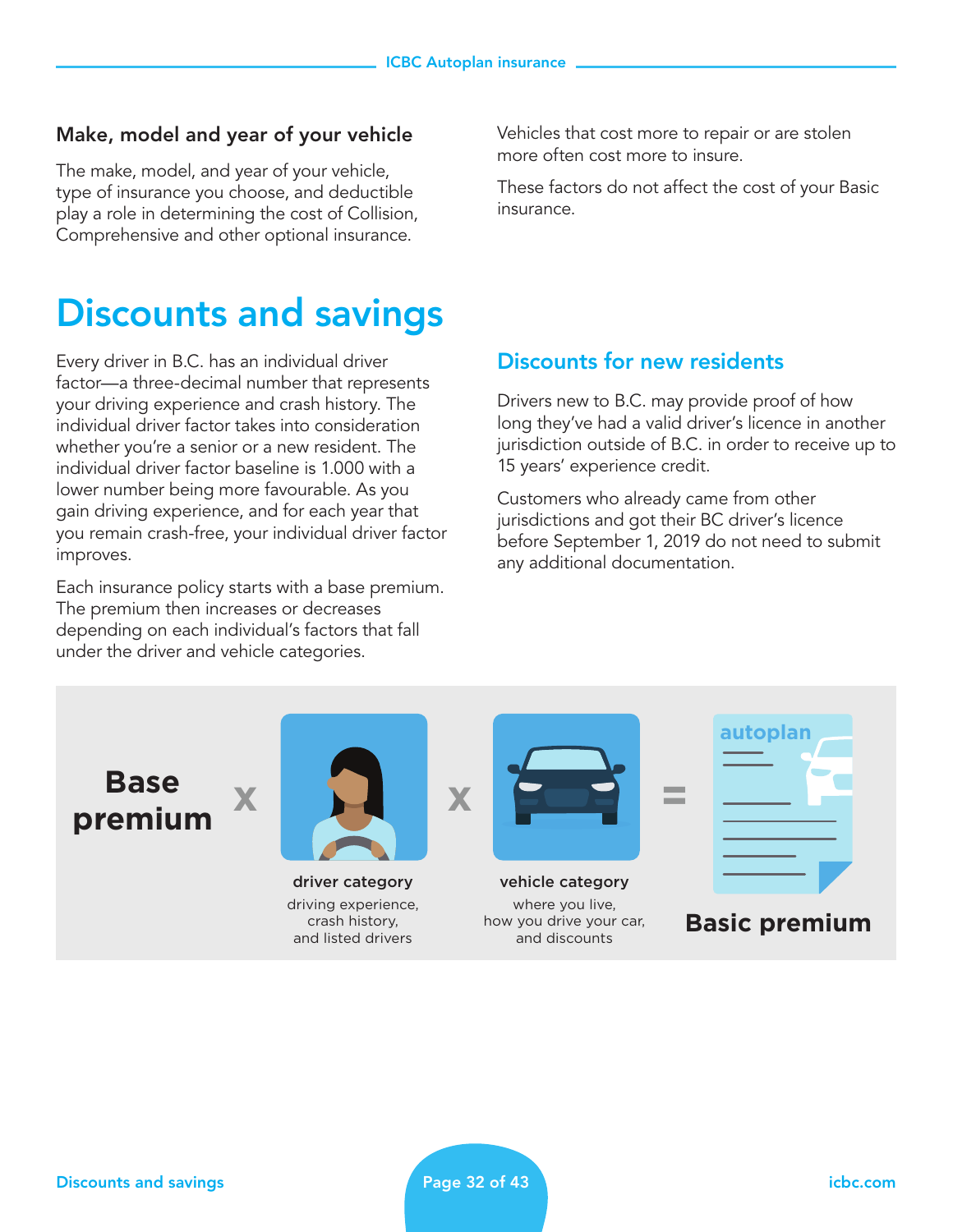#### Make, model and year of your vehicle

The make, model, and year of your vehicle, type of insurance you choose, and deductible play a role in determining the cost of Collision, Comprehensive and other optional insurance.

## Discounts and savings

Every driver in B.C. has an individual driver factor—a three-decimal number that represents your driving experience and crash history. The individual driver factor takes into consideration whether you're a senior or a new resident. The individual driver factor baseline is 1.000 with a lower number being more favourable. As you gain driving experience, and for each year that you remain crash-free, your individual driver factor improves.

Each insurance policy starts with a base premium. The premium then increases or decreases depending on each individual's factors that fall under the driver and vehicle categories.

Vehicles that cost more to repair or are stolen more often cost more to insure.

These factors do not affect the cost of your Basic insurance.

## Discounts for new residents

Drivers new to B.C. may provide proof of how long they've had a valid driver's licence in another jurisdiction outside of B.C. in order to receive up to 15 years' experience credit.

Customers who already came from other jurisdictions and got their BC driver's licence before September 1, 2019 do not need to submit any additional documentation.



crash history, and listed drivers how you drive your car, **Basic premium**

and discounts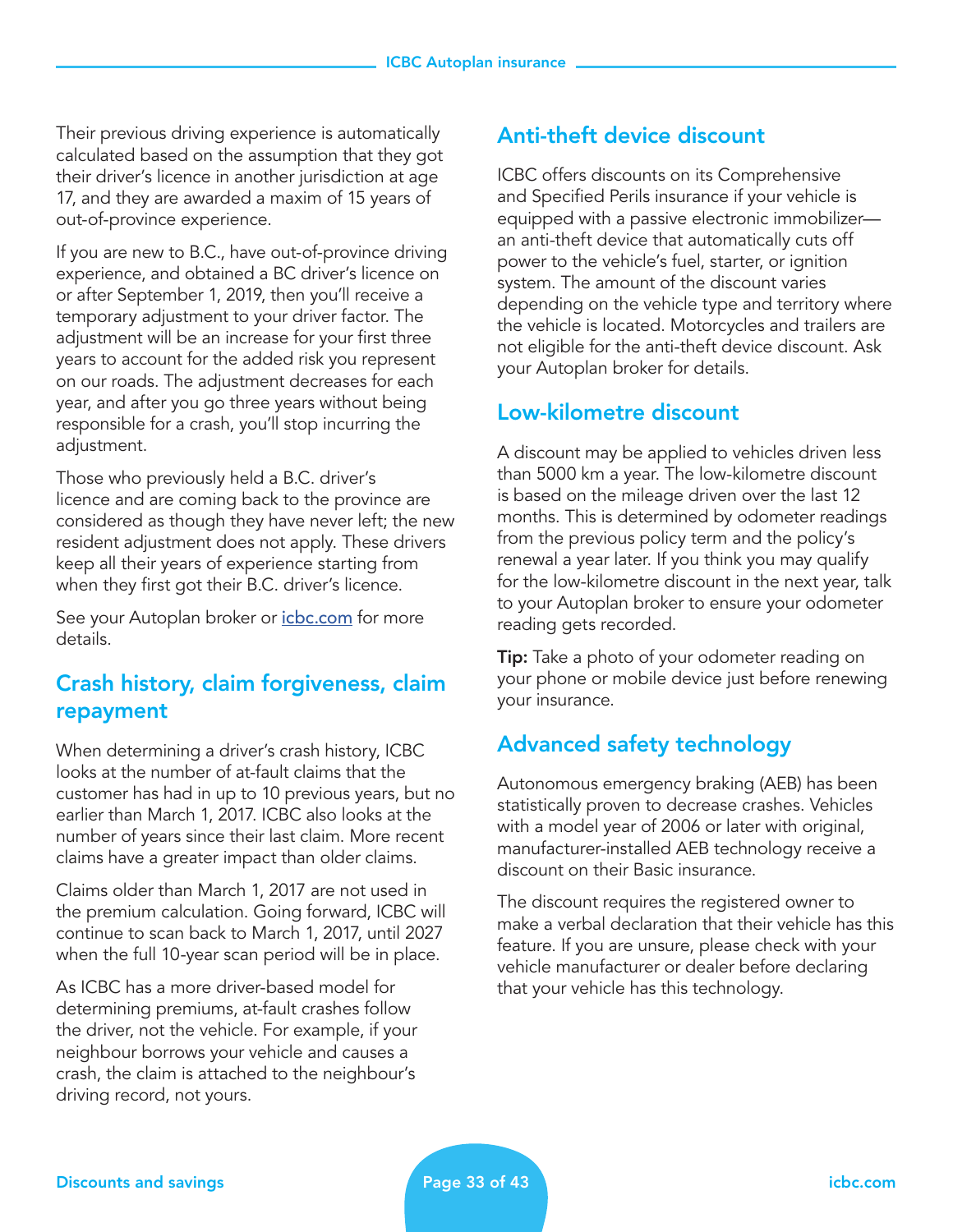Their previous driving experience is automatically calculated based on the assumption that they got their driver's licence in another jurisdiction at age 17, and they are awarded a maxim of 15 years of out-of-province experience.

If you are new to B.C., have out-of-province driving experience, and obtained a BC driver's licence on or after September 1, 2019, then you'll receive a temporary adjustment to your driver factor. The adjustment will be an increase for your first three years to account for the added risk you represent on our roads. The adjustment decreases for each year, and after you go three years without being responsible for a crash, you'll stop incurring the adjustment.

Those who previously held a B.C. driver's licence and are coming back to the province are considered as though they have never left; the new resident adjustment does not apply. These drivers keep all their years of experience starting from when they first got their B.C. driver's licence.

See your Autoplan broker or *[icbc.com](http://icbc.com)* for more details.

## Crash history, claim forgiveness, claim repayment

When determining a driver's crash history, ICBC looks at the number of at-fault claims that the customer has had in up to 10 previous years, but no earlier than March 1, 2017. ICBC also looks at the number of years since their last claim. More recent claims have a greater impact than older claims.

Claims older than March 1, 2017 are not used in the premium calculation. Going forward, ICBC will continue to scan back to March 1, 2017, until 2027 when the full 10-year scan period will be in place.

As ICBC has a more driver-based model for determining premiums, at-fault crashes follow the driver, not the vehicle. For example, if your neighbour borrows your vehicle and causes a crash, the claim is attached to the neighbour's driving record, not yours.

## Anti-theft device discount

ICBC offers discounts on its Comprehensive and Specified Perils insurance if your vehicle is equipped with a passive electronic immobilizer an anti-theft device that automatically cuts off power to the vehicle's fuel, starter, or ignition system. The amount of the discount varies depending on the vehicle type and territory where the vehicle is located. Motorcycles and trailers are not eligible for the anti-theft device discount. Ask your Autoplan broker for details.

## Low-kilometre discount

A discount may be applied to vehicles driven less than 5000 km a year. The low-kilometre discount is based on the mileage driven over the last 12 months. This is determined by odometer readings from the previous policy term and the policy's renewal a year later. If you think you may qualify for the low-kilometre discount in the next year, talk to your Autoplan broker to ensure your odometer reading gets recorded.

**Tip:** Take a photo of your odometer reading on your phone or mobile device just before renewing your insurance.

## Advanced safety technology

Autonomous emergency braking (AEB) has been statistically proven to decrease crashes. Vehicles with a model year of 2006 or later with original, manufacturer-installed AEB technology receive a discount on their Basic insurance.

The discount requires the registered owner to make a verbal declaration that their vehicle has this feature. If you are unsure, please check with your vehicle manufacturer or dealer before declaring that your vehicle has this technology.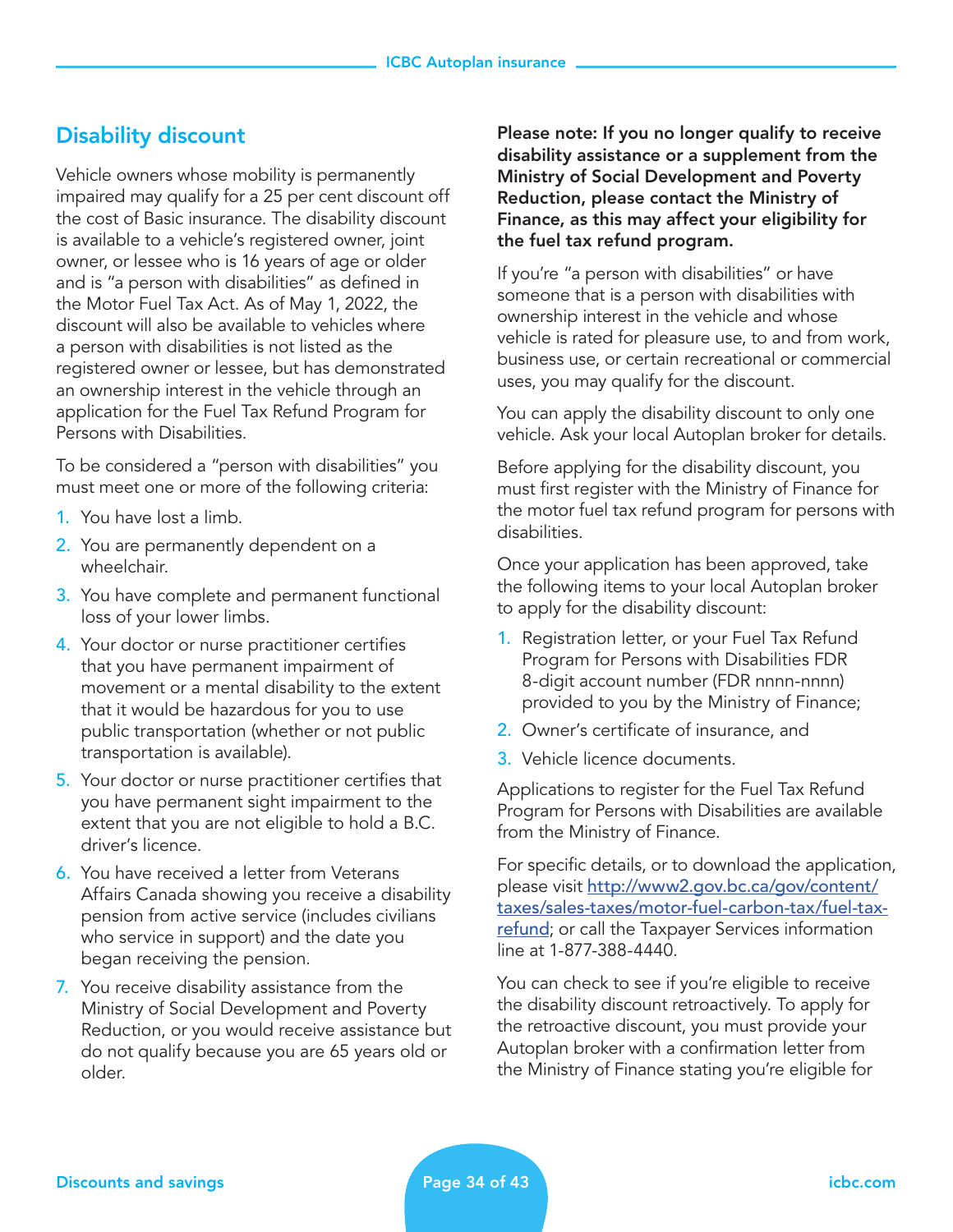## Disability discount

Vehicle owners whose mobility is permanently impaired may qualify for a 25 per cent discount off the cost of Basic insurance. The disability discount is available to a vehicle's registered owner, joint owner, or lessee who is 16 years of age or older and is "a person with disabilities" as defined in the Motor Fuel Tax Act. As of May 1, 2022, the discount will also be available to vehicles where a person with disabilities is not listed as the registered owner or lessee, but has demonstrated an ownership interest in the vehicle through an application for the Fuel Tax Refund Program for Persons with Disabilities.

To be considered a "person with disabilities" you must meet one or more of the following criteria:

- 1. You have lost a limb.
- 2. You are permanently dependent on a wheelchair.
- 3. You have complete and permanent functional loss of your lower limbs.
- 4. Your doctor or nurse practitioner certifies that you have permanent impairment of movement or a mental disability to the extent that it would be hazardous for you to use public transportation (whether or not public transportation is available).
- 5. Your doctor or nurse practitioner certifies that you have permanent sight impairment to the extent that you are not eligible to hold a B.C. driver's licence.
- 6. You have received a letter from Veterans Affairs Canada showing you receive a disability pension from active service (includes civilians who service in support) and the date you began receiving the pension.
- 7. You receive disability assistance from the Ministry of Social Development and Poverty Reduction, or you would receive assistance but do not qualify because you are 65 years old or older.

Please note: If you no longer qualify to receive disability assistance or a supplement from the Ministry of Social Development and Poverty Reduction, please contact the Ministry of Finance, as this may affect your eligibility for the fuel tax refund program.

If you're "a person with disabilities" or have someone that is a person with disabilities with ownership interest in the vehicle and whose vehicle is rated for pleasure use, to and from work, business use, or certain recreational or commercial uses, you may qualify for the discount.

You can apply the disability discount to only one vehicle. Ask your local Autoplan broker for details.

Before applying for the disability discount, you must first register with the Ministry of Finance for the motor fuel tax refund program for persons with disabilities.

Once your application has been approved, take the following items to your local Autoplan broker to apply for the disability discount:

- 1. Registration letter, or your Fuel Tax Refund Program for Persons with Disabilities FDR 8-digit account number (FDR nnnn-nnnn) provided to you by the Ministry of Finance;
- 2. Owner's certificate of insurance, and
- 3. Vehicle licence documents.

Applications to register for the Fuel Tax Refund Program for Persons with Disabilities are available from the Ministry of Finance.

For specific details, or to download the application, please visit [http://www2.gov.bc.ca/gov/content/](http://www2.gov.bc.ca/gov/content/taxes/sales-taxes/motor-fuel-carbon-tax/fuel-tax-refund) [taxes/sales-taxes/motor-fuel-carbon-tax/fuel-tax](http://www2.gov.bc.ca/gov/content/taxes/sales-taxes/motor-fuel-carbon-tax/fuel-tax-refund)[refund](http://www2.gov.bc.ca/gov/content/taxes/sales-taxes/motor-fuel-carbon-tax/fuel-tax-refund); or call the Taxpayer Services information line at 1-877-388-4440.

You can check to see if you're eligible to receive the disability discount retroactively. To apply for the retroactive discount, you must provide your Autoplan broker with a confirmation letter from the Ministry of Finance stating you're eligible for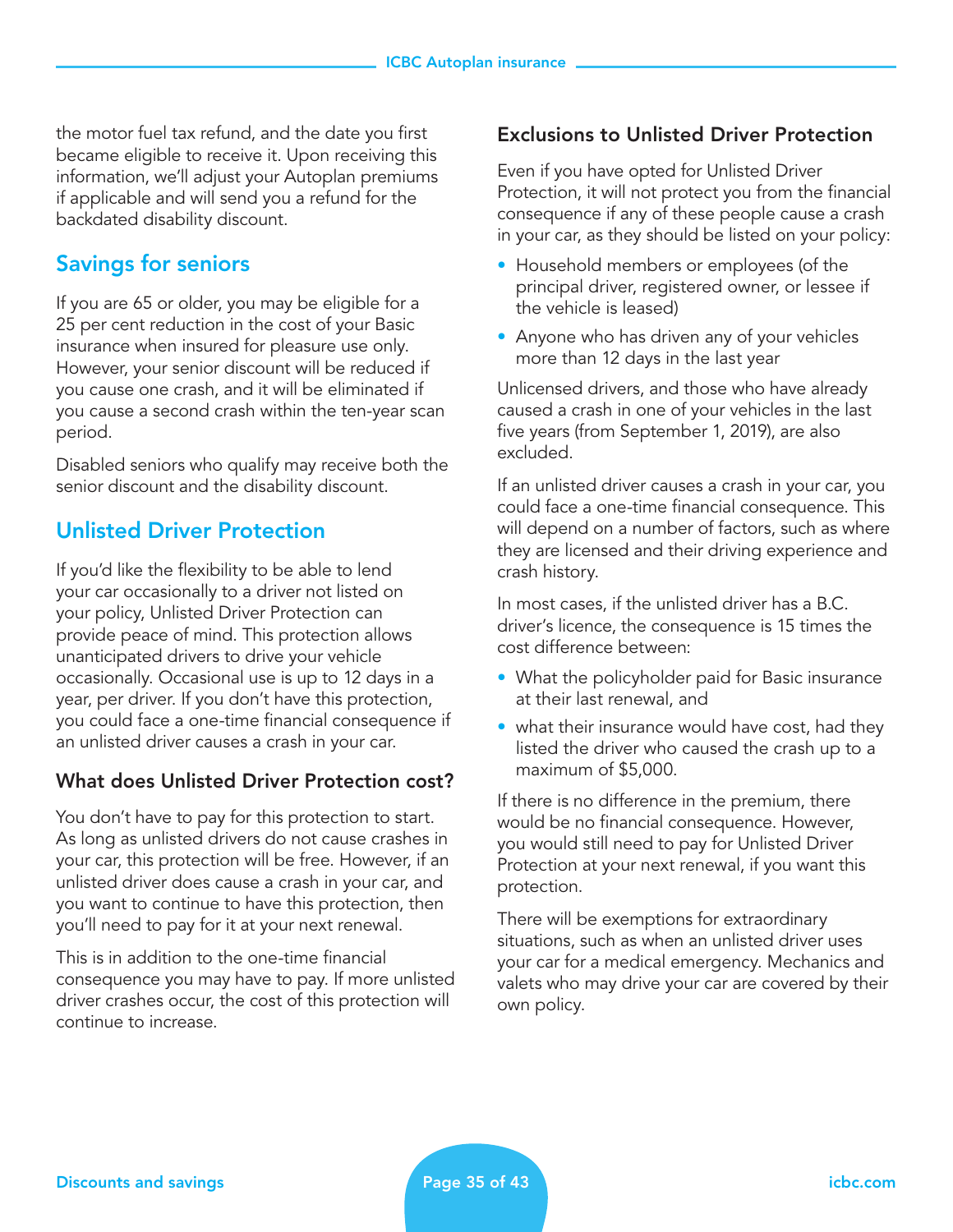the motor fuel tax refund, and the date you first became eligible to receive it. Upon receiving this information, we'll adjust your Autoplan premiums if applicable and will send you a refund for the backdated disability discount.

## Savings for seniors

If you are 65 or older, you may be eligible for a 25 per cent reduction in the cost of your Basic insurance when insured for pleasure use only. However, your senior discount will be reduced if you cause one crash, and it will be eliminated if you cause a second crash within the ten-year scan period.

Disabled seniors who qualify may receive both the senior discount and the disability discount.

## Unlisted Driver Protection

If you'd like the flexibility to be able to lend your car occasionally to a driver not listed on your policy, Unlisted Driver Protection can provide peace of mind. This protection allows unanticipated drivers to drive your vehicle occasionally. Occasional use is up to 12 days in a year, per driver. If you don't have this protection, you could face a one-time financial consequence if an unlisted driver causes a crash in your car.

#### What does Unlisted Driver Protection cost?

You don't have to pay for this protection to start. As long as unlisted drivers do not cause crashes in your car, this protection will be free. However, if an unlisted driver does cause a crash in your car, and you want to continue to have this protection, then you'll need to pay for it at your next renewal.

This is in addition to the one-time financial consequence you may have to pay. If more unlisted driver crashes occur, the cost of this protection will continue to increase.

#### Exclusions to Unlisted Driver Protection

Even if you have opted for Unlisted Driver Protection, it will not protect you from the financial consequence if any of these people cause a crash in your car, as they should be listed on your policy:

- Household members or employees (of the principal driver, registered owner, or lessee if the vehicle is leased)
- Anyone who has driven any of your vehicles more than 12 days in the last year

Unlicensed drivers, and those who have already caused a crash in one of your vehicles in the last five years (from September 1, 2019), are also excluded.

If an unlisted driver causes a crash in your car, you could face a one-time financial consequence. This will depend on a number of factors, such as where they are licensed and their driving experience and crash history.

In most cases, if the unlisted driver has a B.C. driver's licence, the consequence is 15 times the cost difference between:

- What the policyholder paid for Basic insurance at their last renewal, and
- what their insurance would have cost, had they listed the driver who caused the crash up to a maximum of \$5,000.

If there is no difference in the premium, there would be no financial consequence. However, you would still need to pay for Unlisted Driver Protection at your next renewal, if you want this protection.

There will be exemptions for extraordinary situations, such as when an unlisted driver uses your car for a medical emergency. Mechanics and valets who may drive your car are covered by their own policy.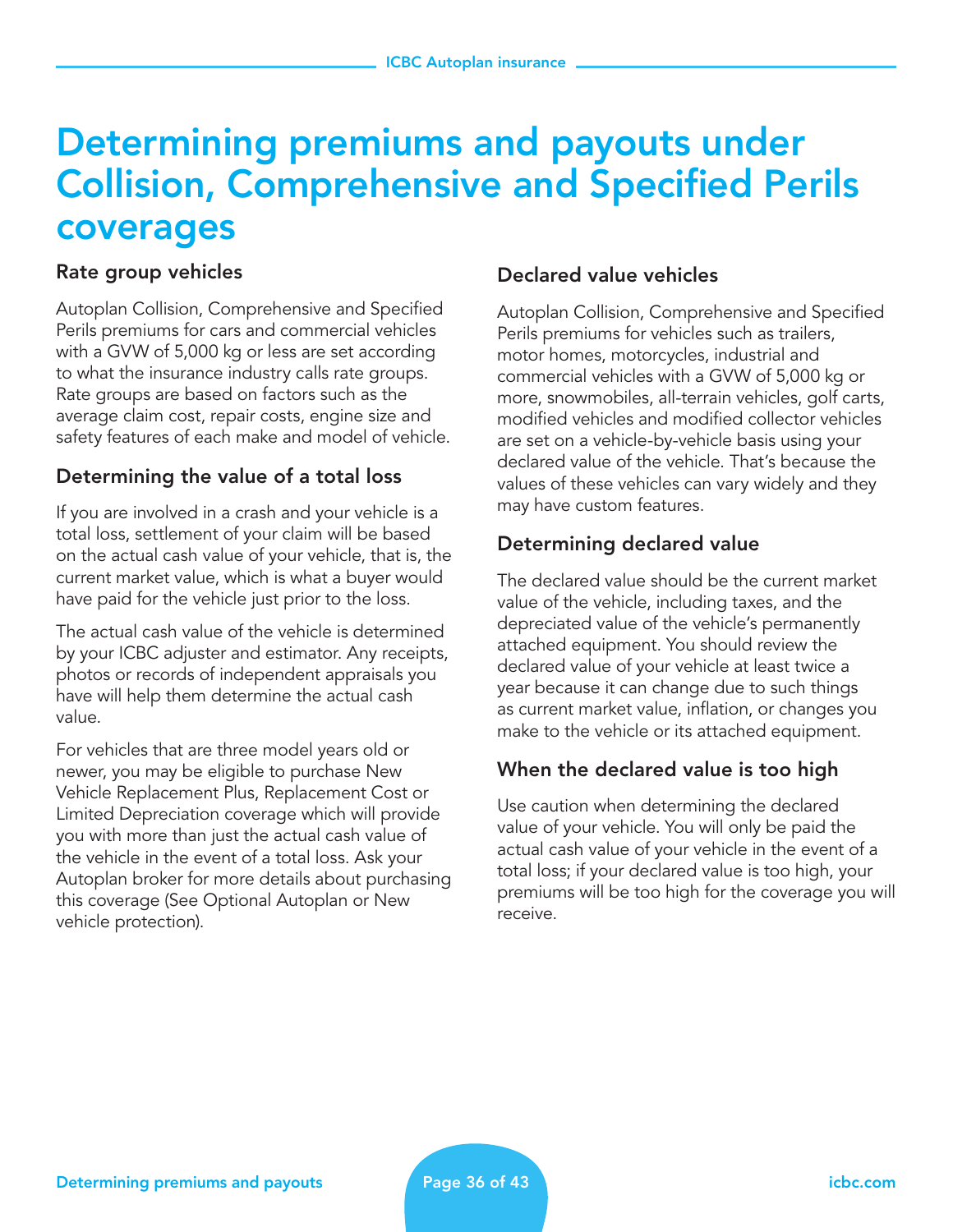## Determining premiums and payouts under Collision, Comprehensive and Specified Perils coverages

### Rate group vehicles

Autoplan Collision, Comprehensive and Specified Perils premiums for cars and commercial vehicles with a GVW of 5,000 kg or less are set according to what the insurance industry calls rate groups. Rate groups are based on factors such as the average claim cost, repair costs, engine size and safety features of each make and model of vehicle.

## Determining the value of a total loss

If you are involved in a crash and your vehicle is a total loss, settlement of your claim will be based on the actual cash value of your vehicle, that is, the current market value, which is what a buyer would have paid for the vehicle just prior to the loss.

The actual cash value of the vehicle is determined by your ICBC adjuster and estimator. Any receipts, photos or records of independent appraisals you have will help them determine the actual cash value.

For vehicles that are three model years old or newer, you may be eligible to purchase New Vehicle Replacement Plus, Replacement Cost or Limited Depreciation coverage which will provide you with more than just the actual cash value of the vehicle in the event of a total loss. Ask your Autoplan broker for more details about purchasing this coverage (See Optional Autoplan or New vehicle protection).

#### Declared value vehicles

Autoplan Collision, Comprehensive and Specified Perils premiums for vehicles such as trailers, motor homes, motorcycles, industrial and commercial vehicles with a GVW of 5,000 kg or more, snowmobiles, all-terrain vehicles, golf carts, modified vehicles and modified collector vehicles are set on a vehicle-by-vehicle basis using your declared value of the vehicle. That's because the values of these vehicles can vary widely and they may have custom features.

## Determining declared value

The declared value should be the current market value of the vehicle, including taxes, and the depreciated value of the vehicle's permanently attached equipment. You should review the declared value of your vehicle at least twice a year because it can change due to such things as current market value, inflation, or changes you make to the vehicle or its attached equipment.

## When the declared value is too high

Use caution when determining the declared value of your vehicle. You will only be paid the actual cash value of your vehicle in the event of a total loss; if your declared value is too high, your premiums will be too high for the coverage you will receive.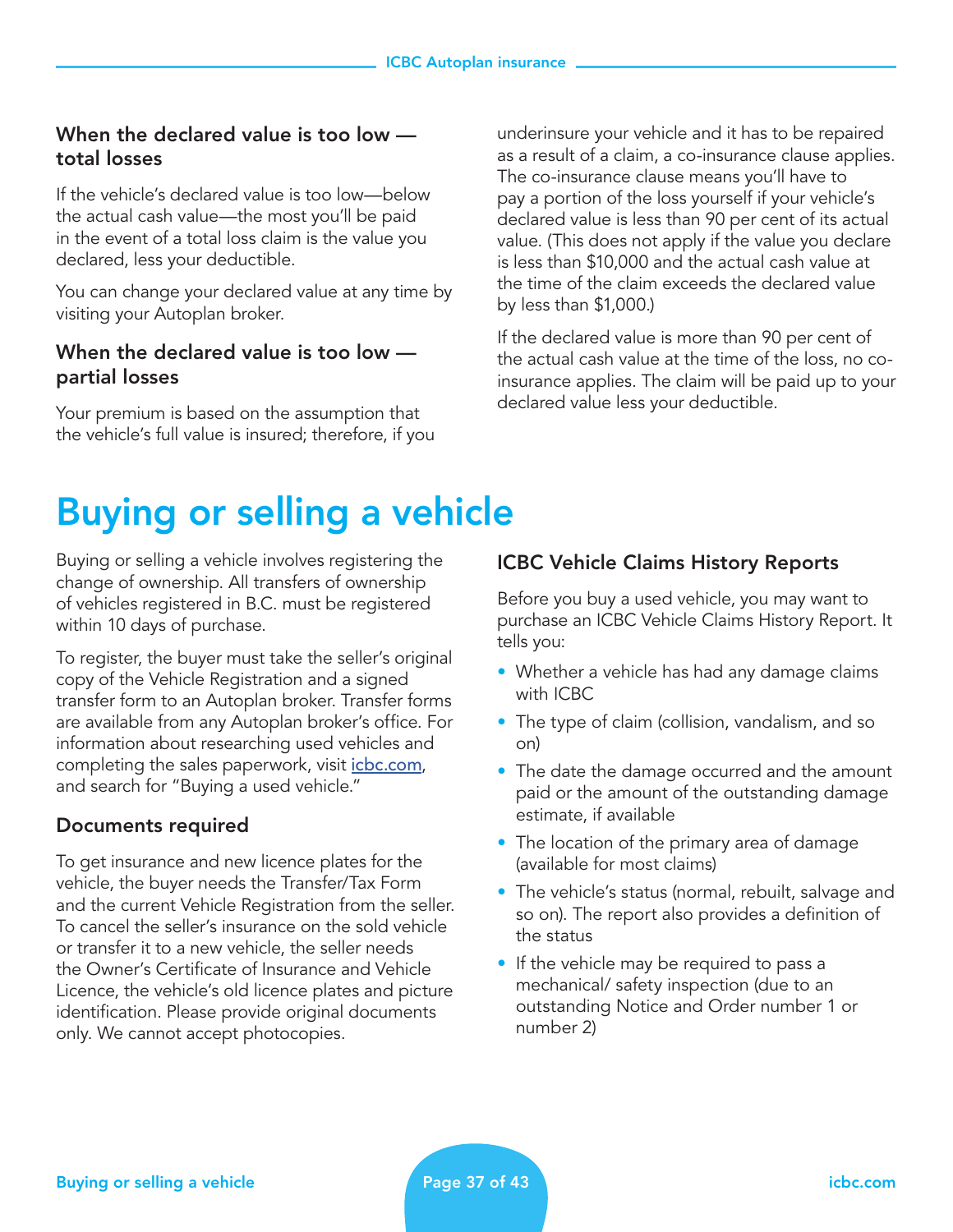#### When the declared value is too low total losses

If the vehicle's declared value is too low—below the actual cash value—the most you'll be paid in the event of a total loss claim is the value you declared, less your deductible.

You can change your declared value at any time by visiting your Autoplan broker.

#### When the declared value is too low partial losses

Your premium is based on the assumption that the vehicle's full value is insured; therefore, if you underinsure your vehicle and it has to be repaired as a result of a claim, a co-insurance clause applies. The co-insurance clause means you'll have to pay a portion of the loss yourself if your vehicle's declared value is less than 90 per cent of its actual value. (This does not apply if the value you declare is less than \$10,000 and the actual cash value at the time of the claim exceeds the declared value by less than \$1,000.)

If the declared value is more than 90 per cent of the actual cash value at the time of the loss, no coinsurance applies. The claim will be paid up to your declared value less your deductible.

## Buying or selling a vehicle

Buying or selling a vehicle involves registering the change of ownership. All transfers of ownership of vehicles registered in B.C. must be registered within 10 days of purchase.

To register, the buyer must take the seller's original copy of the Vehicle Registration and a signed transfer form to an Autoplan broker. Transfer forms are available from any Autoplan broker's office. For information about researching used vehicles and completing the sales paperwork, visit *[icbc.com](http://icbc.com)*, and search for "Buying a used vehicle."

#### Documents required

To get insurance and new licence plates for the vehicle, the buyer needs the Transfer/Tax Form and the current Vehicle Registration from the seller. To cancel the seller's insurance on the sold vehicle or transfer it to a new vehicle, the seller needs the Owner's Certificate of Insurance and Vehicle Licence, the vehicle's old licence plates and picture identification. Please provide original documents only. We cannot accept photocopies.

#### ICBC Vehicle Claims History Reports

Before you buy a used vehicle, you may want to purchase an ICBC Vehicle Claims History Report. It tells you:

- Whether a vehicle has had any damage claims with ICBC
- The type of claim (collision, vandalism, and so on)
- The date the damage occurred and the amount paid or the amount of the outstanding damage estimate, if available
- The location of the primary area of damage (available for most claims)
- The vehicle's status (normal, rebuilt, salvage and so on). The report also provides a definition of the status
- If the vehicle may be required to pass a mechanical/ safety inspection (due to an outstanding Notice and Order number 1 or number 2)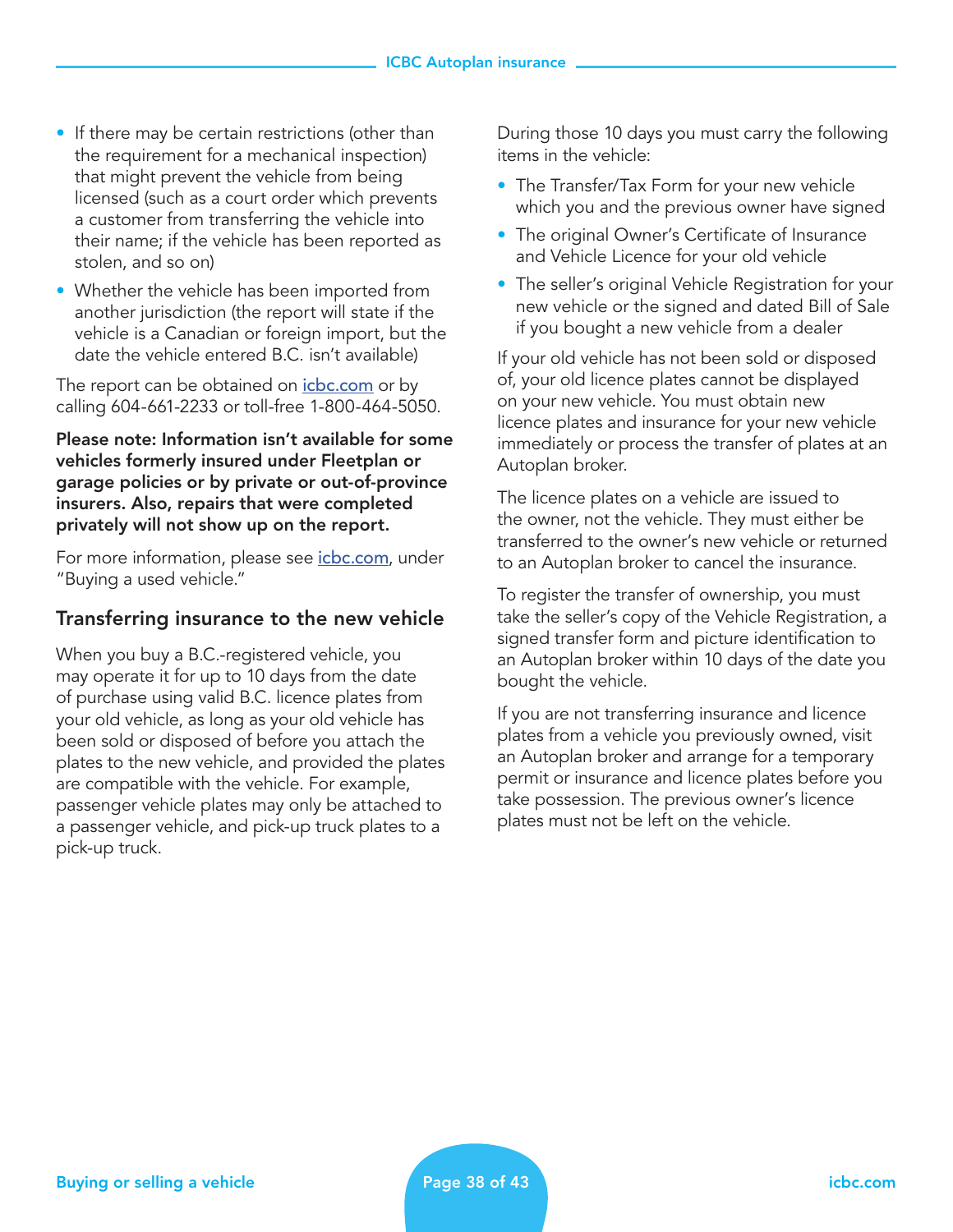- If there may be certain restrictions (other than the requirement for a mechanical inspection) that might prevent the vehicle from being licensed (such as a court order which prevents a customer from transferring the vehicle into their name; if the vehicle has been reported as stolen, and so on)
- Whether the vehicle has been imported from another jurisdiction (the report will state if the vehicle is a Canadian or foreign import, but the date the vehicle entered B.C. isn't available)

The report can be obtained on *[icbc.com](http://icbc.com)* or by calling 604-661-2233 or toll-free 1-800-464-5050.

#### Please note: Information isn't available for some vehicles formerly insured under Fleetplan or garage policies or by private or out-of-province insurers. Also, repairs that were completed privately will not show up on the report.

For more information, please see *[icbc.com](http://icbc.com)*, under "Buying a used vehicle."

#### Transferring insurance to the new vehicle

When you buy a B.C.-registered vehicle, you may operate it for up to 10 days from the date of purchase using valid B.C. licence plates from your old vehicle, as long as your old vehicle has been sold or disposed of before you attach the plates to the new vehicle, and provided the plates are compatible with the vehicle. For example, passenger vehicle plates may only be attached to a passenger vehicle, and pick-up truck plates to a pick-up truck.

During those 10 days you must carry the following items in the vehicle:

- The Transfer/Tax Form for your new vehicle which you and the previous owner have signed
- The original Owner's Certificate of Insurance and Vehicle Licence for your old vehicle
- The seller's original Vehicle Registration for your new vehicle or the signed and dated Bill of Sale if you bought a new vehicle from a dealer

If your old vehicle has not been sold or disposed of, your old licence plates cannot be displayed on your new vehicle. You must obtain new licence plates and insurance for your new vehicle immediately or process the transfer of plates at an Autoplan broker.

The licence plates on a vehicle are issued to the owner, not the vehicle. They must either be transferred to the owner's new vehicle or returned to an Autoplan broker to cancel the insurance.

To register the transfer of ownership, you must take the seller's copy of the Vehicle Registration, a signed transfer form and picture identification to an Autoplan broker within 10 days of the date you bought the vehicle.

If you are not transferring insurance and licence plates from a vehicle you previously owned, visit an Autoplan broker and arrange for a temporary permit or insurance and licence plates before you take possession. The previous owner's licence plates must not be left on the vehicle.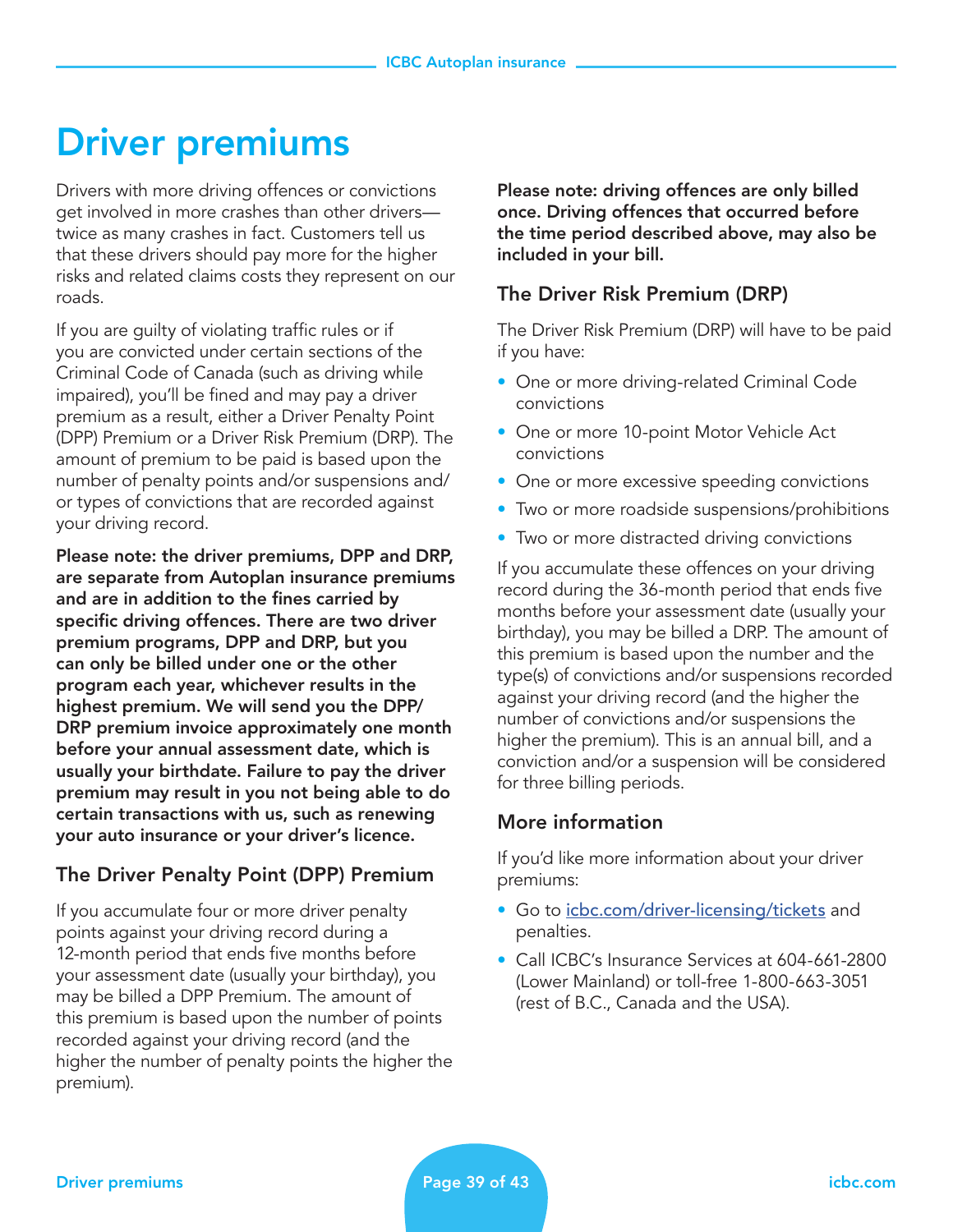## Driver premiums

Drivers with more driving offences or convictions get involved in more crashes than other drivers twice as many crashes in fact. Customers tell us that these drivers should pay more for the higher risks and related claims costs they represent on our roads.

If you are guilty of violating traffic rules or if you are convicted under certain sections of the Criminal Code of Canada (such as driving while impaired), you'll be fined and may pay a driver premium as a result, either a Driver Penalty Point (DPP) Premium or a Driver Risk Premium (DRP). The amount of premium to be paid is based upon the number of penalty points and/or suspensions and/ or types of convictions that are recorded against your driving record.

Please note: the driver premiums, DPP and DRP, are separate from Autoplan insurance premiums and are in addition to the fines carried by specific driving offences. There are two driver premium programs, DPP and DRP, but you can only be billed under one or the other program each year, whichever results in the highest premium. We will send you the DPP/ DRP premium invoice approximately one month before your annual assessment date, which is usually your birthdate. Failure to pay the driver premium may result in you not being able to do certain transactions with us, such as renewing your auto insurance or your driver's licence.

## The Driver Penalty Point (DPP) Premium

If you accumulate four or more driver penalty points against your driving record during a 12-month period that ends five months before your assessment date (usually your birthday), you may be billed a DPP Premium. The amount of this premium is based upon the number of points recorded against your driving record (and the higher the number of penalty points the higher the premium).

Please note: driving offences are only billed once. Driving offences that occurred before the time period described above, may also be included in your bill.

#### The Driver Risk Premium (DRP)

The Driver Risk Premium (DRP) will have to be paid if you have:

- One or more driving-related Criminal Code convictions
- One or more 10-point Motor Vehicle Act convictions
- One or more excessive speeding convictions
- Two or more roadside suspensions/prohibitions
- Two or more distracted driving convictions

If you accumulate these offences on your driving record during the 36-month period that ends five months before your assessment date (usually your birthday), you may be billed a DRP. The amount of this premium is based upon the number and the type(s) of convictions and/or suspensions recorded against your driving record (and the higher the number of convictions and/or suspensions the higher the premium). This is an annual bill, and a conviction and/or a suspension will be considered for three billing periods.

#### More information

If you'd like more information about your driver premiums:

- Go to [icbc.com/driver-licensing/tickets](http://icbc.com/driver-licensing/tickets) and penalties.
- Call ICBC's Insurance Services at 604-661-2800 (Lower Mainland) or toll-free 1-800-663-3051 (rest of B.C., Canada and the USA).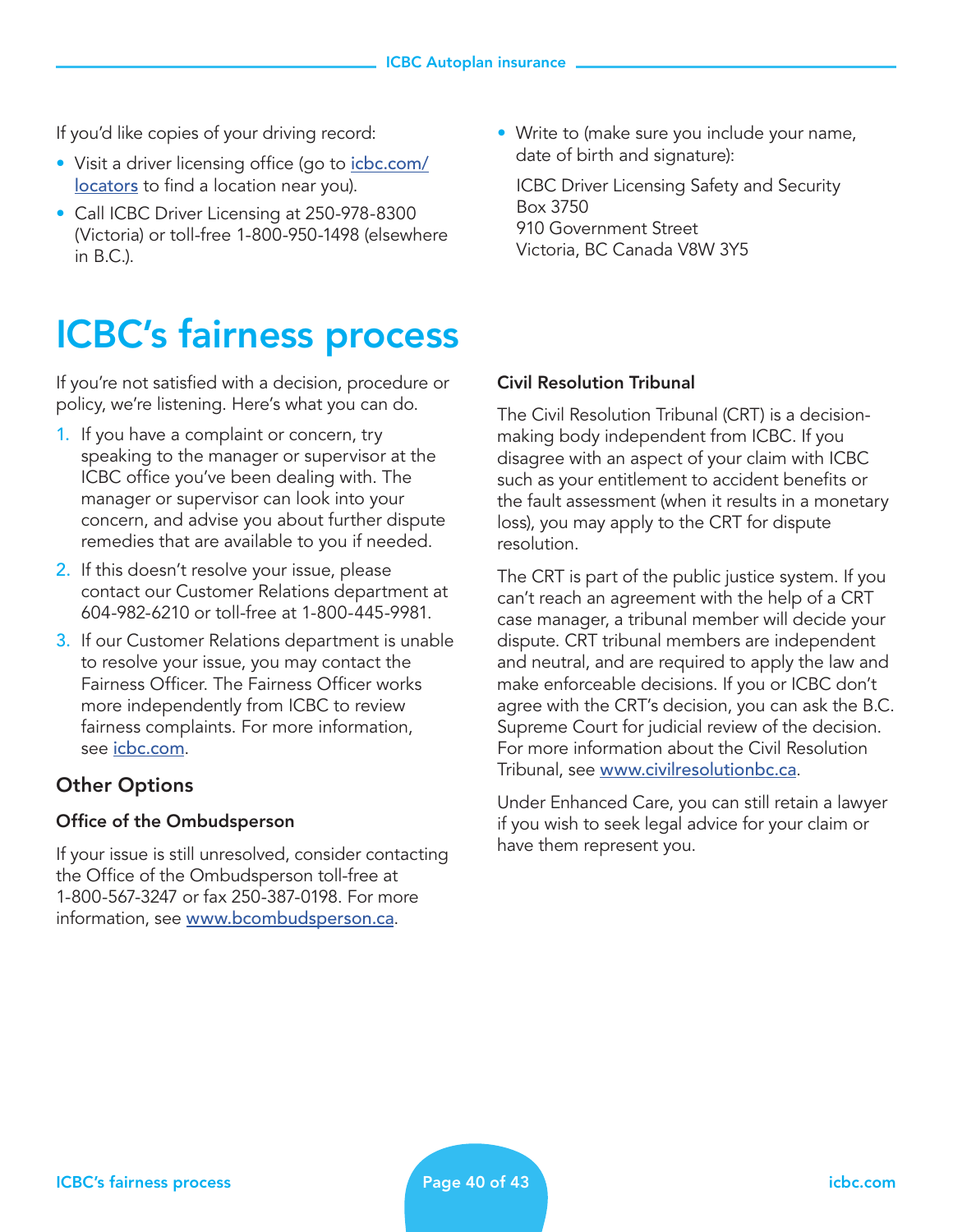If you'd like copies of your driving record:

- Visit a driver licensing office (go to *[icbc.com/](http://icbc.com/locators)* [locators](http://icbc.com/locators) to find a location near you).
- Call ICBC Driver Licensing at 250-978-8300 (Victoria) or toll-free 1-800-950-1498 (elsewhere in B.C.).

# ICBC's fairness process

If you're not satisfied with a decision, procedure or policy, we're listening. Here's what you can do.

- 1. If you have a complaint or concern, try speaking to the manager or supervisor at the ICBC office you've been dealing with. The manager or supervisor can look into your concern, and advise you about further dispute remedies that are available to you if needed.
- 2. If this doesn't resolve your issue, please contact our Customer Relations department at 604-982-6210 or toll-free at 1-800-445-9981.
- 3. If our Customer Relations department is unable to resolve your issue, you may contact the Fairness Officer. The Fairness Officer works more independently from ICBC to review fairness complaints. For more information, see *[icbc.com](http://icbc.com)*.

## Other Options

#### Office of the Ombudsperson

If your issue is still unresolved, consider contacting the Office of the Ombudsperson toll-free at 1-800-567-3247 or fax 250-387-0198. For more information, see [www.bcombudsperson.ca](http://www.bcombudsperson.ca).

• Write to (make sure you include your name, date of birth and signature):

 ICBC Driver Licensing Safety and Security Box 3750 910 Government Street Victoria, BC Canada V8W 3Y5

#### Civil Resolution Tribunal

The Civil Resolution Tribunal (CRT) is a decisionmaking body independent from ICBC. If you disagree with an aspect of your claim with ICBC such as your entitlement to accident benefits or the fault assessment (when it results in a monetary loss), you may apply to the CRT for dispute resolution.

The CRT is part of the public justice system. If you can't reach an agreement with the help of a CRT case manager, a tribunal member will decide your dispute. CRT tribunal members are independent and neutral, and are required to apply the law and make enforceable decisions. If you or ICBC don't agree with the CRT's decision, you can ask the B.C. Supreme Court for judicial review of the decision. For more information about the Civil Resolution Tribunal, see [www.civilresolutionbc.ca](http://www.civilresolutionbc.ca).

Under Enhanced Care, you can still retain a lawyer if you wish to seek legal advice for your claim or have them represent you.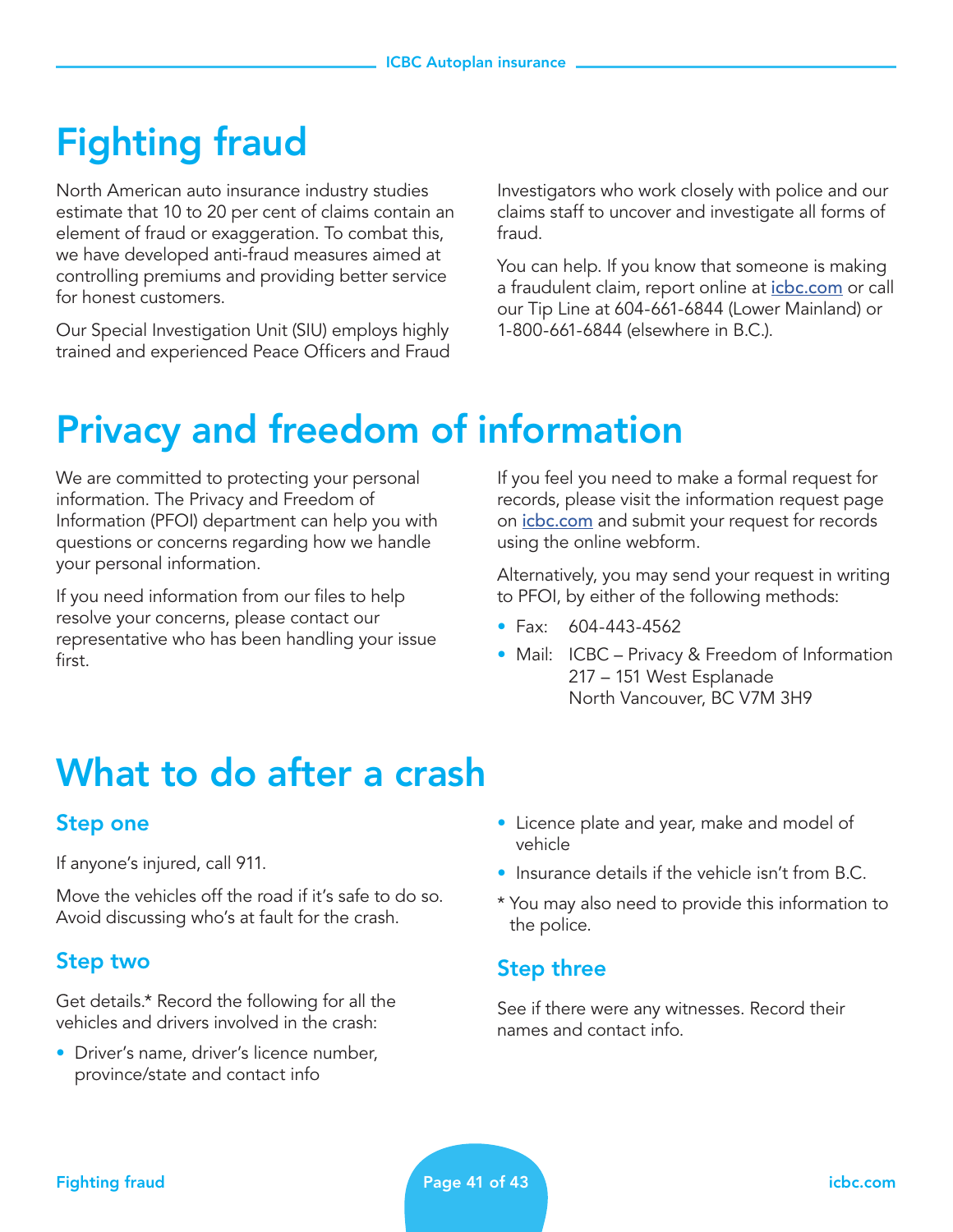# Fighting fraud

North American auto insurance industry studies estimate that 10 to 20 per cent of claims contain an element of fraud or exaggeration. To combat this, we have developed anti-fraud measures aimed at controlling premiums and providing better service for honest customers.

Our Special Investigation Unit (SIU) employs highly trained and experienced Peace Officers and Fraud

Investigators who work closely with police and our claims staff to uncover and investigate all forms of fraud.

You can help. If you know that someone is making a fraudulent claim, report online at *[icbc.com](http://icbc.com)* or call our Tip Line at 604-661-6844 (Lower Mainland) or 1-800-661-6844 (elsewhere in B.C.).

## Privacy and freedom of information

We are committed to protecting your personal information. The Privacy and Freedom of Information (PFOI) department can help you with questions or concerns regarding how we handle your personal information.

If you need information from our files to help resolve your concerns, please contact our representative who has been handling your issue first.

If you feel you need to make a formal request for records, please visit the information request page on *[icbc.com](http://icbc.com)* and submit your request for records using the online webform.

Alternatively, you may send your request in writing to PFOI, by either of the following methods:

- Fax: 604-443-4562
- Mail: ICBC Privacy & Freedom of Information 217 – 151 West Esplanade North Vancouver, BC V7M 3H9

## What to do after a crash

## Step one

If anyone's injured, call 911.

Move the vehicles off the road if it's safe to do so. Avoid discussing who's at fault for the crash.

## Step two

Get details.\* Record the following for all the vehicles and drivers involved in the crash:

• Driver's name, driver's licence number, province/state and contact info

- Licence plate and year, make and model of vehicle
- Insurance details if the vehicle isn't from B.C.
- \* You may also need to provide this information to the police.

## Step three

See if there were any witnesses. Record their names and contact info.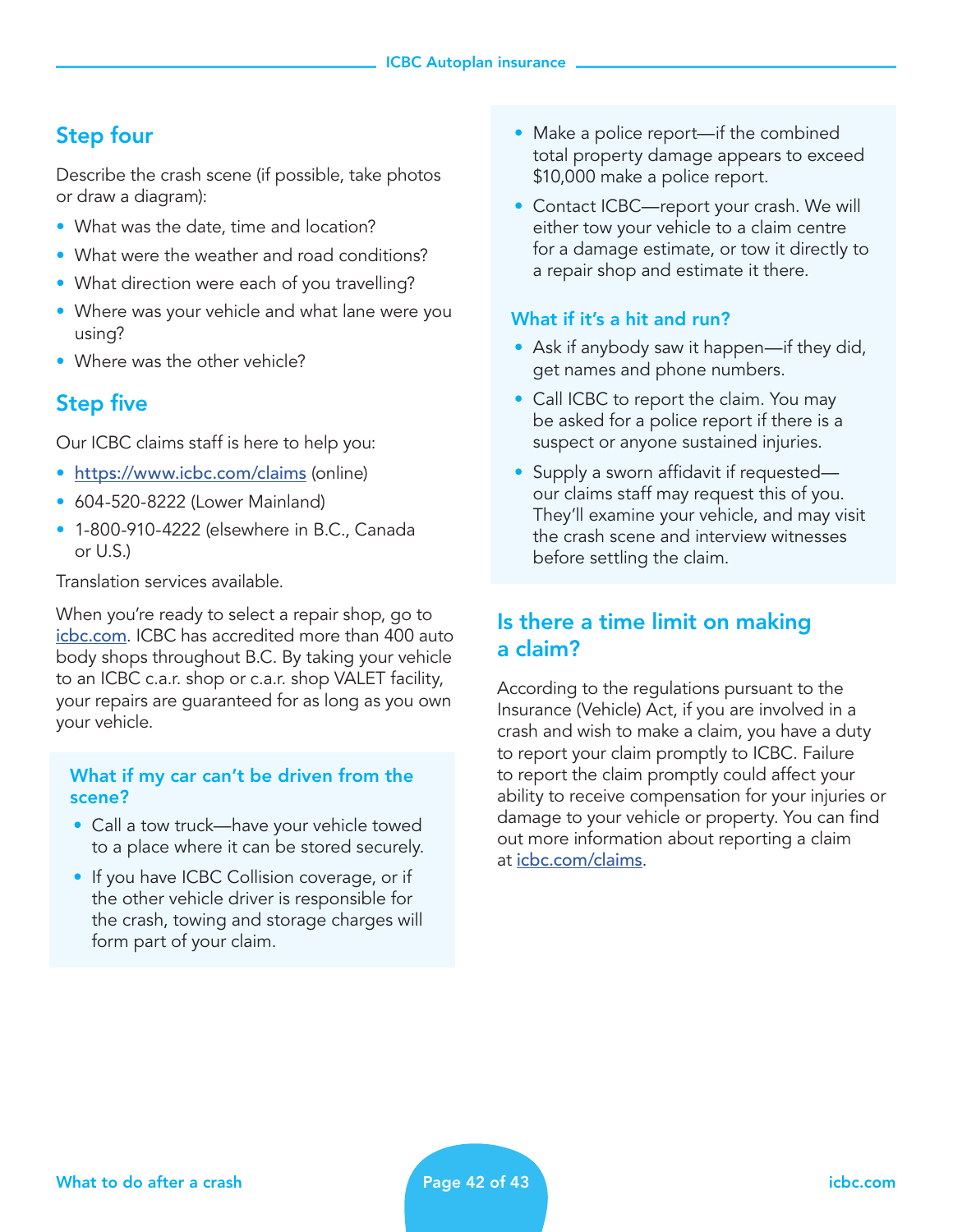## Step four

Describe the crash scene (if possible, take photos or draw a diagram):

- What was the date, time and location?
- What were the weather and road conditions?
- What direction were each of you travelling?
- Where was your vehicle and what lane were you using?
- Where was the other vehicle?

## Step five

Our ICBC claims staff is here to help you:

- [https://www.icbc.com/claims](https://www.icbc.com/claims/Pages/default.aspx) (online)
- 604-520-8222 (Lower Mainland)
- 1-800-910-4222 (elsewhere in B.C., Canada or U.S.)

Translation services available.

When you're ready to select a repair shop, go to [icbc.com](http://icbc.com). ICBC has accredited more than 400 auto body shops throughout B.C. By taking your vehicle to an ICBC c.a.r. shop or c.a.r. shop VALET facility, your repairs are guaranteed for as long as you own your vehicle.

#### What if my car can't be driven from the scene?

- Call a tow truck—have your vehicle towed to a place where it can be stored securely.
- If you have ICBC Collision coverage, or if the other vehicle driver is responsible for the crash, towing and storage charges will form part of your claim.
- Make a police report—if the combined total property damage appears to exceed \$10,000 make a police report.
- Contact ICBC—report your crash. We will either tow your vehicle to a claim centre for a damage estimate, or tow it directly to a repair shop and estimate it there.

#### What if it's a hit and run?

- Ask if anybody saw it happen—if they did, get names and phone numbers.
- Call ICBC to report the claim. You may be asked for a police report if there is a suspect or anyone sustained injuries.
- Supply a sworn affidavit if requested our claims staff may request this of you. They'll examine your vehicle, and may visit the crash scene and interview witnesses before settling the claim.

## Is there a time limit on making a claim?

According to the regulations pursuant to the Insurance (Vehicle) Act, if you are involved in a crash and wish to make a claim, you have a duty to report your claim promptly to ICBC. Failure to report the claim promptly could affect your ability to receive compensation for your injuries or damage to your vehicle or property. You can find out more information about reporting a claim at [icbc.com/claims](http://icbc.com/claims).